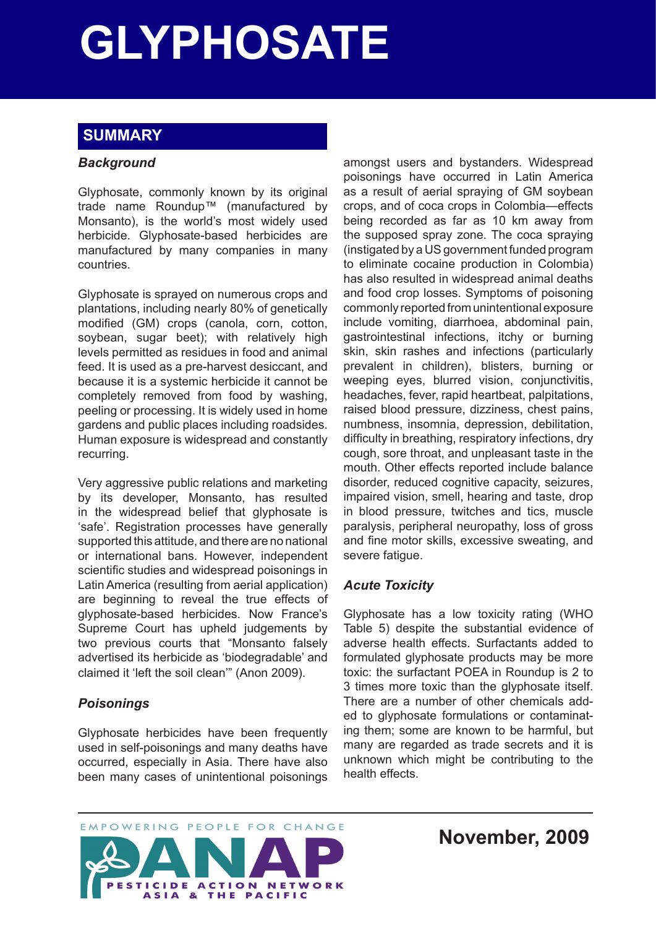# **GLYPHOSATE Glyphosate**

# **SUMMARY**

## *Background*

Glyphosate, commonly known by its original trade name Roundup™ (manufactured by Monsanto), is the world's most widely used herbicide. Glyphosate-based herbicides are manufactured by many companies in many countries.

Glyphosate is sprayed on numerous crops and plantations, including nearly 80% of genetically modified (GM) crops (canola, corn, cotton, soybean, sugar beet); with relatively high levels permitted as residues in food and animal feed. It is used as a pre-harvest desiccant, and because it is a systemic herbicide it cannot be completely removed from food by washing, peeling or processing. It is widely used in home gardens and public places including roadsides. Human exposure is widespread and constantly recurring.

Very aggressive public relations and marketing by its developer, Monsanto, has resulted in the widespread belief that glyphosate is 'safe'. Registration processes have generally supported this attitude, and there are no national or international bans. However, independent scientific studies and widespread poisonings in Latin America (resulting from aerial application) are beginning to reveal the true effects of glyphosate-based herbicides. Now France's Supreme Court has upheld judgements by two previous courts that "Monsanto falsely advertised its herbicide as 'biodegradable' and claimed it 'left the soil clean'" (Anon 2009).

# *Poisonings*

Glyphosate herbicides have been frequently used in self-poisonings and many deaths have occurred, especially in Asia. There have also been many cases of unintentional poisonings amongst users and bystanders. Widespread poisonings have occurred in Latin America as a result of aerial spraying of GM soybean crops, and of coca crops in Colombia—effects being recorded as far as 10 km away from the supposed spray zone. The coca spraying (instigated by a US government funded program to eliminate cocaine production in Colombia) has also resulted in widespread animal deaths and food crop losses. Symptoms of poisoning commonly reported from unintentional exposure include vomiting, diarrhoea, abdominal pain, gastrointestinal infections, itchy or burning skin, skin rashes and infections (particularly prevalent in children), blisters, burning or weeping eyes, blurred vision, conjunctivitis, headaches, fever, rapid heartbeat, palpitations, raised blood pressure, dizziness, chest pains, numbness, insomnia, depression, debilitation, difficulty in breathing, respiratory infections, dry cough, sore throat, and unpleasant taste in the mouth. Other effects reported include balance disorder, reduced cognitive capacity, seizures, impaired vision, smell, hearing and taste, drop in blood pressure, twitches and tics, muscle paralysis, peripheral neuropathy, loss of gross and fine motor skills, excessive sweating, and severe fatigue.

# *Acute Toxicity*

Glyphosate has a low toxicity rating (WHO Table 5) despite the substantial evidence of adverse health effects. Surfactants added to formulated glyphosate products may be more toxic: the surfactant POEA in Roundup is 2 to 3 times more toxic than the glyphosate itself. There are a number of other chemicals added to glyphosate formulations or contaminating them; some are known to be harmful, but many are regarded as trade secrets and it is unknown which might be contributing to the health effects.



**November, 2009**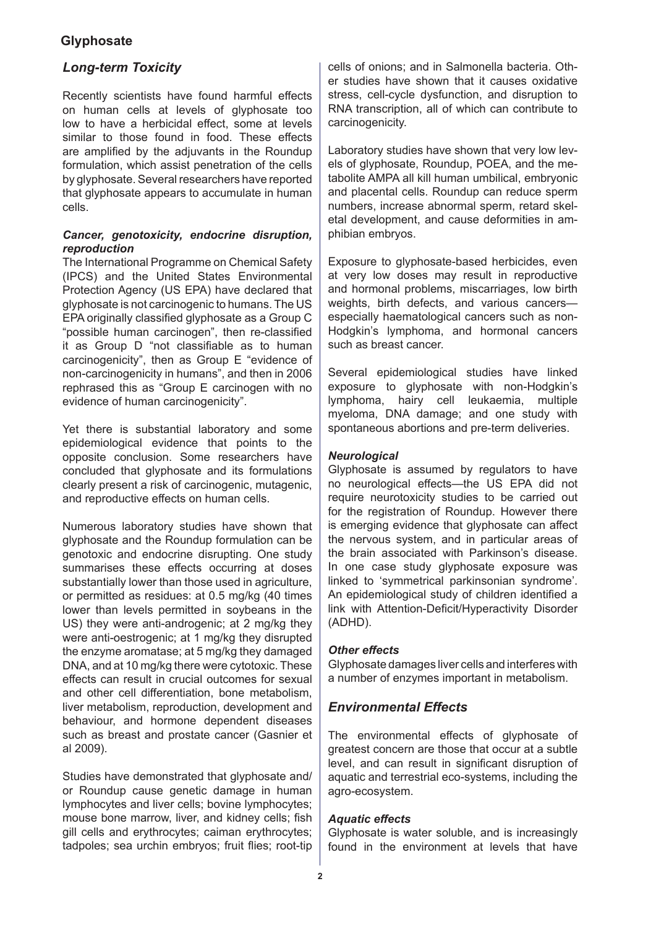## *Long-term Toxicity*

Recently scientists have found harmful effects on human cells at levels of glyphosate too low to have a herbicidal effect, some at levels similar to those found in food. These effects are amplified by the adjuvants in the Roundup formulation, which assist penetration of the cells by glyphosate. Several researchers have reported that glyphosate appears to accumulate in human cells.

#### *Cancer, genotoxicity, endocrine disruption, reproduction*

The International Programme on Chemical Safety (IPCS) and the United States Environmental Protection Agency (US EPA) have declared that glyphosate is not carcinogenic to humans. The US EPA originally classified glyphosate as a Group C "possible human carcinogen", then re-classified it as Group D "not classifiable as to human carcinogenicity", then as Group E "evidence of non-carcinogenicity in humans", and then in 2006 rephrased this as "Group E carcinogen with no evidence of human carcinogenicity".

Yet there is substantial laboratory and some epidemiological evidence that points to the opposite conclusion. Some researchers have concluded that glyphosate and its formulations clearly present a risk of carcinogenic, mutagenic, and reproductive effects on human cells.

Numerous laboratory studies have shown that glyphosate and the Roundup formulation can be genotoxic and endocrine disrupting. One study summarises these effects occurring at doses substantially lower than those used in agriculture, or permitted as residues: at 0.5 mg/kg (40 times lower than levels permitted in soybeans in the US) they were anti-androgenic; at 2 mg/kg they were anti-oestrogenic; at 1 mg/kg they disrupted the enzyme aromatase; at 5 mg/kg they damaged DNA, and at 10 mg/kg there were cytotoxic. These effects can result in crucial outcomes for sexual and other cell differentiation, bone metabolism, liver metabolism, reproduction, development and behaviour, and hormone dependent diseases such as breast and prostate cancer (Gasnier et al 2009).

Studies have demonstrated that glyphosate and/ or Roundup cause genetic damage in human lymphocytes and liver cells; bovine lymphocytes; mouse bone marrow, liver, and kidney cells; fish gill cells and erythrocytes; caiman erythrocytes; tadpoles; sea urchin embryos; fruit flies; root-tip cells of onions; and in Salmonella bacteria. Other studies have shown that it causes oxidative stress, cell-cycle dysfunction, and disruption to RNA transcription, all of which can contribute to carcinogenicity.

Laboratory studies have shown that very low levels of glyphosate, Roundup, POEA, and the metabolite AMPA all kill human umbilical, embryonic and placental cells. Roundup can reduce sperm numbers, increase abnormal sperm, retard skeletal development, and cause deformities in amphibian embryos.

Exposure to glyphosate-based herbicides, even at very low doses may result in reproductive and hormonal problems, miscarriages, low birth weights, birth defects, and various cancers especially haematological cancers such as non-Hodgkin's lymphoma, and hormonal cancers such as breast cancer.

Several epidemiological studies have linked exposure to glyphosate with non-Hodgkin's lymphoma, hairy cell leukaemia, multiple myeloma, DNA damage; and one study with spontaneous abortions and pre-term deliveries.

## *Neurological*

Glyphosate is assumed by regulators to have no neurological effects—the US EPA did not require neurotoxicity studies to be carried out for the registration of Roundup. However there is emerging evidence that glyphosate can affect the nervous system, and in particular areas of the brain associated with Parkinson's disease. In one case study glyphosate exposure was linked to 'symmetrical parkinsonian syndrome'. An epidemiological study of children identified a link with Attention-Deficit/Hyperactivity Disorder (ADHD).

#### *Other effects*

Glyphosate damages liver cells and interferes with a number of enzymes important in metabolism.

## *Environmental Effects*

The environmental effects of glyphosate of greatest concern are those that occur at a subtle level, and can result in significant disruption of aquatic and terrestrial eco-systems, including the agro-ecosystem.

## *Aquatic effects*

Glyphosate is water soluble, and is increasingly found in the environment at levels that have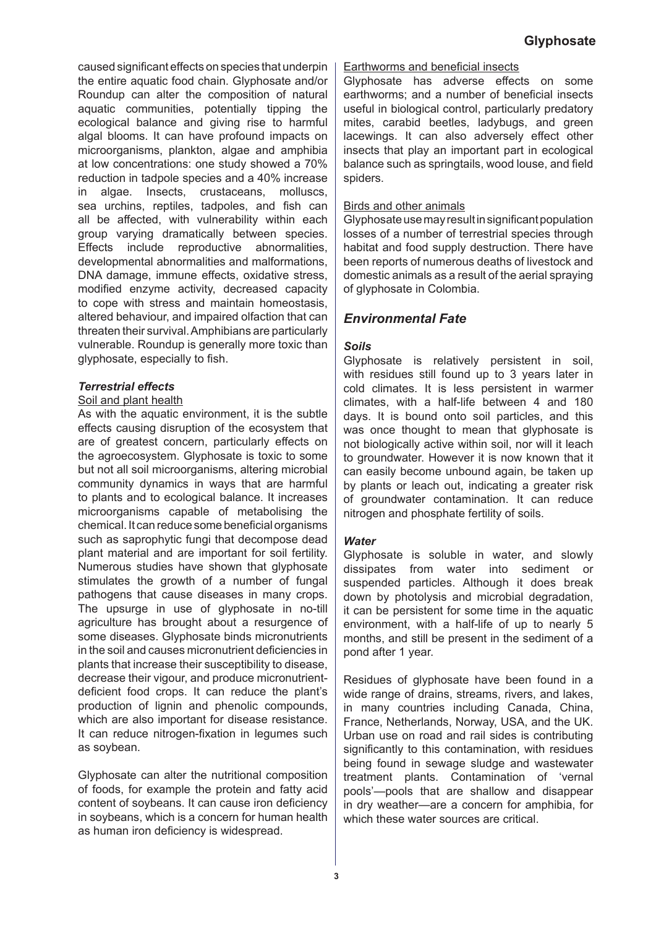caused significant effects on species that underpin the entire aquatic food chain. Glyphosate and/or Roundup can alter the composition of natural aquatic communities, potentially tipping the ecological balance and giving rise to harmful algal blooms. It can have profound impacts on microorganisms, plankton, algae and amphibia at low concentrations: one study showed a 70% reduction in tadpole species and a 40% increase in algae. Insects, crustaceans, molluscs, sea urchins, reptiles, tadpoles, and fish can all be affected, with vulnerability within each group varying dramatically between species. Effects include reproductive abnormalities, developmental abnormalities and malformations, DNA damage, immune effects, oxidative stress, modified enzyme activity, decreased capacity to cope with stress and maintain homeostasis, altered behaviour, and impaired olfaction that can threaten their survival. Amphibians are particularly vulnerable. Roundup is generally more toxic than glyphosate, especially to fish.

#### *Terrestrial effects*

#### Soil and plant health

As with the aquatic environment, it is the subtle effects causing disruption of the ecosystem that are of greatest concern, particularly effects on the agroecosystem. Glyphosate is toxic to some but not all soil microorganisms, altering microbial community dynamics in ways that are harmful to plants and to ecological balance. It increases microorganisms capable of metabolising the chemical. It can reduce some beneficial organisms such as saprophytic fungi that decompose dead plant material and are important for soil fertility. Numerous studies have shown that glyphosate stimulates the growth of a number of fungal pathogens that cause diseases in many crops. The upsurge in use of glyphosate in no-till agriculture has brought about a resurgence of some diseases. Glyphosate binds micronutrients in the soil and causes micronutrient deficiencies in plants that increase their susceptibility to disease, decrease their vigour, and produce micronutrientdeficient food crops. It can reduce the plant's production of lignin and phenolic compounds, which are also important for disease resistance. It can reduce nitrogen-fixation in legumes such as soybean.

Glyphosate can alter the nutritional composition of foods, for example the protein and fatty acid content of soybeans. It can cause iron deficiency in soybeans, which is a concern for human health as human iron deficiency is widespread.

#### Earthworms and beneficial insects

Glyphosate has adverse effects on some earthworms; and a number of beneficial insects useful in biological control, particularly predatory mites, carabid beetles, ladybugs, and green lacewings. It can also adversely effect other insects that play an important part in ecological balance such as springtails, wood louse, and field spiders.

#### Birds and other animals

Glyphosate use may result in significant population losses of a number of terrestrial species through habitat and food supply destruction. There have been reports of numerous deaths of livestock and domestic animals as a result of the aerial spraying of glyphosate in Colombia.

## *Environmental Fate*

#### *Soils*

Glyphosate is relatively persistent in soil, with residues still found up to 3 years later in cold climates. It is less persistent in warmer climates, with a half-life between 4 and 180 days. It is bound onto soil particles, and this was once thought to mean that glyphosate is not biologically active within soil, nor will it leach to groundwater. However it is now known that it can easily become unbound again, be taken up by plants or leach out, indicating a greater risk of groundwater contamination. It can reduce nitrogen and phosphate fertility of soils.

#### *Water*

Glyphosate is soluble in water, and slowly dissipates from water into sediment or suspended particles. Although it does break down by photolysis and microbial degradation, it can be persistent for some time in the aquatic environment, with a half-life of up to nearly 5 months, and still be present in the sediment of a pond after 1 year.

Residues of glyphosate have been found in a wide range of drains, streams, rivers, and lakes, in many countries including Canada, China, France, Netherlands, Norway, USA, and the UK. Urban use on road and rail sides is contributing significantly to this contamination, with residues being found in sewage sludge and wastewater treatment plants. Contamination of 'vernal pools'—pools that are shallow and disappear in dry weather—are a concern for amphibia, for which these water sources are critical.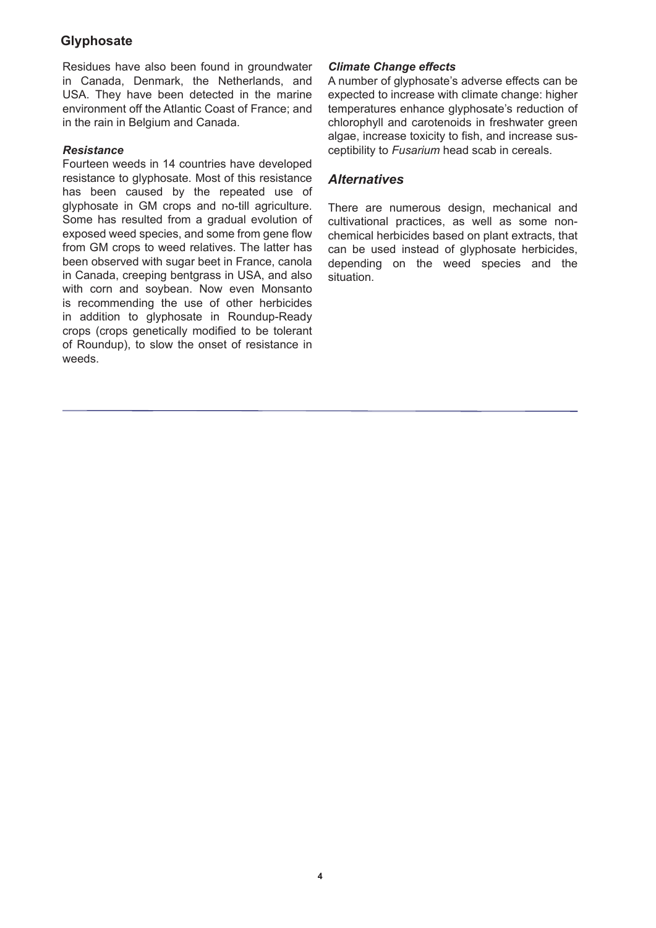Residues have also been found in groundwater in Canada, Denmark, the Netherlands, and USA. They have been detected in the marine environment off the Atlantic Coast of France; and in the rain in Belgium and Canada.

#### *Resistance*

Fourteen weeds in 14 countries have developed resistance to glyphosate. Most of this resistance has been caused by the repeated use of glyphosate in GM crops and no-till agriculture. Some has resulted from a gradual evolution of exposed weed species, and some from gene flow from GM crops to weed relatives. The latter has been observed with sugar beet in France, canola in Canada, creeping bentgrass in USA, and also with corn and soybean. Now even Monsanto is recommending the use of other herbicides in addition to glyphosate in Roundup-Ready crops (crops genetically modified to be tolerant of Roundup), to slow the onset of resistance in weeds.

## *Climate Change effects*

A number of glyphosate's adverse effects can be expected to increase with climate change: higher temperatures enhance glyphosate's reduction of chlorophyll and carotenoids in freshwater green algae, increase toxicity to fish, and increase susceptibility to *Fusarium* head scab in cereals.

## *Alternatives*

There are numerous design, mechanical and cultivational practices, as well as some nonchemical herbicides based on plant extracts, that can be used instead of glyphosate herbicides, depending on the weed species and the situation.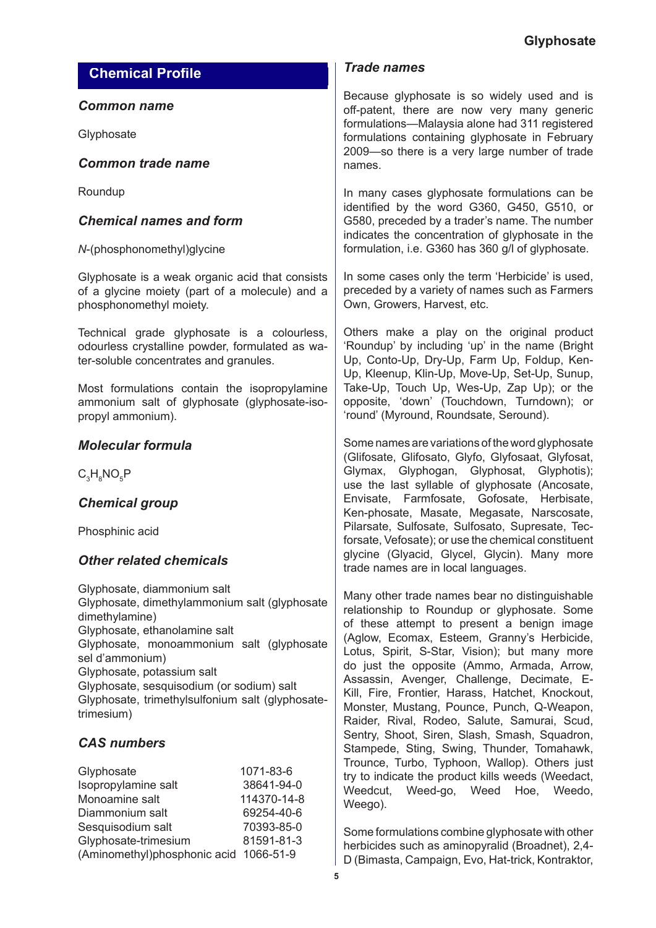# **Chemical Profile**

## *Common name*

**Glyphosate** 

## *Common trade name*

Roundup

# *Chemical names and form*

*N*-(phosphonomethyl)glycine

Glyphosate is a weak organic acid that consists of a glycine moiety (part of a molecule) and a phosphonomethyl moiety.

Technical grade glyphosate is a colourless, odourless crystalline powder, formulated as water-soluble concentrates and granules.

Most formulations contain the isopropylamine ammonium salt of glyphosate (glyphosate-isopropyl ammonium).

# *Molecular formula*

 $\rm C^{}_3H^{}_8NO^{}_5P$ 

# *Chemical group*

Phosphinic acid

# *Other related chemicals*

Glyphosate, diammonium salt Glyphosate, dimethylammonium salt (glyphosate dimethylamine) Glyphosate, ethanolamine salt Glyphosate, monoammonium salt (glyphosate sel d'ammonium) Glyphosate, potassium salt Glyphosate, sesquisodium (or sodium) salt Glyphosate, trimethylsulfonium salt (glyphosatetrimesium)

# *CAS numbers*

| Glyphosate                             | 1071-83-6   |
|----------------------------------------|-------------|
| Isopropylamine salt                    | 38641-94-0  |
| Monoamine salt                         | 114370-14-8 |
| Diammonium salt                        | 69254-40-6  |
| Sesquisodium salt                      | 70393-85-0  |
| Glyphosate-trimesium                   | 81591-81-3  |
| (Aminomethyl)phosphonic acid 1066-51-9 |             |

## *Trade names*

Because glyphosate is so widely used and is off-patent, there are now very many generic formulations—Malaysia alone had 311 registered formulations containing glyphosate in February 2009—so there is a very large number of trade names.

In many cases glyphosate formulations can be identified by the word G360, G450, G510, or G580, preceded by a trader's name. The number indicates the concentration of glyphosate in the formulation, i.e. G360 has 360 g/l of glyphosate.

In some cases only the term 'Herbicide' is used, preceded by a variety of names such as Farmers Own, Growers, Harvest, etc.

Others make a play on the original product 'Roundup' by including 'up' in the name (Bright Up, Conto-Up, Dry-Up, Farm Up, Foldup, Ken-Up, Kleenup, Klin-Up, Move-Up, Set-Up, Sunup, Take-Up, Touch Up, Wes-Up, Zap Up); or the opposite, 'down' (Touchdown, Turndown); or 'round' (Myround, Roundsate, Seround).

Some names are variations of the word glyphosate (Glifosate, Glifosato, Glyfo, Glyfosaat, Glyfosat, Glymax, Glyphogan, Glyphosat, Glyphotis); use the last syllable of glyphosate (Ancosate, Envisate, Farmfosate, Gofosate, Herbisate, Ken-phosate, Masate, Megasate, Narscosate, Pilarsate, Sulfosate, Sulfosato, Supresate, Tecforsate, Vefosate); or use the chemical constituent glycine (Glyacid, Glycel, Glycin). Many more trade names are in local languages.

Many other trade names bear no distinguishable relationship to Roundup or glyphosate. Some of these attempt to present a benign image (Aglow, Ecomax, Esteem, Granny's Herbicide, Lotus, Spirit, S-Star, Vision); but many more do just the opposite (Ammo, Armada, Arrow, Assassin, Avenger, Challenge, Decimate, E-Kill, Fire, Frontier, Harass, Hatchet, Knockout, Monster, Mustang, Pounce, Punch, Q-Weapon, Raider, Rival, Rodeo, Salute, Samurai, Scud, Sentry, Shoot, Siren, Slash, Smash, Squadron, Stampede, Sting, Swing, Thunder, Tomahawk, Trounce, Turbo, Typhoon, Wallop). Others just try to indicate the product kills weeds (Weedact, Weedcut, Weed-go, Weed Hoe, Weedo, Weego).

Some formulations combine glyphosate with other herbicides such as aminopyralid (Broadnet), 2,4- D (Bimasta, Campaign, Evo, Hat-trick, Kontraktor,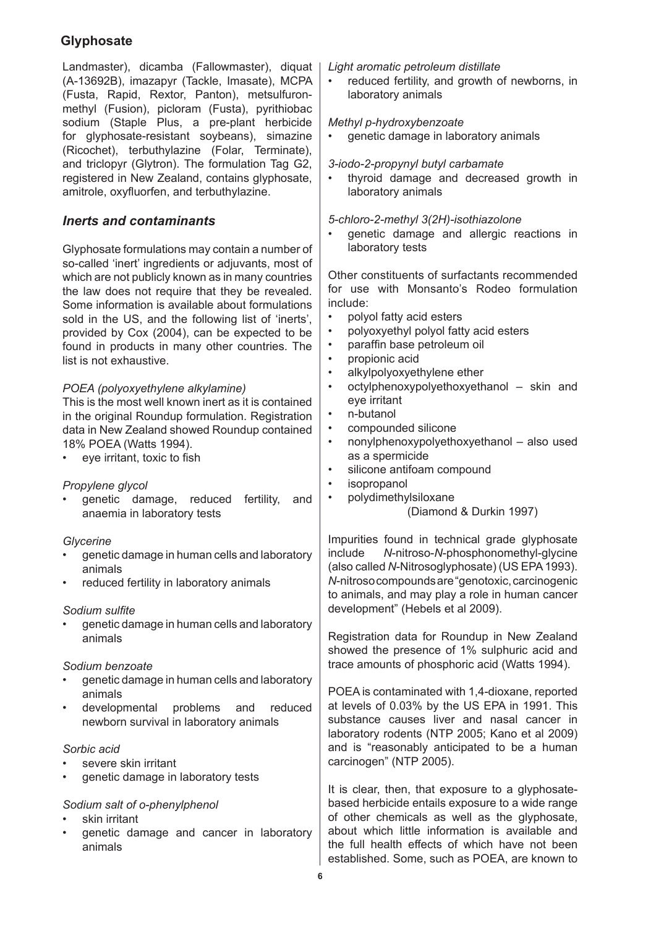Landmaster), dicamba (Fallowmaster), diquat (A-13692B), imazapyr (Tackle, Imasate), MCPA (Fusta, Rapid, Rextor, Panton), metsulfuronmethyl (Fusion), picloram (Fusta), pyrithiobac sodium (Staple Plus, a pre-plant herbicide for glyphosate-resistant soybeans), simazine (Ricochet), terbuthylazine (Folar, Terminate), and triclopyr (Glytron). The formulation Tag G2, registered in New Zealand, contains glyphosate, amitrole, oxyfluorfen, and terbuthylazine.

# *Inerts and contaminants*

Glyphosate formulations may contain a number of so-called 'inert' ingredients or adjuvants, most of which are not publicly known as in many countries the law does not require that they be revealed. Some information is available about formulations sold in the US, and the following list of 'inerts', provided by Cox (2004), can be expected to be found in products in many other countries. The list is not exhaustive.

## *POEA (polyoxyethylene alkylamine)*

This is the most well known inert as it is contained in the original Roundup formulation. Registration data in New Zealand showed Roundup contained 18% POEA (Watts 1994).

• eye irritant, toxic to fish

## *Propylene glycol*

genetic damage, reduced fertility, and anaemia in laboratory tests •

## *Glycerine*

- genetic damage in human cells and laboratory animals •
- reduced fertility in laboratory animals •

## *Sodium sulfite*

genetic damage in human cells and laboratory animals •

## *Sodium benzoate*

- genetic damage in human cells and laboratory animals •
- developmental problems and reduced newborn survival in laboratory animals •

#### *Sorbic acid*

- severe skin irritant •
- genetic damage in laboratory tests •

## *Sodium salt of o-phenylphenol*

- skin irritant •
- genetic damage and cancer in laboratory animals •

#### *Light aromatic petroleum distillate*

reduced fertility, and growth of newborns, in laboratory animals •

#### *Methyl p-hydroxybenzoate*

genetic damage in laboratory animals •

#### *3-iodo-2-propynyl butyl carbamate*

thyroid damage and decreased growth in laboratory animals •

#### *5-chloro-2-methyl 3(2H)-isothiazolone*

genetic damage and allergic reactions in laboratory tests •

Other constituents of surfactants recommended for use with Monsanto's Rodeo formulation include:

- polyol fatty acid esters •
- polyoxyethyl polyol fatty acid esters •
- paraffin base petroleum oil •
- propionic acid •
- alkylpolyoxyethylene ether •
- octylphenoxypolyethoxyethanol skin and eye irritant •
- n-butanol •
- compounded silicone •
- nonylphenoxypolyethoxyethanol also used as a spermicide •
- silicone antifoam compound •
- isopropanol •
- polydimethylsiloxane •

## (Diamond & Durkin 1997)

Impurities found in technical grade glyphosate include *N*-nitroso-*N*-phosphonomethyl-glycine (also called *N*-Nitrosoglyphosate) (US EPA 1993). *N*-nitroso compounds are "genotoxic, carcinogenic to animals, and may play a role in human cancer development" (Hebels et al 2009).

Registration data for Roundup in New Zealand showed the presence of 1% sulphuric acid and trace amounts of phosphoric acid (Watts 1994).

POEA is contaminated with 1,4-dioxane, reported at levels of 0.03% by the US EPA in 1991. This substance causes liver and nasal cancer in laboratory rodents (NTP 2005; Kano et al 2009) and is "reasonably anticipated to be a human carcinogen" (NTP 2005).

It is clear, then, that exposure to a glyphosatebased herbicide entails exposure to a wide range of other chemicals as well as the glyphosate, about which little information is available and the full health effects of which have not been established. Some, such as POEA, are known to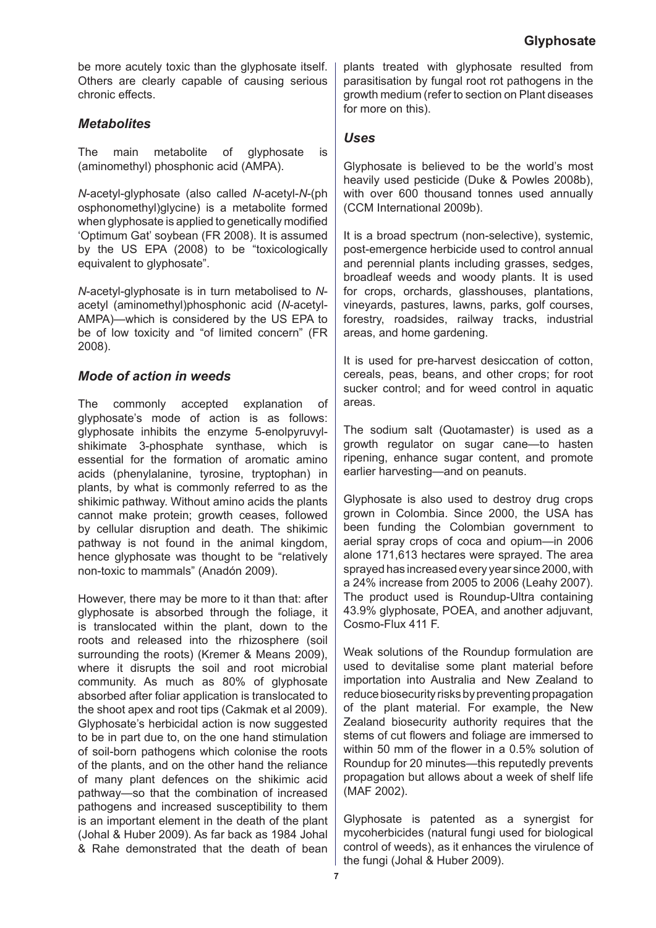be more acutely toxic than the glyphosate itself. Others are clearly capable of causing serious chronic effects.

# *Metabolites*

The main metabolite of glyphosate is (aminomethyl) phosphonic acid (AMPA).

*N*-acetyl-glyphosate (also called *N*-acetyl-*N*-(ph osphonomethyl)glycine) is a metabolite formed when glyphosate is applied to genetically modified 'Optimum Gat' soybean (FR 2008). It is assumed by the US EPA (2008) to be "toxicologically equivalent to glyphosate".

*N*-acetyl-glyphosate is in turn metabolised to *N*acetyl (aminomethyl)phosphonic acid (*N*-acetyl-AMPA)—which is considered by the US EPA to be of low toxicity and "of limited concern" (FR 2008).

# *Mode of action in weeds*

The commonly accepted explanation of glyphosate's mode of action is as follows: glyphosate inhibits the enzyme 5-enolpyruvylshikimate 3-phosphate synthase, which is essential for the formation of aromatic amino acids (phenylalanine, tyrosine, tryptophan) in plants, by what is commonly referred to as the shikimic pathway. Without amino acids the plants cannot make protein; growth ceases, followed by cellular disruption and death. The shikimic pathway is not found in the animal kingdom, hence glyphosate was thought to be "relatively non-toxic to mammals" (Anadón 2009).

However, there may be more to it than that: after glyphosate is absorbed through the foliage, it is translocated within the plant, down to the roots and released into the rhizosphere (soil surrounding the roots) (Kremer & Means 2009), where it disrupts the soil and root microbial community. As much as 80% of glyphosate absorbed after foliar application is translocated to the shoot apex and root tips (Cakmak et al 2009). Glyphosate's herbicidal action is now suggested to be in part due to, on the one hand stimulation of soil-born pathogens which colonise the roots of the plants, and on the other hand the reliance of many plant defences on the shikimic acid pathway—so that the combination of increased pathogens and increased susceptibility to them is an important element in the death of the plant (Johal & Huber 2009). As far back as 1984 Johal & Rahe demonstrated that the death of bean

plants treated with glyphosate resulted from parasitisation by fungal root rot pathogens in the growth medium (refer to section on Plant diseases for more on this).

## *Uses*

Glyphosate is believed to be the world's most heavily used pesticide (Duke & Powles 2008b), with over 600 thousand tonnes used annually (CCM International 2009b).

It is a broad spectrum (non-selective), systemic, post-emergence herbicide used to control annual and perennial plants including grasses, sedges, broadleaf weeds and woody plants. It is used for crops, orchards, glasshouses, plantations, vineyards, pastures, lawns, parks, golf courses, forestry, roadsides, railway tracks, industrial areas, and home gardening.

It is used for pre-harvest desiccation of cotton, cereals, peas, beans, and other crops; for root sucker control; and for weed control in aquatic areas.

The sodium salt (Quotamaster) is used as a growth regulator on sugar cane—to hasten ripening, enhance sugar content, and promote earlier harvesting—and on peanuts.

Glyphosate is also used to destroy drug crops grown in Colombia. Since 2000, the USA has been funding the Colombian government to aerial spray crops of coca and opium—in 2006 alone 171,613 hectares were sprayed. The area sprayed has increased every year since 2000, with a 24% increase from 2005 to 2006 (Leahy 2007). The product used is Roundup-Ultra containing 43.9% glyphosate, POEA, and another adjuvant, Cosmo-Flux 411 F.

Weak solutions of the Roundup formulation are used to devitalise some plant material before importation into Australia and New Zealand to reduce biosecurity risks by preventing propagation of the plant material. For example, the New Zealand biosecurity authority requires that the stems of cut flowers and foliage are immersed to within 50 mm of the flower in a 0.5% solution of Roundup for 20 minutes—this reputedly prevents propagation but allows about a week of shelf life (MAF 2002).

Glyphosate is patented as a synergist for mycoherbicides (natural fungi used for biological control of weeds), as it enhances the virulence of the fungi (Johal & Huber 2009).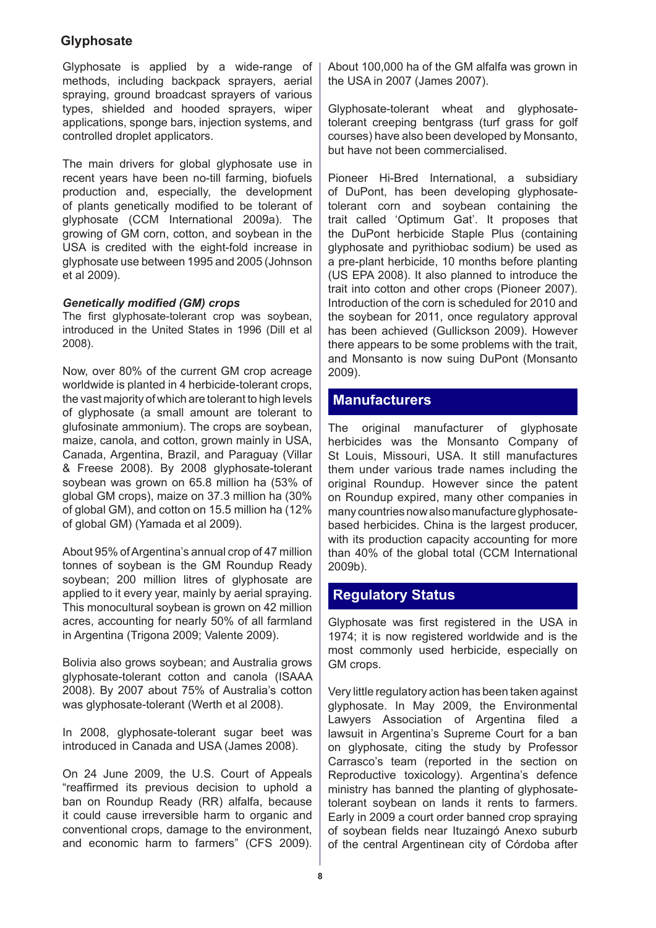Glyphosate is applied by a wide-range of methods, including backpack sprayers, aerial spraying, ground broadcast sprayers of various types, shielded and hooded sprayers, wiper applications, sponge bars, injection systems, and controlled droplet applicators.

The main drivers for global glyphosate use in recent years have been no-till farming, biofuels production and, especially, the development of plants genetically modified to be tolerant of glyphosate (CCM International 2009a). The growing of GM corn, cotton, and soybean in the USA is credited with the eight-fold increase in glyphosate use between 1995 and 2005 (Johnson et al 2009).

## *Genetically modified (GM) crops*

The first glyphosate-tolerant crop was soybean, introduced in the United States in 1996 (Dill et al 2008).

Now, over 80% of the current GM crop acreage worldwide is planted in 4 herbicide-tolerant crops, the vast majority of which are tolerant to high levels of glyphosate (a small amount are tolerant to glufosinate ammonium). The crops are soybean, maize, canola, and cotton, grown mainly in USA, Canada, Argentina, Brazil, and Paraguay (Villar & Freese 2008). By 2008 glyphosate-tolerant soybean was grown on 65.8 million ha (53% of global GM crops), maize on 37.3 million ha (30% of global GM), and cotton on 15.5 million ha (12% of global GM) (Yamada et al 2009).

About 95% of Argentina's annual crop of 47 million tonnes of soybean is the GM Roundup Ready soybean; 200 million litres of glyphosate are applied to it every year, mainly by aerial spraying. This monocultural soybean is grown on 42 million acres, accounting for nearly 50% of all farmland in Argentina (Trigona 2009; Valente 2009).

Bolivia also grows soybean; and Australia grows glyphosate-tolerant cotton and canola (ISAAA 2008). By 2007 about 75% of Australia's cotton was glyphosate-tolerant (Werth et al 2008).

In 2008, glyphosate-tolerant sugar beet was introduced in Canada and USA (James 2008).

On 24 June 2009, the U.S. Court of Appeals "reaffirmed its previous decision to uphold a ban on Roundup Ready (RR) alfalfa, because it could cause irreversible harm to organic and conventional crops, damage to the environment, and economic harm to farmers" (CFS 2009). About 100,000 ha of the GM alfalfa was grown in the USA in 2007 (James 2007).

Glyphosate-tolerant wheat and glyphosatetolerant creeping bentgrass (turf grass for golf courses) have also been developed by Monsanto, but have not been commercialised.

Pioneer Hi-Bred International, a subsidiary of DuPont, has been developing glyphosatetolerant corn and soybean containing the trait called 'Optimum Gat'. It proposes that the DuPont herbicide Staple Plus (containing glyphosate and pyrithiobac sodium) be used as a pre-plant herbicide, 10 months before planting (US EPA 2008). It also planned to introduce the trait into cotton and other crops (Pioneer 2007). Introduction of the corn is scheduled for 2010 and the soybean for 2011, once regulatory approval has been achieved (Gullickson 2009). However there appears to be some problems with the trait, and Monsanto is now suing DuPont (Monsanto 2009).

# **Manufacturers**

The original manufacturer of glyphosate herbicides was the Monsanto Company of St Louis, Missouri, USA. It still manufactures them under various trade names including the original Roundup. However since the patent on Roundup expired, many other companies in many countries now also manufacture glyphosatebased herbicides. China is the largest producer, with its production capacity accounting for more than 40% of the global total (CCM International 2009b).

# **Regulatory Status**

Glyphosate was first registered in the USA in 1974; it is now registered worldwide and is the most commonly used herbicide, especially on GM crops.

Very little regulatory action has been taken against glyphosate. In May 2009, the Environmental Lawyers Association of Argentina filed a lawsuit in Argentina's Supreme Court for a ban on glyphosate, citing the study by Professor Carrasco's team (reported in the section on Reproductive toxicology). Argentina's defence ministry has banned the planting of glyphosatetolerant soybean on lands it rents to farmers. Early in 2009 a court order banned crop spraying of soybean fields near Ituzaingó Anexo suburb of the central Argentinean city of Córdoba after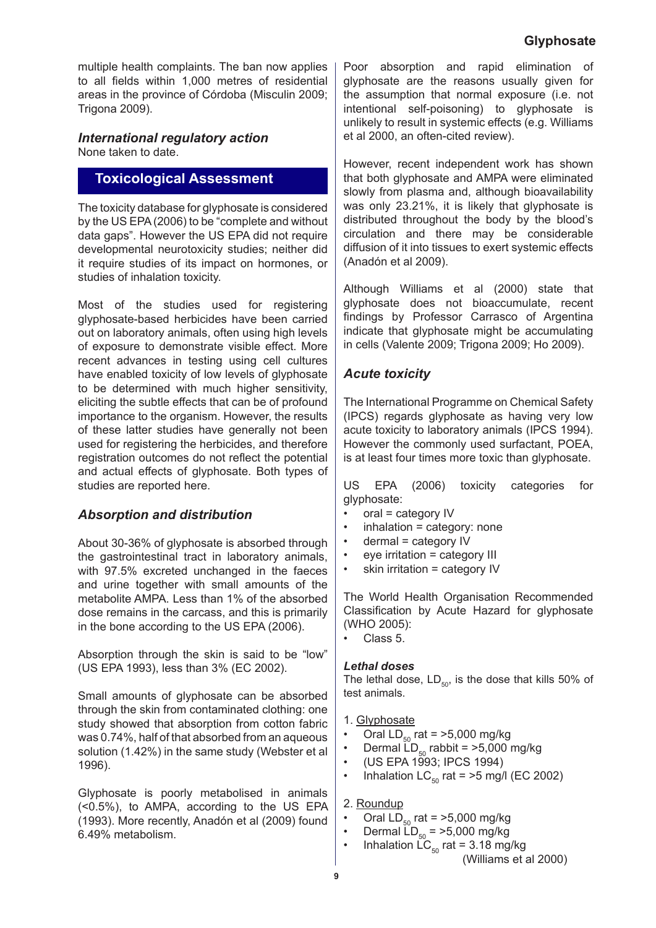multiple health complaints. The ban now applies to all fields within 1,000 metres of residential areas in the province of Córdoba (Misculin 2009; Trigona 2009).

#### *International regulatory action* None taken to date.

# **Toxicological Assessment**

The toxicity database for glyphosate is considered by the US EPA (2006) to be "complete and without data gaps". However the US EPA did not require developmental neurotoxicity studies; neither did it require studies of its impact on hormones, or studies of inhalation toxicity.

Most of the studies used for registering glyphosate-based herbicides have been carried out on laboratory animals, often using high levels of exposure to demonstrate visible effect. More recent advances in testing using cell cultures have enabled toxicity of low levels of glyphosate to be determined with much higher sensitivity, eliciting the subtle effects that can be of profound importance to the organism. However, the results of these latter studies have generally not been used for registering the herbicides, and therefore registration outcomes do not reflect the potential and actual effects of glyphosate. Both types of studies are reported here.

## *Absorption and distribution*

About 30-36% of glyphosate is absorbed through the gastrointestinal tract in laboratory animals, with 97.5% excreted unchanged in the faeces and urine together with small amounts of the metabolite AMPA. Less than 1% of the absorbed dose remains in the carcass, and this is primarily in the bone according to the US EPA (2006).

Absorption through the skin is said to be "low" (US EPA 1993), less than 3% (EC 2002).

Small amounts of glyphosate can be absorbed through the skin from contaminated clothing: one study showed that absorption from cotton fabric was 0.74%, half of that absorbed from an aqueous solution (1.42%) in the same study (Webster et al 1996).

Glyphosate is poorly metabolised in animals (<0.5%), to AMPA, according to the US EPA (1993). More recently, Anadón et al (2009) found 6.49% metabolism.

Poor absorption and rapid elimination of glyphosate are the reasons usually given for the assumption that normal exposure (i.e. not intentional self-poisoning) to glyphosate is unlikely to result in systemic effects (e.g. Williams et al 2000, an often-cited review).

However, recent independent work has shown that both glyphosate and AMPA were eliminated slowly from plasma and, although bioavailability was only 23.21%, it is likely that glyphosate is distributed throughout the body by the blood's circulation and there may be considerable diffusion of it into tissues to exert systemic effects (Anadón et al 2009).

Although Williams et al (2000) state that glyphosate does not bioaccumulate, recent findings by Professor Carrasco of Argentina indicate that glyphosate might be accumulating in cells (Valente 2009; Trigona 2009; Ho 2009).

# *Acute toxicity*

The International Programme on Chemical Safety (IPCS) regards glyphosate as having very low acute toxicity to laboratory animals (IPCS 1994). However the commonly used surfactant, POEA, is at least four times more toxic than glyphosate.

US EPA (2006) toxicity categories for glyphosate:

- oral = category IV •
- inhalation = category: none •
- dermal = category IV •
- eye irritation = category III •
- skin irritation = category IV •

The World Health Organisation Recommended Classification by Acute Hazard for glyphosate (WHO 2005):

Class 5. •

## *Lethal doses*

The lethal dose,  $LD_{50}$ , is the dose that kills 50% of test animals.

## 1. Glyphosate

- Oral  $LD_{50}$  rat = >5,000 mg/kg •
- Dermal  $\overline{LD}_{50}$  rabbit = >5,000 mg/kg •
- (US EPA 1993; IPCS 1994) •
- Inhalation  $LC_{50}$  rat = >5 mg/l (EC 2002) •

## 2. Roundup

- Oral  $LD_{50}$  rat = >5,000 mg/kg •
- Dermal  $LD_{50}$  = >5,000 mg/kg •
	- Inhalation  $LC_{50}$  rat = 3.18 mg/kg

(Williams et al 2000)

•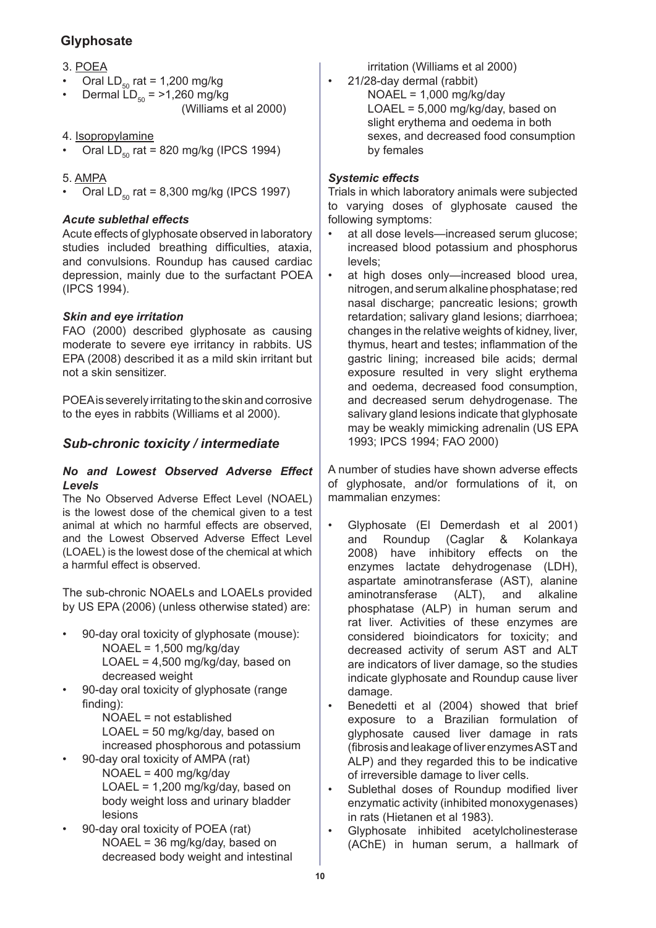- 3. POEA
- Oral  $LD_{50}$  rat = 1,200 mg/kg •
- Dermal  $LD_{50} = 1,260$  mg/kg (Williams et al 2000) •
- 4. Isopropylamine
- Oral  $LD_{50}$  rat = 820 mg/kg (IPCS 1994) •
- 5. AMPA
- Oral  $LD_{50}$  rat = 8,300 mg/kg (IPCS 1997) •

## *Acute sublethal effects*

Acute effects of glyphosate observed in laboratory studies included breathing difficulties, ataxia, and convulsions. Roundup has caused cardiac depression, mainly due to the surfactant POEA (IPCS 1994).

## *Skin and eye irritation*

FAO (2000) described glyphosate as causing moderate to severe eye irritancy in rabbits. US EPA (2008) described it as a mild skin irritant but not a skin sensitizer.

POEA is severely irritating to the skin and corrosive to the eyes in rabbits (Williams et al 2000).

# *Sub-chronic toxicity / intermediate*

#### *No and Lowest Observed Adverse Effect Levels*

The No Observed Adverse Effect Level (NOAEL) is the lowest dose of the chemical given to a test animal at which no harmful effects are observed, and the Lowest Observed Adverse Effect Level (LOAEL) is the lowest dose of the chemical at which a harmful effect is observed.

The sub-chronic NOAELs and LOAELs provided by US EPA (2006) (unless otherwise stated) are:

- 90-day oral toxicity of glyphosate (mouse): NOAEL = 1,500 mg/kg/day LOAEL = 4,500 mg/kg/day, based on decreased weight •
- 90-day oral toxicity of glyphosate (range finding): •

NOAEL = not established LOAEL = 50 mg/kg/day, based on increased phosphorous and potassium

- 90-day oral toxicity of AMPA (rat) NOAEL = 400 mg/kg/day LOAEL = 1,200 mg/kg/day, based on body weight loss and urinary bladder lesions •
- 90-day oral toxicity of POEA (rat) NOAEL = 36 mg/kg/day, based on decreased body weight and intestinal •

irritation (Williams et al 2000)

21/28-day dermal (rabbit)  $NOAEL = 1,000$  mg/kg/day LOAEL = 5,000 mg/kg/day, based on slight erythema and oedema in both sexes, and decreased food consumption by females

## *Systemic effects*

•

Trials in which laboratory animals were subjected to varying doses of glyphosate caused the following symptoms:

- at all dose levels—increased serum glucose; increased blood potassium and phosphorus levels; •
- at high doses only—increased blood urea, nitrogen, and serum alkaline phosphatase; red nasal discharge; pancreatic lesions; growth retardation; salivary gland lesions; diarrhoea; changes in the relative weights of kidney, liver, thymus, heart and testes; inflammation of the gastric lining; increased bile acids; dermal exposure resulted in very slight erythema and oedema, decreased food consumption, and decreased serum dehydrogenase. The salivary gland lesions indicate that glyphosate may be weakly mimicking adrenalin (US EPA 1993; IPCS 1994; FAO 2000) •

A number of studies have shown adverse effects of glyphosate, and/or formulations of it, on mammalian enzymes:

- Glyphosate (El Demerdash et al 2001) and Roundup (Caglar & Kolankaya 2008) have inhibitory effects on the enzymes lactate dehydrogenase (LDH), aspartate aminotransferase (AST), alanine aminotransferase (ALT), and alkaline phosphatase (ALP) in human serum and rat liver. Activities of these enzymes are considered bioindicators for toxicity; and decreased activity of serum AST and ALT are indicators of liver damage, so the studies indicate glyphosate and Roundup cause liver damage. •
- Benedetti et al (2004) showed that brief exposure to a Brazilian formulation of glyphosate caused liver damage in rats (fibrosis and leakage of liver enzymes AST and ALP) and they regarded this to be indicative of irreversible damage to liver cells. •
- Sublethal doses of Roundup modified liver enzymatic activity (inhibited monoxygenases) in rats (Hietanen et al 1983). •
- Glyphosate inhibited acetylcholinesterase (AChE) in human serum, a hallmark of •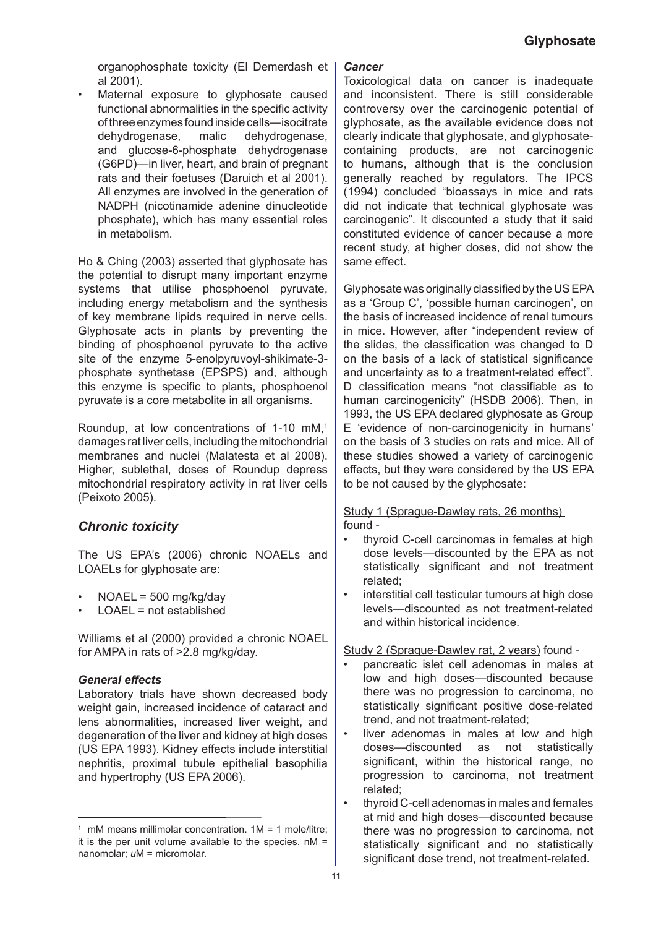organophosphate toxicity (El Demerdash et al 2001).

Maternal exposure to glyphosate caused functional abnormalities in the specific activity of three enzymes found inside cells—isocitrate dehydrogenase, malic dehydrogenase, and glucose-6-phosphate dehydrogenase (G6PD)—in liver, heart, and brain of pregnant rats and their foetuses (Daruich et al 2001). All enzymes are involved in the generation of NADPH (nicotinamide adenine dinucleotide phosphate), which has many essential roles in metabolism. •

Ho & Ching (2003) asserted that glyphosate has the potential to disrupt many important enzyme systems that utilise phosphoenol pyruvate, including energy metabolism and the synthesis of key membrane lipids required in nerve cells. Glyphosate acts in plants by preventing the binding of phosphoenol pyruvate to the active site of the enzyme 5-enolpyruvoyl-shikimate-3 phosphate synthetase (EPSPS) and, although this enzyme is specific to plants, phosphoenol pyruvate is a core metabolite in all organisms.

Roundup, at low concentrations of 1-10 mM,<sup>1</sup> damages rat liver cells, including the mitochondrial membranes and nuclei (Malatesta et al 2008). Higher, sublethal, doses of Roundup depress mitochondrial respiratory activity in rat liver cells (Peixoto 2005).

# *Chronic toxicity*

The US EPA's (2006) chronic NOAELs and LOAELs for glyphosate are:

- NOAEL = 500 mg/kg/day •
- $LOAFL = not established$ •

Williams et al (2000) provided a chronic NOAEL for AMPA in rats of >2.8 mg/kg/day.

## *General effects*

Laboratory trials have shown decreased body weight gain, increased incidence of cataract and lens abnormalities, increased liver weight, and degeneration of the liver and kidney at high doses (US EPA 1993). Kidney effects include interstitial nephritis, proximal tubule epithelial basophilia and hypertrophy (US EPA 2006).

#### *Cancer*

Toxicological data on cancer is inadequate and inconsistent. There is still considerable controversy over the carcinogenic potential of glyphosate, as the available evidence does not clearly indicate that glyphosate, and glyphosatecontaining products, are not carcinogenic to humans, although that is the conclusion generally reached by regulators. The IPCS (1994) concluded "bioassays in mice and rats did not indicate that technical glyphosate was carcinogenic". It discounted a study that it said constituted evidence of cancer because a more recent study, at higher doses, did not show the same effect.

Glyphosate was originally classified by the US EPA as a 'Group C', 'possible human carcinogen', on the basis of increased incidence of renal tumours in mice. However, after "independent review of the slides, the classification was changed to D on the basis of a lack of statistical significance and uncertainty as to a treatment-related effect". D classification means "not classifiable as to human carcinogenicity" (HSDB 2006). Then, in 1993, the US EPA declared glyphosate as Group E 'evidence of non-carcinogenicity in humans' on the basis of 3 studies on rats and mice. All of these studies showed a variety of carcinogenic effects, but they were considered by the US EPA to be not caused by the glyphosate:

#### Study 1 (Sprague-Dawley rats, 26 months) found -

- thyroid C-cell carcinomas in females at high dose levels—discounted by the EPA as not statistically significant and not treatment related; •
- interstitial cell testicular tumours at high dose levels—discounted as not treatment-related and within historical incidence. •

#### Study 2 (Sprague-Dawley rat, 2 years) found -

- pancreatic islet cell adenomas in males at low and high doses—discounted because there was no progression to carcinoma, no statistically significant positive dose-related trend, and not treatment-related; •
- liver adenomas in males at low and high doses—discounted as not statistically significant, within the historical range, no progression to carcinoma, not treatment related; •
- thyroid C-cell adenomas in males and females at mid and high doses—discounted because there was no progression to carcinoma, not statistically significant and no statistically significant dose trend, not treatment-related. •

<sup>1</sup> mM means millimolar concentration. 1M = 1 mole/litre; it is the per unit volume available to the species.  $nM =$ nanomolar; *u*M = micromolar.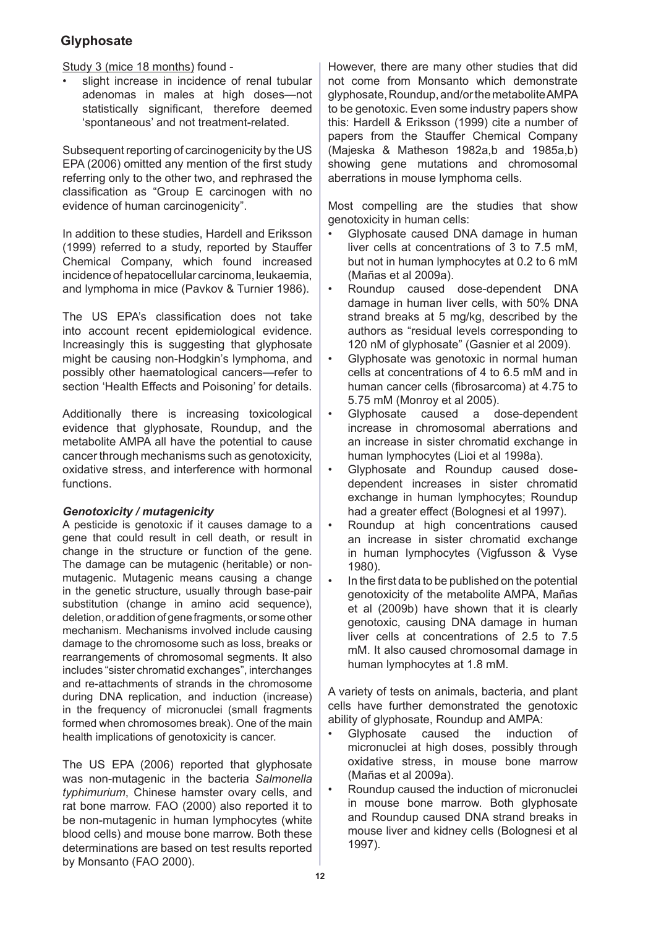Study 3 (mice 18 months) found -

slight increase in incidence of renal tubular adenomas in males at high doses—not statistically significant, therefore deemed 'spontaneous' and not treatment-related. •

Subsequent reporting of carcinogenicity by the US EPA (2006) omitted any mention of the first study referring only to the other two, and rephrased the classification as "Group E carcinogen with no evidence of human carcinogenicity".

In addition to these studies, Hardell and Eriksson (1999) referred to a study, reported by Stauffer Chemical Company, which found increased incidence of hepatocellular carcinoma, leukaemia, and lymphoma in mice (Pavkov & Turnier 1986).

The US EPA's classification does not take into account recent epidemiological evidence. Increasingly this is suggesting that glyphosate might be causing non-Hodgkin's lymphoma, and possibly other haematological cancers—refer to section 'Health Effects and Poisoning' for details.

Additionally there is increasing toxicological evidence that glyphosate, Roundup, and the metabolite AMPA all have the potential to cause cancer through mechanisms such as genotoxicity, oxidative stress, and interference with hormonal functions.

## *Genotoxicity / mutagenicity*

A pesticide is genotoxic if it causes damage to a gene that could result in cell death, or result in change in the structure or function of the gene. The damage can be mutagenic (heritable) or nonmutagenic. Mutagenic means causing a change in the genetic structure, usually through base-pair substitution (change in amino acid sequence), deletion, or addition of gene fragments, or some other mechanism. Mechanisms involved include causing damage to the chromosome such as loss, breaks or rearrangements of chromosomal segments. It also includes "sister chromatid exchanges", interchanges and re-attachments of strands in the chromosome during DNA replication, and induction (increase) in the frequency of micronuclei (small fragments formed when chromosomes break). One of the main health implications of genotoxicity is cancer.

The US EPA (2006) reported that glyphosate was non-mutagenic in the bacteria *Salmonella typhimurium*, Chinese hamster ovary cells, and rat bone marrow. FAO (2000) also reported it to be non-mutagenic in human lymphocytes (white blood cells) and mouse bone marrow. Both these determinations are based on test results reported by Monsanto (FAO 2000).

However, there are many other studies that did not come from Monsanto which demonstrate glyphosate, Roundup, and/or the metabolite AMPA to be genotoxic. Even some industry papers show this: Hardell & Eriksson (1999) cite a number of papers from the Stauffer Chemical Company (Majeska & Matheson 1982a,b and 1985a,b) showing gene mutations and chromosomal aberrations in mouse lymphoma cells.

Most compelling are the studies that show genotoxicity in human cells:

- Glyphosate caused DNA damage in human liver cells at concentrations of 3 to 7.5 mM, but not in human lymphocytes at 0.2 to 6 mM (Mañas et al 2009a). •
- Roundup caused dose-dependent DNA damage in human liver cells, with 50% DNA strand breaks at 5 mg/kg, described by the authors as "residual levels corresponding to 120 nM of glyphosate" (Gasnier et al 2009). •
- Glyphosate was genotoxic in normal human cells at concentrations of 4 to 6.5 mM and in human cancer cells (fibrosarcoma) at 4.75 to 5.75 mM (Monroy et al 2005). •
- Glyphosate caused a dose-dependent increase in chromosomal aberrations and an increase in sister chromatid exchange in human lymphocytes (Lioi et al 1998a). •
- Glyphosate and Roundup caused dosedependent increases in sister chromatid exchange in human lymphocytes; Roundup had a greater effect (Bolognesi et al 1997). •
- Roundup at high concentrations caused an increase in sister chromatid exchange in human lymphocytes (Vigfusson & Vyse 1980). •
- In the first data to be published on the potential genotoxicity of the metabolite AMPA, Mañas et al (2009b) have shown that it is clearly genotoxic, causing DNA damage in human liver cells at concentrations of 2.5 to 7.5 mM. It also caused chromosomal damage in human lymphocytes at 1.8 mM. •

A variety of tests on animals, bacteria, and plant cells have further demonstrated the genotoxic ability of glyphosate, Roundup and AMPA:

- Glyphosate caused the induction of micronuclei at high doses, possibly through oxidative stress, in mouse bone marrow (Mañas et al 2009a). •
- Roundup caused the induction of micronuclei in mouse bone marrow. Both glyphosate and Roundup caused DNA strand breaks in mouse liver and kidney cells (Bolognesi et al 1997). •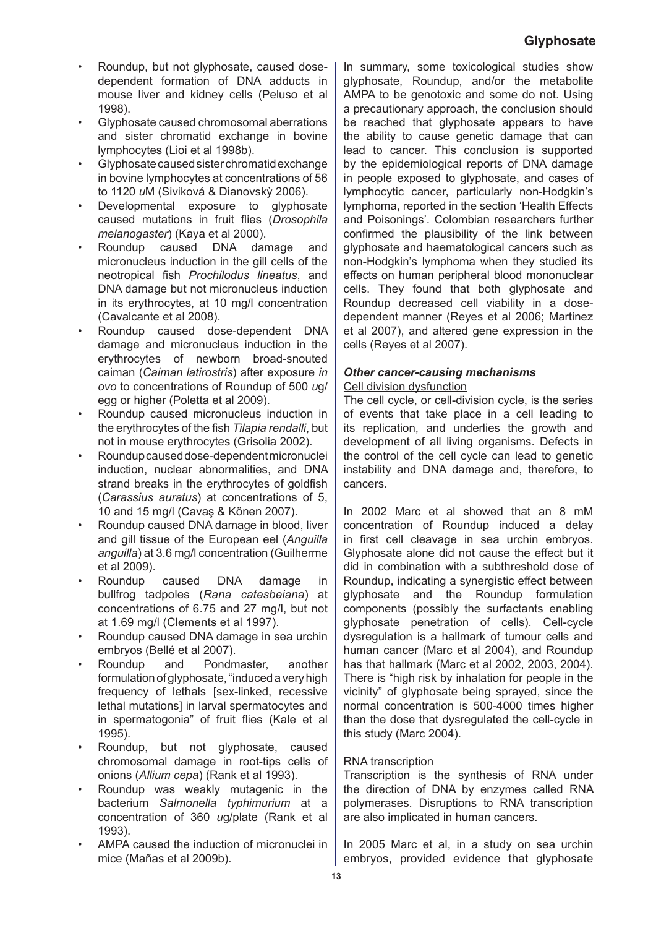- Roundup, but not glyphosate, caused dosedependent formation of DNA adducts in mouse liver and kidney cells (Peluso et al 1998). •
- Glyphosate caused chromosomal aberrations and sister chromatid exchange in bovine lymphocytes (Lioi et al 1998b). •
- Glyphosate caused sister chromatid exchange in bovine lymphocytes at concentrations of 56 to 1120 *u*M (Siviková & Dianovskỳ 2006). •
- Developmental exposure to glyphosate caused mutations in fruit flies (*Drosophila melanogaster*) (Kaya et al 2000). •
- Roundup caused DNA damage and micronucleus induction in the gill cells of the neotropical fish *Prochilodus lineatus*, and DNA damage but not micronucleus induction in its erythrocytes, at 10 mg/l concentration (Cavalcante et al 2008). •
- Roundup caused dose-dependent DNA damage and micronucleus induction in the erythrocytes of newborn broad-snouted caiman (*Caiman latirostris*) after exposure *in ovo* to concentrations of Roundup of 500 *u*g/ egg or higher (Poletta et al 2009). •
- Roundup caused micronucleus induction in the erythrocytes of the fish *Tilapia rendalli*, but not in mouse erythrocytes (Grisolia 2002). •
- Roundup caused dose-dependent micronuclei induction, nuclear abnormalities, and DNA strand breaks in the erythrocytes of goldfish (*Carassius auratus*) at concentrations of 5, 10 and 15 mg/l (Cavaş & Könen 2007). •
- Roundup caused DNA damage in blood, liver and gill tissue of the European eel (*Anguilla anguilla*) at 3.6 mg/l concentration (Guilherme et al 2009). •
- Roundup caused DNA damage in bullfrog tadpoles (*Rana catesbeiana*) at concentrations of 6.75 and 27 mg/l, but not at 1.69 mg/l (Clements et al 1997). •
- Roundup caused DNA damage in sea urchin embryos (Bellé et al 2007). •
- Roundup and Pondmaster, another formulation of glyphosate, "induced a very high frequency of lethals [sex-linked, recessive lethal mutations] in larval spermatocytes and in spermatogonia" of fruit flies (Kale et al 1995). •
- Roundup, but not glyphosate, caused chromosomal damage in root-tips cells of onions (*Allium cepa*) (Rank et al 1993). •
- Roundup was weakly mutagenic in the bacterium *Salmonella typhimurium* at a concentration of 360 *u*g/plate (Rank et al 1993). •
- AMPA caused the induction of micronuclei in mice (Mañas et al 2009b). •

In summary, some toxicological studies show glyphosate, Roundup, and/or the metabolite AMPA to be genotoxic and some do not. Using a precautionary approach, the conclusion should be reached that glyphosate appears to have the ability to cause genetic damage that can lead to cancer. This conclusion is supported by the epidemiological reports of DNA damage in people exposed to glyphosate, and cases of lymphocytic cancer, particularly non-Hodgkin's lymphoma, reported in the section 'Health Effects and Poisonings'. Colombian researchers further confirmed the plausibility of the link between glyphosate and haematological cancers such as non-Hodgkin's lymphoma when they studied its effects on human peripheral blood mononuclear cells. They found that both glyphosate and Roundup decreased cell viability in a dosedependent manner (Reyes et al 2006; Martinez et al 2007), and altered gene expression in the cells (Reyes et al 2007).

# *Other cancer-causing mechanisms*

## Cell division dysfunction

The cell cycle, or cell-division cycle, is the series of events that take place in a cell leading to its replication, and underlies the growth and development of all living organisms. Defects in the control of the cell cycle can lead to genetic instability and DNA damage and, therefore, to cancers.

In 2002 Marc et al showed that an 8 mM concentration of Roundup induced a delay in first cell cleavage in sea urchin embryos. Glyphosate alone did not cause the effect but it did in combination with a subthreshold dose of Roundup, indicating a synergistic effect between glyphosate and the Roundup formulation components (possibly the surfactants enabling glyphosate penetration of cells). Cell-cycle dysregulation is a hallmark of tumour cells and human cancer (Marc et al 2004), and Roundup has that hallmark (Marc et al 2002, 2003, 2004). There is "high risk by inhalation for people in the vicinity" of glyphosate being sprayed, since the normal concentration is 500-4000 times higher than the dose that dysregulated the cell-cycle in this study (Marc 2004).

## RNA transcription

Transcription is the synthesis of RNA under the direction of DNA by enzymes called RNA polymerases. Disruptions to RNA transcription are also implicated in human cancers.

In 2005 Marc et al, in a study on sea urchin embryos, provided evidence that glyphosate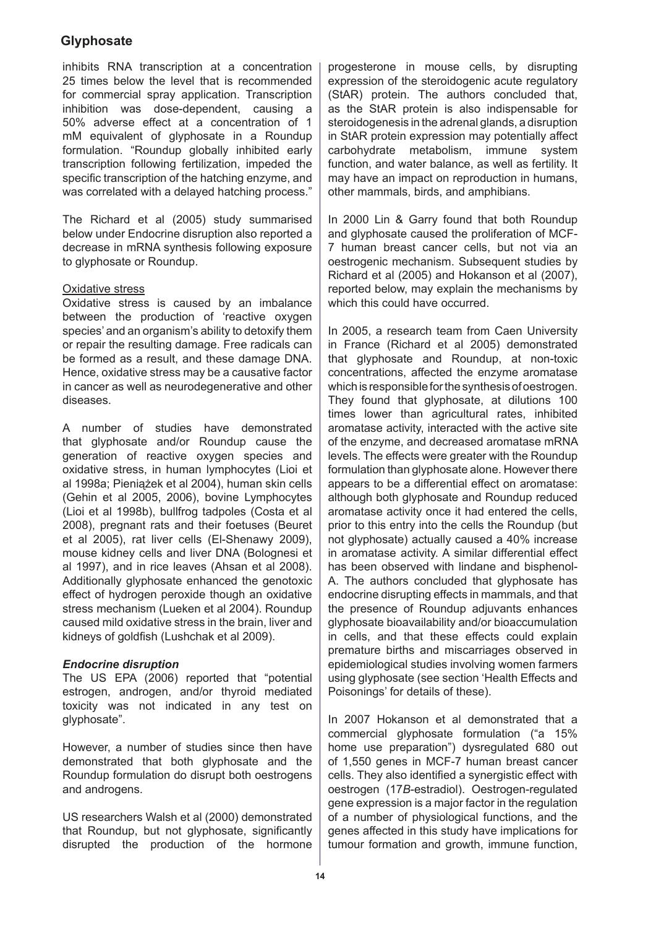inhibits RNA transcription at a concentration 25 times below the level that is recommended for commercial spray application. Transcription inhibition was dose-dependent, causing a 50% adverse effect at a concentration of 1 mM equivalent of glyphosate in a Roundup formulation. "Roundup globally inhibited early transcription following fertilization, impeded the specific transcription of the hatching enzyme, and was correlated with a delayed hatching process."

The Richard et al (2005) study summarised below under Endocrine disruption also reported a decrease in mRNA synthesis following exposure to glyphosate or Roundup.

## Oxidative stress

Oxidative stress is caused by an imbalance between the production of 'reactive oxygen species' and an organism's ability to detoxify them or repair the resulting damage. Free radicals can be formed as a result, and these damage DNA. Hence, oxidative stress may be a causative factor in cancer as well as neurodegenerative and other diseases.

A number of studies have demonstrated that glyphosate and/or Roundup cause the generation of reactive oxygen species and oxidative stress, in human lymphocytes (Lioi et al 1998a; Pieniążek et al 2004), human skin cells (Gehin et al 2005, 2006), bovine Lymphocytes (Lioi et al 1998b), bullfrog tadpoles (Costa et al 2008), pregnant rats and their foetuses (Beuret et al 2005), rat liver cells (El-Shenawy 2009), mouse kidney cells and liver DNA (Bolognesi et al 1997), and in rice leaves (Ahsan et al 2008). Additionally glyphosate enhanced the genotoxic effect of hydrogen peroxide though an oxidative stress mechanism (Lueken et al 2004). Roundup caused mild oxidative stress in the brain, liver and kidneys of goldfish (Lushchak et al 2009).

## *Endocrine disruption*

The US EPA (2006) reported that "potential estrogen, androgen, and/or thyroid mediated toxicity was not indicated in any test on glyphosate".

However, a number of studies since then have demonstrated that both glyphosate and the Roundup formulation do disrupt both oestrogens and androgens.

US researchers Walsh et al (2000) demonstrated that Roundup, but not glyphosate, significantly disrupted the production of the hormone

progesterone in mouse cells, by disrupting expression of the steroidogenic acute regulatory (StAR) protein. The authors concluded that, as the StAR protein is also indispensable for steroidogenesis in the adrenal glands, a disruption in StAR protein expression may potentially affect carbohydrate metabolism, immune system function, and water balance, as well as fertility. It may have an impact on reproduction in humans, other mammals, birds, and amphibians.

In 2000 Lin & Garry found that both Roundup and glyphosate caused the proliferation of MCF-7 human breast cancer cells, but not via an oestrogenic mechanism. Subsequent studies by Richard et al (2005) and Hokanson et al (2007), reported below, may explain the mechanisms by which this could have occurred.

In 2005, a research team from Caen University in France (Richard et al 2005) demonstrated that glyphosate and Roundup, at non-toxic concentrations, affected the enzyme aromatase which is responsible for the synthesis of oestrogen. They found that glyphosate, at dilutions 100 times lower than agricultural rates, inhibited aromatase activity, interacted with the active site of the enzyme, and decreased aromatase mRNA levels. The effects were greater with the Roundup formulation than glyphosate alone. However there appears to be a differential effect on aromatase: although both glyphosate and Roundup reduced aromatase activity once it had entered the cells, prior to this entry into the cells the Roundup (but not glyphosate) actually caused a 40% increase in aromatase activity. A similar differential effect has been observed with lindane and bisphenol-A. The authors concluded that glyphosate has endocrine disrupting effects in mammals, and that the presence of Roundup adjuvants enhances glyphosate bioavailability and/or bioaccumulation in cells, and that these effects could explain premature births and miscarriages observed in epidemiological studies involving women farmers using glyphosate (see section 'Health Effects and Poisonings' for details of these).

In 2007 Hokanson et al demonstrated that a commercial glyphosate formulation ("a 15% home use preparation") dysregulated 680 out of 1,550 genes in MCF-7 human breast cancer cells. They also identified a synergistic effect with oestrogen (17*B*-estradiol). Oestrogen-regulated gene expression is a major factor in the regulation of a number of physiological functions, and the genes affected in this study have implications for tumour formation and growth, immune function,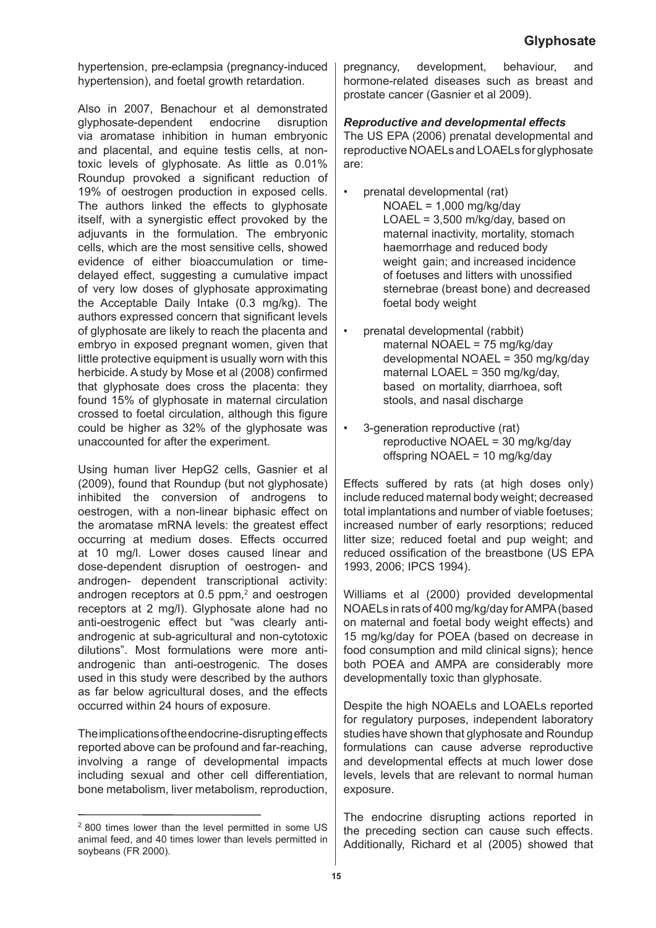hypertension, pre-eclampsia (pregnancy-induced hypertension), and foetal growth retardation.

Also in 2007, Benachour et al demonstrated glyphosate-dependent endocrine disruption via aromatase inhibition in human embryonic and placental, and equine testis cells, at nontoxic levels of glyphosate. As little as 0.01% Roundup provoked a significant reduction of 19% of oestrogen production in exposed cells. The authors linked the effects to glyphosate itself, with a synergistic effect provoked by the adjuvants in the formulation. The embryonic cells, which are the most sensitive cells, showed evidence of either bioaccumulation or timedelayed effect, suggesting a cumulative impact of very low doses of glyphosate approximating the Acceptable Daily Intake (0.3 mg/kg). The authors expressed concern that significant levels of glyphosate are likely to reach the placenta and embryo in exposed pregnant women, given that little protective equipment is usually worn with this herbicide. A study by Mose et al (2008) confirmed that glyphosate does cross the placenta: they found 15% of glyphosate in maternal circulation crossed to foetal circulation, although this figure could be higher as 32% of the glyphosate was unaccounted for after the experiment.

Using human liver HepG2 cells, Gasnier et al (2009), found that Roundup (but not glyphosate) inhibited the conversion of androgens to oestrogen, with a non-linear biphasic effect on the aromatase mRNA levels: the greatest effect occurring at medium doses. Effects occurred at 10 mg/l. Lower doses caused linear and dose-dependent disruption of oestrogen- and androgen- dependent transcriptional activity: androgen receptors at  $0.5$  ppm, $2$  and oestrogen receptors at 2 mg/l). Glyphosate alone had no anti-oestrogenic effect but "was clearly antiandrogenic at sub-agricultural and non-cytotoxic dilutions". Most formulations were more antiandrogenic than anti-oestrogenic. The doses used in this study were described by the authors as far below agricultural doses, and the effects occurred within 24 hours of exposure.

The implications of the endocrine-disrupting effects reported above can be profound and far-reaching, involving a range of developmental impacts including sexual and other cell differentiation, bone metabolism, liver metabolism, reproduction, pregnancy, development, behaviour, and hormone-related diseases such as breast and prostate cancer (Gasnier et al 2009).

## *Reproductive and developmental effects*

•

The US EPA (2006) prenatal developmental and reproductive NOAELs and LOAELs for glyphosate are:

- prenatal developmental (rat) NOAEL = 1,000 mg/kg/day LOAEL = 3,500 m/kg/day, based on maternal inactivity, mortality, stomach haemorrhage and reduced body weight gain; and increased incidence of foetuses and litters with unossified sternebrae (breast bone) and decreased foetal body weight
- prenatal developmental (rabbit) maternal NOAEL = 75 mg/kg/day developmental NOAEL = 350 mg/kg/day maternal LOAEL = 350 mg/kg/day, based on mortality, diarrhoea, soft stools, and nasal discharge •
- 3-generation reproductive (rat) reproductive NOAEL = 30 mg/kg/day offspring NOAEL = 10 mg/kg/day •

Effects suffered by rats (at high doses only) include reduced maternal body weight; decreased total implantations and number of viable foetuses; increased number of early resorptions; reduced litter size; reduced foetal and pup weight; and reduced ossification of the breastbone (US EPA 1993, 2006; IPCS 1994).

Williams et al (2000) provided developmental NOAELs in rats of 400 mg/kg/day for AMPA (based on maternal and foetal body weight effects) and 15 mg/kg/day for POEA (based on decrease in food consumption and mild clinical signs); hence both POEA and AMPA are considerably more developmentally toxic than glyphosate.

Despite the high NOAELs and LOAELs reported for regulatory purposes, independent laboratory studies have shown that glyphosate and Roundup formulations can cause adverse reproductive and developmental effects at much lower dose levels, levels that are relevant to normal human exposure.

The endocrine disrupting actions reported in the preceding section can cause such effects. Additionally, Richard et al (2005) showed that

<sup>2 800</sup> times lower than the level permitted in some US animal feed, and 40 times lower than levels permitted in soybeans (FR 2000).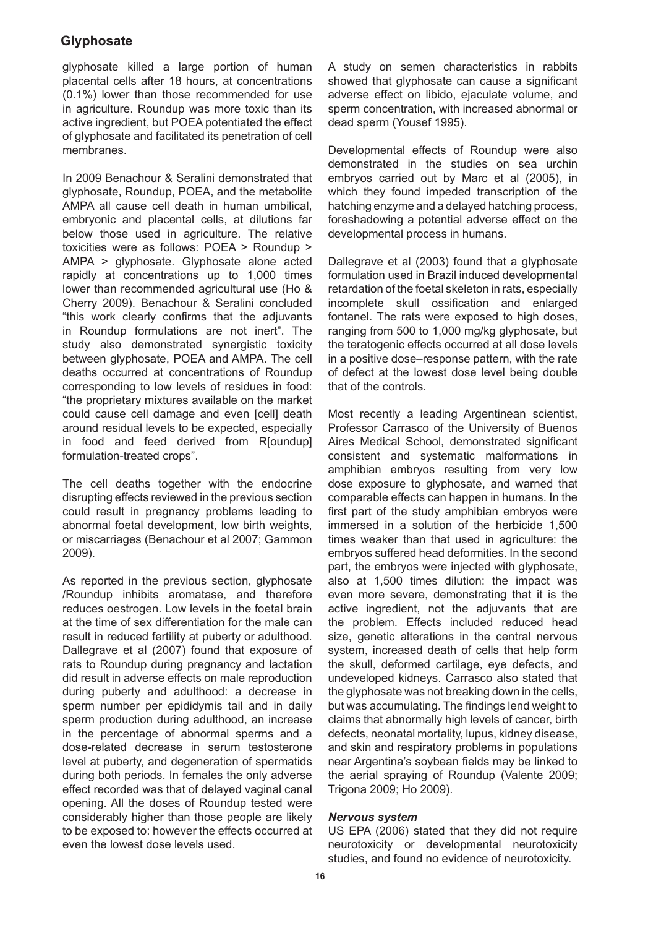glyphosate killed a large portion of human placental cells after 18 hours, at concentrations (0.1%) lower than those recommended for use in agriculture. Roundup was more toxic than its active ingredient, but POEA potentiated the effect of glyphosate and facilitated its penetration of cell membranes.

In 2009 Benachour & Seralini demonstrated that glyphosate, Roundup, POEA, and the metabolite AMPA all cause cell death in human umbilical, embryonic and placental cells, at dilutions far below those used in agriculture. The relative toxicities were as follows: POEA > Roundup > AMPA > glyphosate. Glyphosate alone acted rapidly at concentrations up to 1,000 times lower than recommended agricultural use (Ho & Cherry 2009). Benachour & Seralini concluded "this work clearly confirms that the adjuvants in Roundup formulations are not inert". The study also demonstrated synergistic toxicity between glyphosate, POEA and AMPA. The cell deaths occurred at concentrations of Roundup corresponding to low levels of residues in food: "the proprietary mixtures available on the market could cause cell damage and even [cell] death around residual levels to be expected, especially in food and feed derived from R[oundup] formulation-treated crops".

The cell deaths together with the endocrine disrupting effects reviewed in the previous section could result in pregnancy problems leading to abnormal foetal development, low birth weights, or miscarriages (Benachour et al 2007; Gammon 2009).

As reported in the previous section, glyphosate /Roundup inhibits aromatase, and therefore reduces oestrogen. Low levels in the foetal brain at the time of sex differentiation for the male can result in reduced fertility at puberty or adulthood. Dallegrave et al (2007) found that exposure of rats to Roundup during pregnancy and lactation did result in adverse effects on male reproduction during puberty and adulthood: a decrease in sperm number per epididymis tail and in daily sperm production during adulthood, an increase in the percentage of abnormal sperms and a dose-related decrease in serum testosterone level at puberty, and degeneration of spermatids during both periods. In females the only adverse effect recorded was that of delayed vaginal canal opening. All the doses of Roundup tested were considerably higher than those people are likely to be exposed to: however the effects occurred at even the lowest dose levels used.

A study on semen characteristics in rabbits showed that glyphosate can cause a significant adverse effect on libido, ejaculate volume, and sperm concentration, with increased abnormal or dead sperm (Yousef 1995).

Developmental effects of Roundup were also demonstrated in the studies on sea urchin embryos carried out by Marc et al (2005), in which they found impeded transcription of the hatching enzyme and a delayed hatching process, foreshadowing a potential adverse effect on the developmental process in humans.

Dallegrave et al (2003) found that a glyphosate formulation used in Brazil induced developmental retardation of the foetal skeleton in rats, especially incomplete skull ossification and enlarged fontanel. The rats were exposed to high doses, ranging from 500 to 1,000 mg/kg glyphosate, but the teratogenic effects occurred at all dose levels in a positive dose–response pattern, with the rate of defect at the lowest dose level being double that of the controls.

Most recently a leading Argentinean scientist, Professor Carrasco of the University of Buenos Aires Medical School, demonstrated significant consistent and systematic malformations in amphibian embryos resulting from very low dose exposure to glyphosate, and warned that comparable effects can happen in humans. In the first part of the study amphibian embryos were immersed in a solution of the herbicide 1,500 times weaker than that used in agriculture: the embryos suffered head deformities. In the second part, the embryos were injected with glyphosate, also at 1,500 times dilution: the impact was even more severe, demonstrating that it is the active ingredient, not the adjuvants that are the problem. Effects included reduced head size, genetic alterations in the central nervous system, increased death of cells that help form the skull, deformed cartilage, eye defects, and undeveloped kidneys. Carrasco also stated that the glyphosate was not breaking down in the cells, but was accumulating. The findings lend weight to claims that abnormally high levels of cancer, birth defects, neonatal mortality, lupus, kidney disease, and skin and respiratory problems in populations near Argentina's soybean fields may be linked to the aerial spraying of Roundup (Valente 2009; Trigona 2009; Ho 2009).

#### *Nervous system*

US EPA (2006) stated that they did not require neurotoxicity or developmental neurotoxicity studies, and found no evidence of neurotoxicity.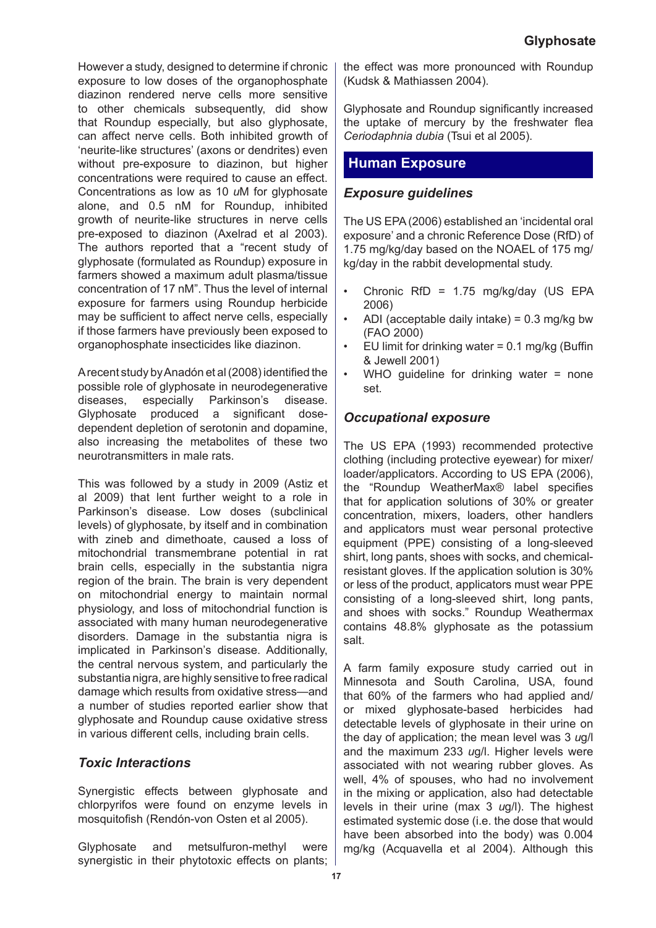However a study, designed to determine if chronic exposure to low doses of the organophosphate diazinon rendered nerve cells more sensitive to other chemicals subsequently, did show that Roundup especially, but also glyphosate, can affect nerve cells. Both inhibited growth of 'neurite-like structures' (axons or dendrites) even without pre-exposure to diazinon, but higher concentrations were required to cause an effect. Concentrations as low as 10 *u*M for glyphosate alone, and 0.5 nM for Roundup, inhibited growth of neurite-like structures in nerve cells pre-exposed to diazinon (Axelrad et al 2003). The authors reported that a "recent study of glyphosate (formulated as Roundup) exposure in farmers showed a maximum adult plasma/tissue concentration of 17 nM". Thus the level of internal exposure for farmers using Roundup herbicide may be sufficient to affect nerve cells, especially if those farmers have previously been exposed to organophosphate insecticides like diazinon.

A recent study by Anadón et al (2008) identified the possible role of glyphosate in neurodegenerative diseases, especially Parkinson's disease. Glyphosate produced a significant dosedependent depletion of serotonin and dopamine, also increasing the metabolites of these two neurotransmitters in male rats.

This was followed by a study in 2009 (Astiz et al 2009) that lent further weight to a role in Parkinson's disease. Low doses (subclinical levels) of glyphosate, by itself and in combination with zineb and dimethoate, caused a loss of mitochondrial transmembrane potential in rat brain cells, especially in the substantia nigra region of the brain. The brain is very dependent on mitochondrial energy to maintain normal physiology, and loss of mitochondrial function is associated with many human neurodegenerative disorders. Damage in the substantia nigra is implicated in Parkinson's disease. Additionally, the central nervous system, and particularly the substantia nigra, are highly sensitive to free radical damage which results from oxidative stress—and a number of studies reported earlier show that glyphosate and Roundup cause oxidative stress in various different cells, including brain cells.

## *Toxic Interactions*

Synergistic effects between glyphosate and chlorpyrifos were found on enzyme levels in mosquitofish (Rendón-von Osten et al 2005).

Glyphosate and metsulfuron-methyl were synergistic in their phytotoxic effects on plants; the effect was more pronounced with Roundup (Kudsk & Mathiassen 2004).

Glyphosate and Roundup significantly increased the uptake of mercury by the freshwater flea *Ceriodaphnia dubia* (Tsui et al 2005).

# **Human Exposure**

## *Exposure guidelines*

The US EPA (2006) established an 'incidental oral exposure' and a chronic Reference Dose (RfD) of 1.75 mg/kg/day based on the NOAEL of 175 mg/ kg/day in the rabbit developmental study.

- Chronic RfD = 1.75 mg/kg/day (US EPA 2006) •
- ADI (acceptable daily intake) = 0.3 mg/kg bw (FAO 2000) •
- EU limit for drinking water  $= 0.1$  mg/kg (Buffin & Jewell 2001) •
- WHO quideline for drinking water = none set. •

# *Occupational exposure*

The US EPA (1993) recommended protective clothing (including protective eyewear) for mixer/ loader/applicators. According to US EPA (2006), the "Roundup WeatherMax® label specifies that for application solutions of 30% or greater concentration, mixers, loaders, other handlers and applicators must wear personal protective equipment (PPE) consisting of a long-sleeved shirt, long pants, shoes with socks, and chemicalresistant gloves. If the application solution is 30% or less of the product, applicators must wear PPE consisting of a long-sleeved shirt, long pants, and shoes with socks." Roundup Weathermax contains 48.8% glyphosate as the potassium salt.

A farm family exposure study carried out in Minnesota and South Carolina, USA, found that 60% of the farmers who had applied and/ or mixed glyphosate-based herbicides had detectable levels of glyphosate in their urine on the day of application; the mean level was 3 *u*g/l and the maximum 233 *u*g/l. Higher levels were associated with not wearing rubber gloves. As well, 4% of spouses, who had no involvement in the mixing or application, also had detectable levels in their urine (max 3 *u*g/l). The highest estimated systemic dose (i.e. the dose that would have been absorbed into the body) was 0.004 mg/kg (Acquavella et al 2004). Although this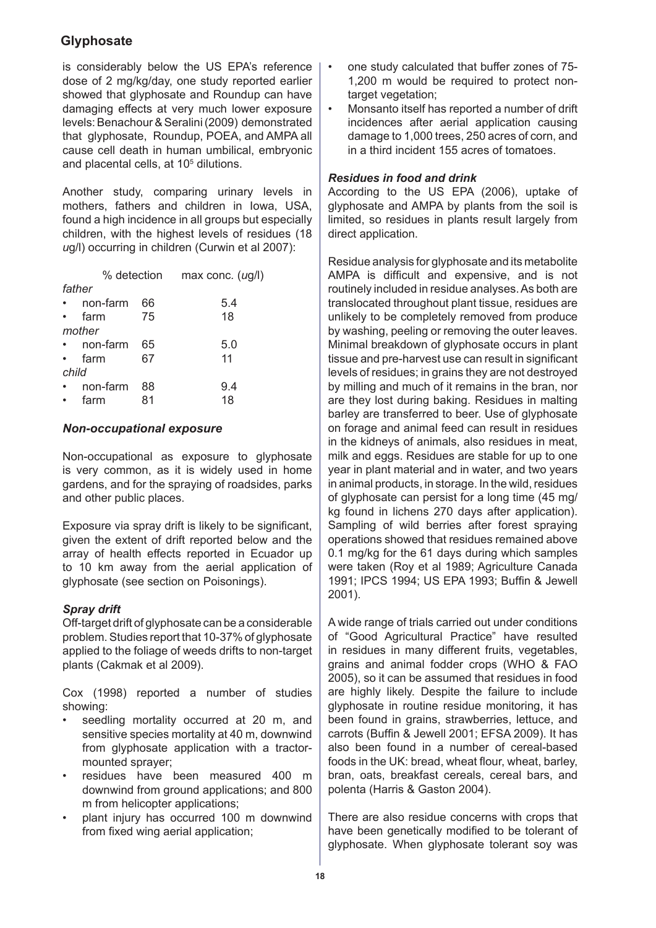is considerably below the US EPA's reference dose of 2 mg/kg/day, one study reported earlier showed that glyphosate and Roundup can have damaging effects at very much lower exposure levels: Benachour & Seralini (2009) demonstrated that glyphosate, Roundup, POEA, and AMPA all cause cell death in human umbilical, embryonic and placental cells, at 10<sup>5</sup> dilutions.

Another study, comparing urinary levels in mothers, fathers and children in Iowa, USA, found a high incidence in all groups but especially children, with the highest levels of residues (18 *u*g/l) occurring in children (Curwin et al 2007):

|       |          | % detection | max conc. $(ug/l)$ |
|-------|----------|-------------|--------------------|
|       | father   |             |                    |
|       | non-farm | 66          | 5.4                |
|       | farm     | 75          | 18                 |
|       | mother   |             |                    |
|       | non-farm | 65          | 5.0                |
|       | farm     | 67          | 11                 |
| child |          |             |                    |
|       | non-farm | 88          | 9.4                |
|       | farm     | 81          | 18                 |
|       |          |             |                    |

## *Non-occupational exposure*

Non-occupational as exposure to glyphosate is very common, as it is widely used in home gardens, and for the spraying of roadsides, parks and other public places.

Exposure via spray drift is likely to be significant, given the extent of drift reported below and the array of health effects reported in Ecuador up to 10 km away from the aerial application of glyphosate (see section on Poisonings).

## *Spray drift*

Off-target drift of glyphosate can be a considerable problem. Studies report that 10-37% of glyphosate applied to the foliage of weeds drifts to non-target plants (Cakmak et al 2009).

Cox (1998) reported a number of studies showing:

- seedling mortality occurred at 20 m, and sensitive species mortality at 40 m, downwind from glyphosate application with a tractormounted sprayer; •
- residues have been measured 400 m downwind from ground applications; and 800 m from helicopter applications; •
- plant injury has occurred 100 m downwind from fixed wing aerial application; •
- one study calculated that buffer zones of 75- 1,200 m would be required to protect nontarget vegetation: •
- Monsanto itself has reported a number of drift incidences after aerial application causing damage to 1,000 trees, 250 acres of corn, and in a third incident 155 acres of tomatoes. •

## *Residues in food and drink*

According to the US EPA (2006), uptake of glyphosate and AMPA by plants from the soil is limited, so residues in plants result largely from direct application.

Residue analysis for glyphosate and its metabolite AMPA is difficult and expensive, and is not routinely included in residue analyses. As both are translocated throughout plant tissue, residues are unlikely to be completely removed from produce by washing, peeling or removing the outer leaves. Minimal breakdown of glyphosate occurs in plant tissue and pre-harvest use can result in significant levels of residues; in grains they are not destroyed by milling and much of it remains in the bran, nor are they lost during baking. Residues in malting barley are transferred to beer. Use of glyphosate on forage and animal feed can result in residues in the kidneys of animals, also residues in meat, milk and eggs. Residues are stable for up to one year in plant material and in water, and two years in animal products, in storage. In the wild, residues of glyphosate can persist for a long time (45 mg/ kg found in lichens 270 days after application). Sampling of wild berries after forest spraying operations showed that residues remained above 0.1 mg/kg for the 61 days during which samples were taken (Roy et al 1989; Agriculture Canada 1991; IPCS 1994; US EPA 1993; Buffin & Jewell 2001).

A wide range of trials carried out under conditions of "Good Agricultural Practice" have resulted in residues in many different fruits, vegetables, grains and animal fodder crops (WHO & FAO 2005), so it can be assumed that residues in food are highly likely. Despite the failure to include glyphosate in routine residue monitoring, it has been found in grains, strawberries, lettuce, and carrots (Buffin & Jewell 2001; EFSA 2009). It has also been found in a number of cereal-based foods in the UK: bread, wheat flour, wheat, barley, bran, oats, breakfast cereals, cereal bars, and polenta (Harris & Gaston 2004).

There are also residue concerns with crops that have been genetically modified to be tolerant of glyphosate. When glyphosate tolerant soy was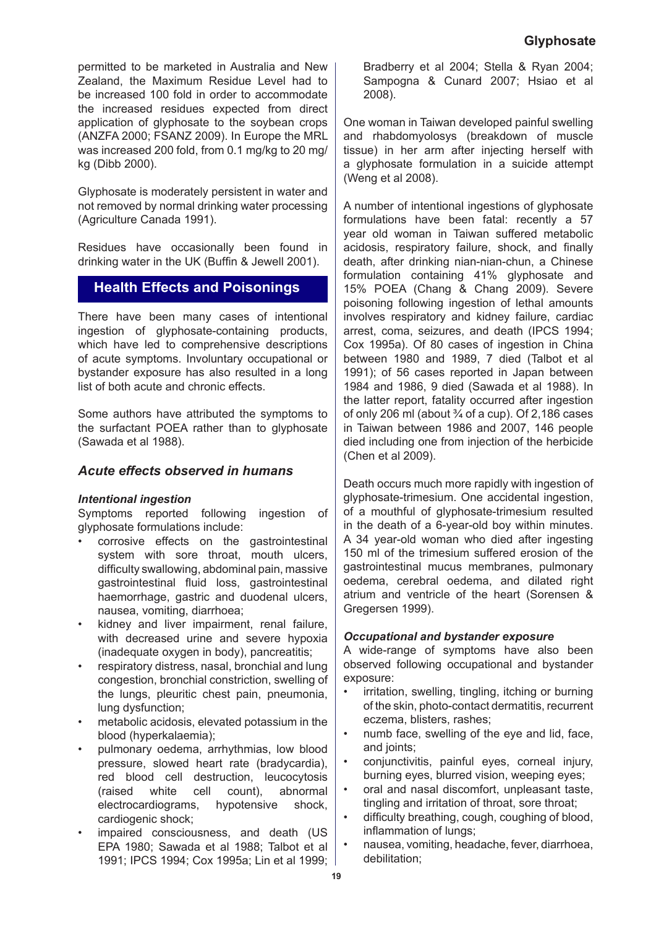permitted to be marketed in Australia and New Zealand, the Maximum Residue Level had to be increased 100 fold in order to accommodate the increased residues expected from direct application of glyphosate to the soybean crops (ANZFA 2000; FSANZ 2009). In Europe the MRL was increased 200 fold, from 0.1 mg/kg to 20 mg/ kg (Dibb 2000).

Glyphosate is moderately persistent in water and not removed by normal drinking water processing (Agriculture Canada 1991).

Residues have occasionally been found in drinking water in the UK (Buffin & Jewell 2001).

# **Health Effects and Poisonings**

There have been many cases of intentional ingestion of glyphosate-containing products, which have led to comprehensive descriptions of acute symptoms. Involuntary occupational or bystander exposure has also resulted in a long list of both acute and chronic effects.

Some authors have attributed the symptoms to the surfactant POEA rather than to glyphosate (Sawada et al 1988).

## *Acute effects observed in humans*

#### *Intentional ingestion*

Symptoms reported following ingestion of glyphosate formulations include:

- corrosive effects on the gastrointestinal system with sore throat, mouth ulcers, difficulty swallowing, abdominal pain, massive gastrointestinal fluid loss, gastrointestinal haemorrhage, gastric and duodenal ulcers, nausea, vomiting, diarrhoea; •
- kidney and liver impairment, renal failure, with decreased urine and severe hypoxia (inadequate oxygen in body), pancreatitis; •
- respiratory distress, nasal, bronchial and lung congestion, bronchial constriction, swelling of the lungs, pleuritic chest pain, pneumonia, lung dysfunction; •
- metabolic acidosis, elevated potassium in the blood (hyperkalaemia); •
- pulmonary oedema, arrhythmias, low blood pressure, slowed heart rate (bradycardia), red blood cell destruction, leucocytosis (raised white cell count), abnormal electrocardiograms, hypotensive shock, cardiogenic shock; •
- impaired consciousness, and death (US EPA 1980; Sawada et al 1988; Talbot et al 1991; IPCS 1994; Cox 1995a; Lin et al 1999; •

Bradberry et al 2004; Stella & Ryan 2004; Sampogna & Cunard 2007; Hsiao et al 2008).

One woman in Taiwan developed painful swelling and rhabdomyolosys (breakdown of muscle tissue) in her arm after injecting herself with a glyphosate formulation in a suicide attempt (Weng et al 2008).

A number of intentional ingestions of glyphosate formulations have been fatal: recently a 57 year old woman in Taiwan suffered metabolic acidosis, respiratory failure, shock, and finally death, after drinking nian-nian-chun, a Chinese formulation containing 41% glyphosate and 15% POEA (Chang & Chang 2009). Severe poisoning following ingestion of lethal amounts involves respiratory and kidney failure, cardiac arrest, coma, seizures, and death (IPCS 1994; Cox 1995a). Of 80 cases of ingestion in China between 1980 and 1989, 7 died (Talbot et al 1991); of 56 cases reported in Japan between 1984 and 1986, 9 died (Sawada et al 1988). In the latter report, fatality occurred after ingestion of only 206 ml (about  $\frac{3}{4}$  of a cup). Of 2,186 cases in Taiwan between 1986 and 2007, 146 people died including one from injection of the herbicide (Chen et al 2009).

Death occurs much more rapidly with ingestion of glyphosate-trimesium. One accidental ingestion, of a mouthful of glyphosate-trimesium resulted in the death of a 6-year-old boy within minutes. A 34 year-old woman who died after ingesting 150 ml of the trimesium suffered erosion of the gastrointestinal mucus membranes, pulmonary oedema, cerebral oedema, and dilated right atrium and ventricle of the heart (Sorensen & Gregersen 1999).

## *Occupational and bystander exposure*

A wide-range of symptoms have also been observed following occupational and bystander exposure:

- irritation, swelling, tingling, itching or burning of the skin, photo-contact dermatitis, recurrent eczema, blisters, rashes; •
- numb face, swelling of the eye and lid, face, and joints: •
- conjunctivitis, painful eyes, corneal injury, burning eyes, blurred vision, weeping eyes; •
- oral and nasal discomfort, unpleasant taste, tingling and irritation of throat, sore throat; •
- difficulty breathing, cough, coughing of blood, inflammation of lungs; •
- nausea, vomiting, headache, fever, diarrhoea, debilitation; •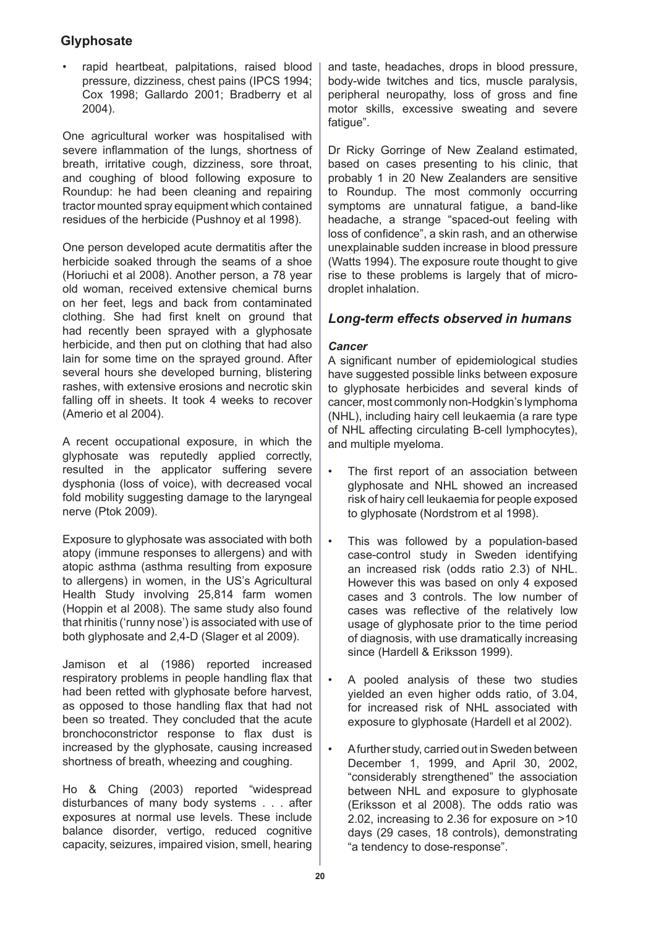rapid heartbeat, palpitations, raised blood pressure, dizziness, chest pains (IPCS 1994; Cox 1998; Gallardo 2001; Bradberry et al 2004).

One agricultural worker was hospitalised with severe inflammation of the lungs, shortness of breath, irritative cough, dizziness, sore throat, and coughing of blood following exposure to Roundup: he had been cleaning and repairing tractor mounted spray equipment which contained residues of the herbicide (Pushnoy et al 1998).

One person developed acute dermatitis after the herbicide soaked through the seams of a shoe (Horiuchi et al 2008). Another person, a 78 year old woman, received extensive chemical burns on her feet, legs and back from contaminated clothing. She had first knelt on ground that had recently been sprayed with a glyphosate herbicide, and then put on clothing that had also lain for some time on the sprayed ground. After several hours she developed burning, blistering rashes, with extensive erosions and necrotic skin falling off in sheets. It took 4 weeks to recover (Amerio et al 2004).

A recent occupational exposure, in which the glyphosate was reputedly applied correctly, resulted in the applicator suffering severe dysphonia (loss of voice), with decreased vocal fold mobility suggesting damage to the laryngeal nerve (Ptok 2009).

Exposure to glyphosate was associated with both atopy (immune responses to allergens) and with atopic asthma (asthma resulting from exposure to allergens) in women, in the US's Agricultural Health Study involving 25,814 farm women (Hoppin et al 2008). The same study also found that rhinitis ('runny nose') is associated with use of both glyphosate and 2,4-D (Slager et al 2009).

Jamison et al (1986) reported increased respiratory problems in people handling flax that had been retted with glyphosate before harvest, as opposed to those handling flax that had not been so treated. They concluded that the acute bronchoconstrictor response to flax dust is increased by the glyphosate, causing increased shortness of breath, wheezing and coughing.

Ho & Ching (2003) reported "widespread disturbances of many body systems . . . after exposures at normal use levels. These include balance disorder, vertigo, reduced cognitive capacity, seizures, impaired vision, smell, hearing • and taste, headaches, drops in blood pressure, body-wide twitches and tics, muscle paralysis, peripheral neuropathy, loss of gross and fine motor skills, excessive sweating and severe fatigue".

Dr Ricky Gorringe of New Zealand estimated, based on cases presenting to his clinic, that probably 1 in 20 New Zealanders are sensitive to Roundup. The most commonly occurring symptoms are unnatural fatigue, a band-like headache, a strange "spaced-out feeling with loss of confidence", a skin rash, and an otherwise unexplainable sudden increase in blood pressure (Watts 1994). The exposure route thought to give rise to these problems is largely that of microdroplet inhalation.

# *Long-term effects observed in humans*

## *Cancer*

A significant number of epidemiological studies have suggested possible links between exposure to glyphosate herbicides and several kinds of cancer, most commonly non-Hodgkin's lymphoma (NHL), including hairy cell leukaemia (a rare type of NHL affecting circulating B-cell lymphocytes), and multiple myeloma.

- The first report of an association between glyphosate and NHL showed an increased risk of hairy cell leukaemia for people exposed to glyphosate (Nordstrom et al 1998). •
- This was followed by a population-based case-control study in Sweden identifying an increased risk (odds ratio 2.3) of NHL. However this was based on only 4 exposed cases and 3 controls. The low number of cases was reflective of the relatively low usage of glyphosate prior to the time period of diagnosis, with use dramatically increasing since (Hardell & Eriksson 1999). •
- A pooled analysis of these two studies yielded an even higher odds ratio, of 3.04, for increased risk of NHL associated with exposure to glyphosate (Hardell et al 2002). •
- A further study, carried out in Sweden between December 1, 1999, and April 30, 2002, "considerably strengthened" the association between NHL and exposure to glyphosate (Eriksson et al 2008). The odds ratio was 2.02, increasing to 2.36 for exposure on >10 days (29 cases, 18 controls), demonstrating "a tendency to dose-response". •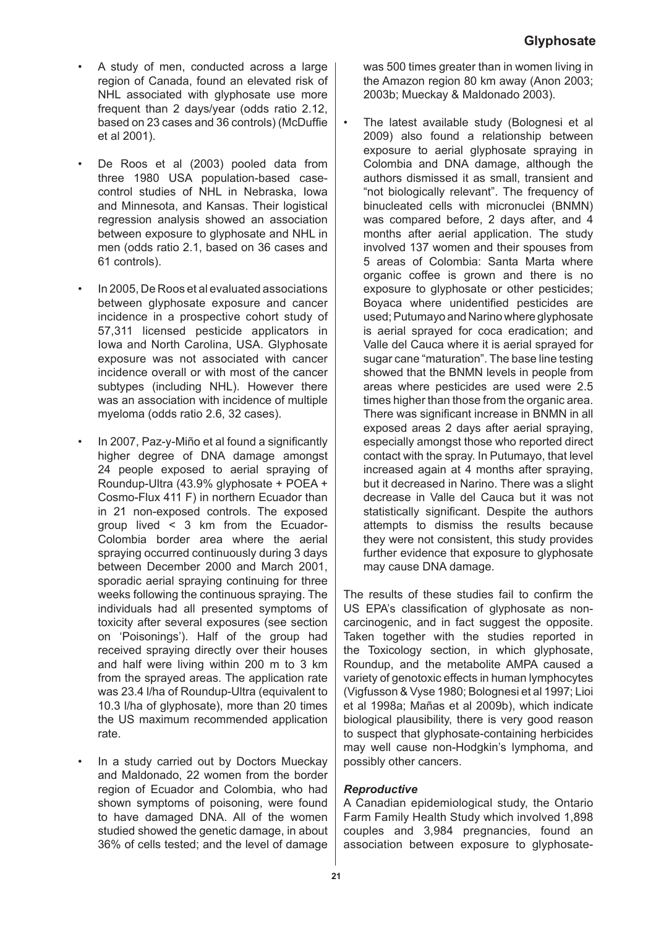- A study of men, conducted across a large region of Canada, found an elevated risk of NHL associated with glyphosate use more frequent than 2 days/year (odds ratio 2.12, based on 23 cases and 36 controls) (McDuffie et al 2001). •
- De Roos et al (2003) pooled data from three 1980 USA population-based casecontrol studies of NHL in Nebraska, Iowa and Minnesota, and Kansas. Their logistical regression analysis showed an association between exposure to glyphosate and NHL in men (odds ratio 2.1, based on 36 cases and 61 controls). •
- In 2005, De Roos et al evaluated associations between glyphosate exposure and cancer incidence in a prospective cohort study of 57,311 licensed pesticide applicators in Iowa and North Carolina, USA. Glyphosate exposure was not associated with cancer incidence overall or with most of the cancer subtypes (including NHL). However there was an association with incidence of multiple myeloma (odds ratio 2.6, 32 cases). •
- In 2007, Paz-y-Miño et al found a significantly higher degree of DNA damage amongst 24 people exposed to aerial spraying of Roundup-Ultra (43.9% glyphosate + POEA + Cosmo-Flux 411 F) in northern Ecuador than in 21 non-exposed controls. The exposed group lived < 3 km from the Ecuador-Colombia border area where the aerial spraying occurred continuously during 3 days between December 2000 and March 2001, sporadic aerial spraying continuing for three weeks following the continuous spraying. The individuals had all presented symptoms of toxicity after several exposures (see section on 'Poisonings'). Half of the group had received spraying directly over their houses and half were living within 200 m to 3 km from the sprayed areas. The application rate was 23.4 l/ha of Roundup-Ultra (equivalent to 10.3 l/ha of glyphosate), more than 20 times the US maximum recommended application rate. •
- In a study carried out by Doctors Mueckay and Maldonado, 22 women from the border region of Ecuador and Colombia, who had shown symptoms of poisoning, were found to have damaged DNA. All of the women studied showed the genetic damage, in about 36% of cells tested; and the level of damage •

was 500 times greater than in women living in the Amazon region 80 km away (Anon 2003; 2003b; Mueckay & Maldonado 2003).

The latest available study (Bolognesi et al 2009) also found a relationship between exposure to aerial glyphosate spraying in Colombia and DNA damage, although the authors dismissed it as small, transient and "not biologically relevant". The frequency of binucleated cells with micronuclei (BNMN) was compared before, 2 days after, and 4 months after aerial application. The study involved 137 women and their spouses from 5 areas of Colombia: Santa Marta where organic coffee is grown and there is no exposure to glyphosate or other pesticides; Boyaca where unidentified pesticides are used; Putumayo and Narino where glyphosate is aerial sprayed for coca eradication; and Valle del Cauca where it is aerial sprayed for sugar cane "maturation". The base line testing showed that the BNMN levels in people from areas where pesticides are used were 2.5 times higher than those from the organic area. There was significant increase in BNMN in all exposed areas 2 days after aerial spraying, especially amongst those who reported direct contact with the spray. In Putumayo, that level increased again at 4 months after spraying, but it decreased in Narino. There was a slight decrease in Valle del Cauca but it was not statistically significant. Despite the authors attempts to dismiss the results because they were not consistent, this study provides further evidence that exposure to glyphosate may cause DNA damage. •

The results of these studies fail to confirm the US EPA's classification of glyphosate as noncarcinogenic, and in fact suggest the opposite. Taken together with the studies reported in the Toxicology section, in which glyphosate, Roundup, and the metabolite AMPA caused a variety of genotoxic effects in human lymphocytes (Vigfusson & Vyse 1980; Bolognesi et al 1997; Lioi et al 1998a; Mañas et al 2009b), which indicate biological plausibility, there is very good reason to suspect that glyphosate-containing herbicides may well cause non-Hodgkin's lymphoma, and possibly other cancers.

## *Reproductive*

A Canadian epidemiological study, the Ontario Farm Family Health Study which involved 1,898 couples and 3,984 pregnancies, found an association between exposure to glyphosate-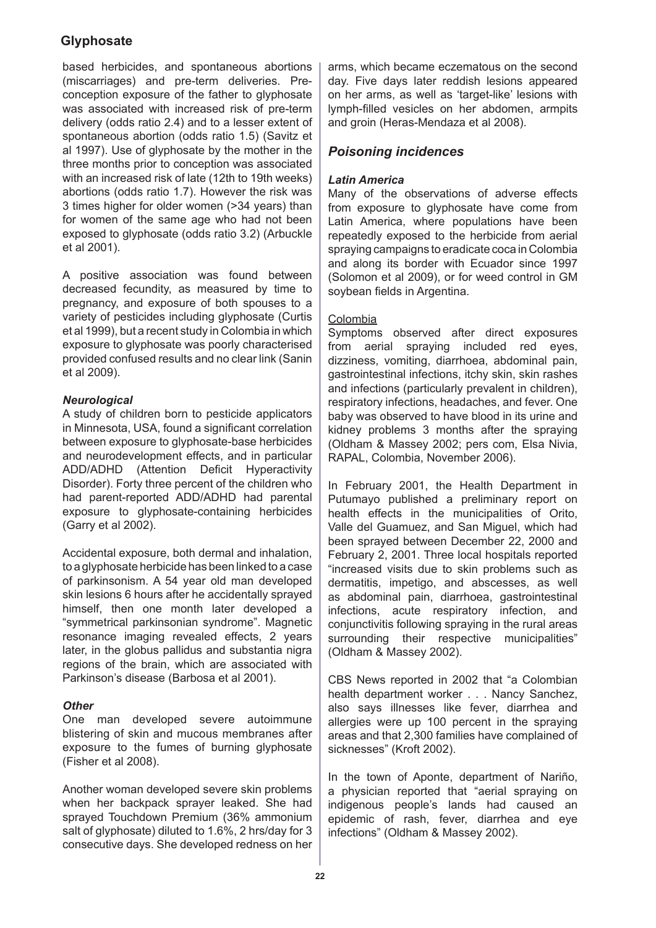based herbicides, and spontaneous abortions (miscarriages) and pre-term deliveries. Preconception exposure of the father to glyphosate was associated with increased risk of pre-term delivery (odds ratio 2.4) and to a lesser extent of spontaneous abortion (odds ratio 1.5) (Savitz et al 1997). Use of glyphosate by the mother in the three months prior to conception was associated with an increased risk of late (12th to 19th weeks) abortions (odds ratio 1.7). However the risk was 3 times higher for older women (>34 years) than for women of the same age who had not been exposed to glyphosate (odds ratio 3.2) (Arbuckle et al 2001).

A positive association was found between decreased fecundity, as measured by time to pregnancy, and exposure of both spouses to a variety of pesticides including glyphosate (Curtis et al 1999), but a recent study in Colombia in which exposure to glyphosate was poorly characterised provided confused results and no clear link (Sanin et al 2009).

## *Neurological*

A study of children born to pesticide applicators in Minnesota, USA, found a significant correlation between exposure to glyphosate-base herbicides and neurodevelopment effects, and in particular ADD/ADHD (Attention Deficit Hyperactivity Disorder). Forty three percent of the children who had parent-reported ADD/ADHD had parental exposure to glyphosate-containing herbicides (Garry et al 2002).

Accidental exposure, both dermal and inhalation, to a glyphosate herbicide has been linked to a case of parkinsonism. A 54 year old man developed skin lesions 6 hours after he accidentally sprayed himself, then one month later developed a "symmetrical parkinsonian syndrome". Magnetic resonance imaging revealed effects, 2 years later, in the globus pallidus and substantia nigra regions of the brain, which are associated with Parkinson's disease (Barbosa et al 2001).

## *Other*

One man developed severe autoimmune blistering of skin and mucous membranes after exposure to the fumes of burning glyphosate (Fisher et al 2008).

Another woman developed severe skin problems when her backpack sprayer leaked. She had sprayed Touchdown Premium (36% ammonium salt of glyphosate) diluted to 1.6%, 2 hrs/day for 3 consecutive days. She developed redness on her arms, which became eczematous on the second day. Five days later reddish lesions appeared on her arms, as well as 'target-like' lesions with lymph-filled vesicles on her abdomen, armpits and groin (Heras-Mendaza et al 2008).

## *Poisoning incidences*

## *Latin America*

Many of the observations of adverse effects from exposure to glyphosate have come from Latin America, where populations have been repeatedly exposed to the herbicide from aerial spraying campaigns to eradicate coca in Colombia and along its border with Ecuador since 1997 (Solomon et al 2009), or for weed control in GM soybean fields in Argentina.

## Colombia

Symptoms observed after direct exposures from aerial spraying included red eyes, dizziness, vomiting, diarrhoea, abdominal pain, gastrointestinal infections, itchy skin, skin rashes and infections (particularly prevalent in children), respiratory infections, headaches, and fever. One baby was observed to have blood in its urine and kidney problems 3 months after the spraying (Oldham & Massey 2002; pers com, Elsa Nivia, RAPAL, Colombia, November 2006).

In February 2001, the Health Department in Putumayo published a preliminary report on health effects in the municipalities of Orito, Valle del Guamuez, and San Miguel, which had been sprayed between December 22, 2000 and February 2, 2001. Three local hospitals reported "increased visits due to skin problems such as dermatitis, impetigo, and abscesses, as well as abdominal pain, diarrhoea, gastrointestinal infections, acute respiratory infection, and conjunctivitis following spraying in the rural areas surrounding their respective municipalities" (Oldham & Massey 2002).

CBS News reported in 2002 that "a Colombian health department worker . . . Nancy Sanchez, also says illnesses like fever, diarrhea and allergies were up 100 percent in the spraying areas and that 2,300 families have complained of sicknesses" (Kroft 2002).

In the town of Aponte, department of Nariño, a physician reported that "aerial spraying on indigenous people's lands had caused an epidemic of rash, fever, diarrhea and eye infections" (Oldham & Massey 2002).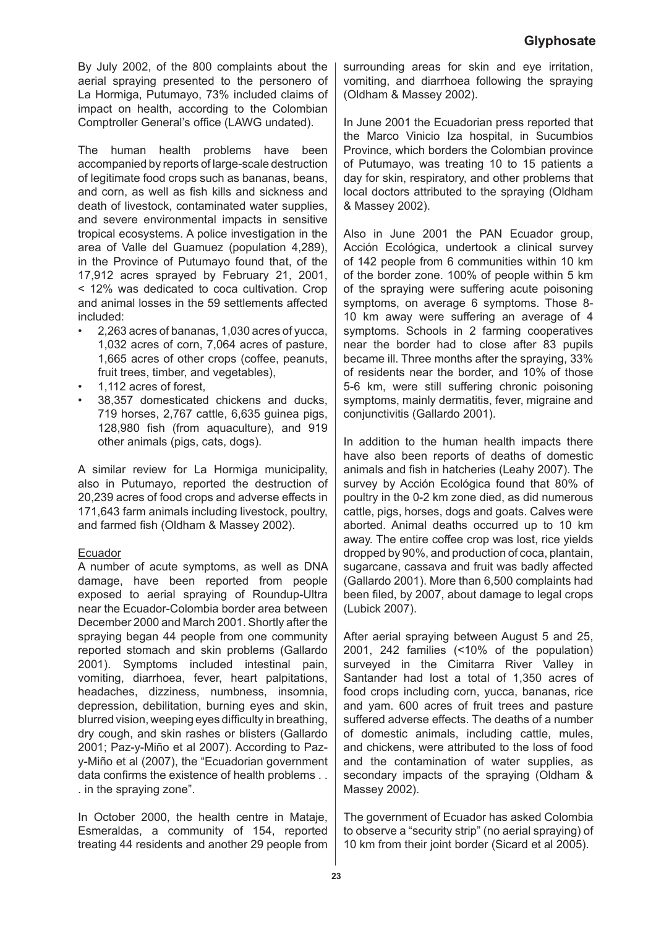By July 2002, of the 800 complaints about the aerial spraying presented to the personero of La Hormiga, Putumayo, 73% included claims of impact on health, according to the Colombian Comptroller General's office (LAWG undated).

The human health problems have been accompanied by reports of large-scale destruction of legitimate food crops such as bananas, beans, and corn, as well as fish kills and sickness and death of livestock, contaminated water supplies, and severe environmental impacts in sensitive tropical ecosystems. A police investigation in the area of Valle del Guamuez (population 4,289), in the Province of Putumayo found that, of the 17,912 acres sprayed by February 21, 2001, < 12% was dedicated to coca cultivation. Crop and animal losses in the 59 settlements affected included:

- 2,263 acres of bananas, 1,030 acres of yucca, 1,032 acres of corn, 7,064 acres of pasture, 1,665 acres of other crops (coffee, peanuts, fruit trees, timber, and vegetables), •
- 1,112 acres of forest, •
- 38,357 domesticated chickens and ducks, 719 horses, 2,767 cattle, 6,635 guinea pigs, 128,980 fish (from aquaculture), and 919 other animals (pigs, cats, dogs). •

A similar review for La Hormiga municipality, also in Putumayo, reported the destruction of 20,239 acres of food crops and adverse effects in 171,643 farm animals including livestock, poultry, and farmed fish (Oldham & Massey 2002).

## Ecuador

A number of acute symptoms, as well as DNA damage, have been reported from people exposed to aerial spraying of Roundup-Ultra near the Ecuador-Colombia border area between December 2000 and March 2001. Shortly after the spraying began 44 people from one community reported stomach and skin problems (Gallardo 2001). Symptoms included intestinal pain, vomiting, diarrhoea, fever, heart palpitations, headaches, dizziness, numbness, insomnia, depression, debilitation, burning eyes and skin, blurred vision, weeping eyes difficulty in breathing, dry cough, and skin rashes or blisters (Gallardo 2001; Paz-y-Miño et al 2007). According to Pazy-Miño et al (2007), the "Ecuadorian government data confirms the existence of health problems . . . in the spraying zone".

In October 2000, the health centre in Mataje, Esmeraldas, a community of 154, reported treating 44 residents and another 29 people from surrounding areas for skin and eye irritation, vomiting, and diarrhoea following the spraying (Oldham & Massey 2002).

In June 2001 the Ecuadorian press reported that the Marco Vinicio Iza hospital, in Sucumbios Province, which borders the Colombian province of Putumayo, was treating 10 to 15 patients a day for skin, respiratory, and other problems that local doctors attributed to the spraying (Oldham & Massey 2002).

Also in June 2001 the PAN Ecuador group, Acción Ecológica, undertook a clinical survey of 142 people from 6 communities within 10 km of the border zone. 100% of people within 5 km of the spraying were suffering acute poisoning symptoms, on average 6 symptoms. Those 8- 10 km away were suffering an average of 4 symptoms. Schools in 2 farming cooperatives near the border had to close after 83 pupils became ill. Three months after the spraying, 33% of residents near the border, and 10% of those 5-6 km, were still suffering chronic poisoning symptoms, mainly dermatitis, fever, migraine and conjunctivitis (Gallardo 2001).

In addition to the human health impacts there have also been reports of deaths of domestic animals and fish in hatcheries (Leahy 2007). The survey by Acción Ecológica found that 80% of poultry in the 0-2 km zone died, as did numerous cattle, pigs, horses, dogs and goats. Calves were aborted. Animal deaths occurred up to 10 km away. The entire coffee crop was lost, rice yields dropped by 90%, and production of coca, plantain, sugarcane, cassava and fruit was badly affected (Gallardo 2001). More than 6,500 complaints had been filed, by 2007, about damage to legal crops (Lubick 2007).

After aerial spraying between August 5 and 25, 2001, 242 families (<10% of the population) surveyed in the Cimitarra River Valley in Santander had lost a total of 1,350 acres of food crops including corn, yucca, bananas, rice and yam. 600 acres of fruit trees and pasture suffered adverse effects. The deaths of a number of domestic animals, including cattle, mules, and chickens, were attributed to the loss of food and the contamination of water supplies, as secondary impacts of the spraying (Oldham & Massey 2002).

The government of Ecuador has asked Colombia to observe a "security strip" (no aerial spraying) of 10 km from their joint border (Sicard et al 2005).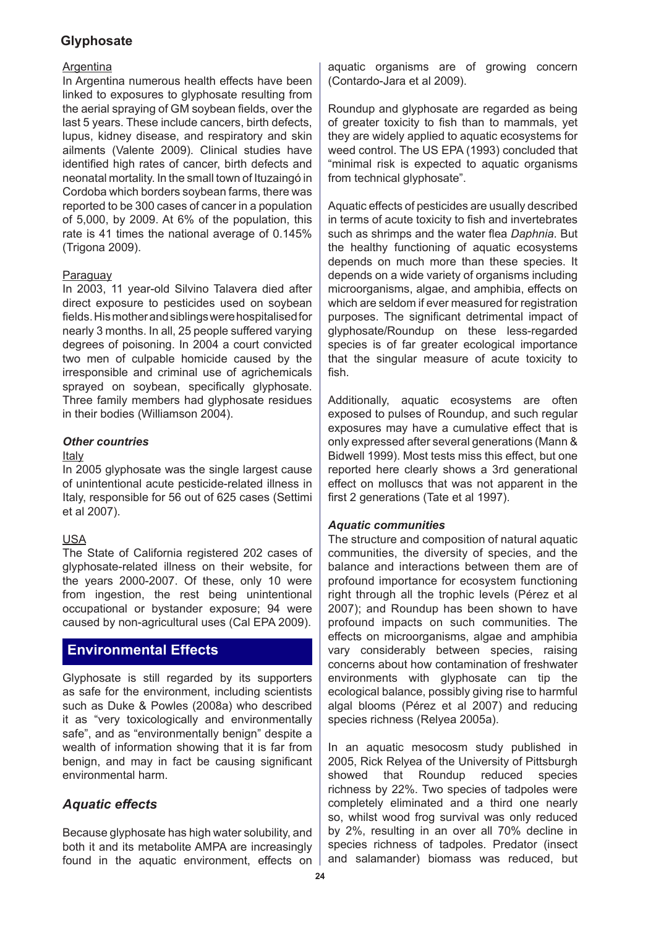## Argentina

In Argentina numerous health effects have been linked to exposures to glyphosate resulting from the aerial spraying of GM soybean fields, over the last 5 years. These include cancers, birth defects, lupus, kidney disease, and respiratory and skin ailments (Valente 2009). Clinical studies have identified high rates of cancer, birth defects and neonatal mortality. In the small town of Ituzaingó in Cordoba which borders soybean farms, there was reported to be 300 cases of cancer in a population of 5,000, by 2009. At 6% of the population, this rate is 41 times the national average of 0.145% (Trigona 2009).

## **Paraguay**

In 2003, 11 year-old Silvino Talavera died after direct exposure to pesticides used on soybean fields. His mother and siblings were hospitalised for nearly 3 months. In all, 25 people suffered varying degrees of poisoning. In 2004 a court convicted two men of culpable homicide caused by the irresponsible and criminal use of agrichemicals sprayed on soybean, specifically glyphosate. Three family members had glyphosate residues in their bodies (Williamson 2004).

## *Other countries*

#### Italy

In 2005 glyphosate was the single largest cause of unintentional acute pesticide-related illness in Italy, responsible for 56 out of 625 cases (Settimi et al 2007).

## USA

The State of California registered 202 cases of glyphosate-related illness on their website, for the years 2000-2007. Of these, only 10 were from ingestion, the rest being unintentional occupational or bystander exposure; 94 were caused by non-agricultural uses (Cal EPA 2009).

# **Environmental Effects**

Glyphosate is still regarded by its supporters as safe for the environment, including scientists such as Duke & Powles (2008a) who described it as "very toxicologically and environmentally safe", and as "environmentally benign" despite a wealth of information showing that it is far from benign, and may in fact be causing significant environmental harm.

# *Aquatic effects*

Because glyphosate has high water solubility, and both it and its metabolite AMPA are increasingly found in the aquatic environment, effects on aquatic organisms are of growing concern (Contardo-Jara et al 2009).

Roundup and glyphosate are regarded as being of greater toxicity to fish than to mammals, yet they are widely applied to aquatic ecosystems for weed control. The US EPA (1993) concluded that "minimal risk is expected to aquatic organisms from technical glyphosate".

Aquatic effects of pesticides are usually described in terms of acute toxicity to fish and invertebrates such as shrimps and the water flea *Daphnia*. But the healthy functioning of aquatic ecosystems depends on much more than these species. It depends on a wide variety of organisms including microorganisms, algae, and amphibia, effects on which are seldom if ever measured for registration purposes. The significant detrimental impact of glyphosate/Roundup on these less-regarded species is of far greater ecological importance that the singular measure of acute toxicity to fish.

Additionally, aquatic ecosystems are often exposed to pulses of Roundup, and such regular exposures may have a cumulative effect that is only expressed after several generations (Mann & Bidwell 1999). Most tests miss this effect, but one reported here clearly shows a 3rd generational effect on molluscs that was not apparent in the first 2 generations (Tate et al 1997).

## *Aquatic communities*

The structure and composition of natural aquatic communities, the diversity of species, and the balance and interactions between them are of profound importance for ecosystem functioning right through all the trophic levels (Pérez et al 2007); and Roundup has been shown to have profound impacts on such communities. The effects on microorganisms, algae and amphibia vary considerably between species, raising concerns about how contamination of freshwater environments with glyphosate can tip the ecological balance, possibly giving rise to harmful algal blooms (Pérez et al 2007) and reducing species richness (Relyea 2005a).

In an aquatic mesocosm study published in 2005, Rick Relyea of the University of Pittsburgh showed that Roundup reduced species richness by 22%. Two species of tadpoles were completely eliminated and a third one nearly so, whilst wood frog survival was only reduced by 2%, resulting in an over all 70% decline in species richness of tadpoles. Predator (insect and salamander) biomass was reduced, but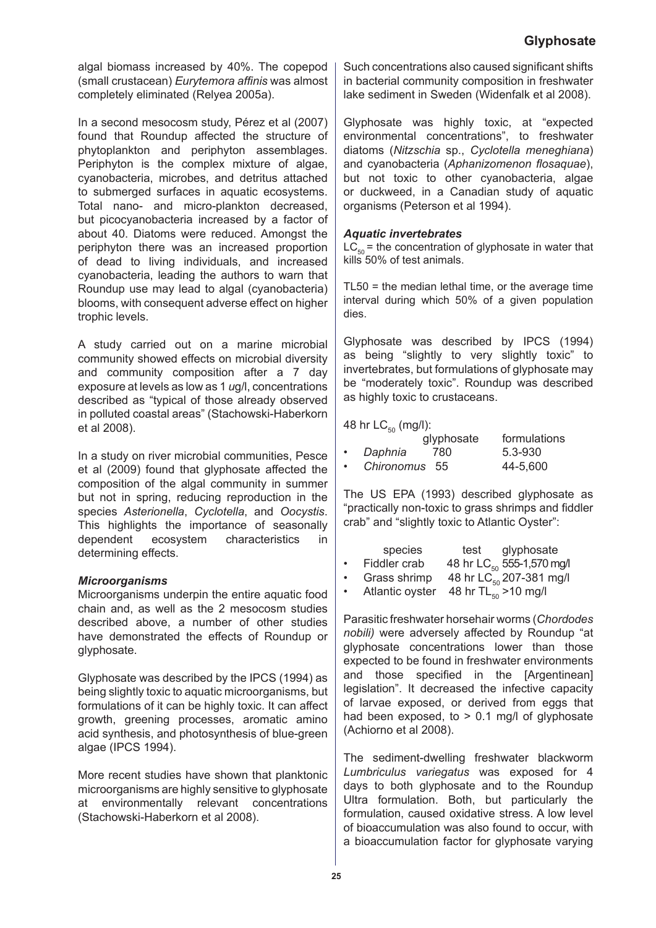algal biomass increased by 40%. The copepod (small crustacean) *Eurytemora affinis* was almost completely eliminated (Relyea 2005a).

In a second mesocosm study, Pérez et al (2007) found that Roundup affected the structure of phytoplankton and periphyton assemblages. Periphyton is the complex mixture of algae, cyanobacteria, microbes, and detritus attached to submerged surfaces in aquatic ecosystems. Total nano- and micro-plankton decreased, but picocyanobacteria increased by a factor of about 40. Diatoms were reduced. Amongst the periphyton there was an increased proportion of dead to living individuals, and increased cyanobacteria, leading the authors to warn that Roundup use may lead to algal (cyanobacteria) blooms, with consequent adverse effect on higher trophic levels.

A study carried out on a marine microbial community showed effects on microbial diversity and community composition after a 7 day exposure at levels as low as 1 *u*g/l, concentrations described as "typical of those already observed in polluted coastal areas" (Stachowski-Haberkorn et al 2008).

In a study on river microbial communities, Pesce et al (2009) found that glyphosate affected the composition of the algal community in summer but not in spring, reducing reproduction in the species *Asterionella*, *Cyclotella*, and *Oocystis*. This highlights the importance of seasonally dependent ecosystem characteristics in determining effects.

## *Microorganisms*

Microorganisms underpin the entire aquatic food chain and, as well as the 2 mesocosm studies described above, a number of other studies have demonstrated the effects of Roundup or glyphosate.

Glyphosate was described by the IPCS (1994) as being slightly toxic to aquatic microorganisms, but formulations of it can be highly toxic. It can affect growth, greening processes, aromatic amino acid synthesis, and photosynthesis of blue-green algae (IPCS 1994).

More recent studies have shown that planktonic microorganisms are highly sensitive to glyphosate at environmentally relevant concentrations (Stachowski-Haberkorn et al 2008).

Such concentrations also caused significant shifts in bacterial community composition in freshwater lake sediment in Sweden (Widenfalk et al 2008).

Glyphosate was highly toxic, at "expected environmental concentrations", to freshwater diatoms (*Nitzschia* sp., *Cyclotella meneghiana*) and cyanobacteria (*Aphanizomenon flosaquae*), but not toxic to other cyanobacteria, algae or duckweed, in a Canadian study of aquatic organisms (Peterson et al 1994).

#### *Aquatic invertebrates*

 $LC_{50}$  = the concentration of glyphosate in water that kills 50% of test animals.

TL50 = the median lethal time, or the average time interval during which 50% of a given population dies.

Glyphosate was described by IPCS (1994) as being "slightly to very slightly toxic" to invertebrates, but formulations of glyphosate may be "moderately toxic". Roundup was described as highly toxic to crustaceans.

## 48 hr  $LC_{50}$  (mg/l):

|           | .             | glyphosate | formulations |
|-----------|---------------|------------|--------------|
| $\bullet$ | Daphnia       | 780        | $5.3 - 930$  |
| $\bullet$ | Chironomus 55 |            | 44-5,600     |

The US EPA (1993) described glyphosate as "practically non-toxic to grass shrimps and fiddler crab" and "slightly toxic to Atlantic Oyster":

|           | species      | glyphosate<br>test                    |
|-----------|--------------|---------------------------------------|
| $\bullet$ | Fiddler crab | 48 hr LC <sub>50</sub> 555-1,570 mg/l |
| $\bullet$ | Grass shrimp | 48 hr LC <sub>50</sub> 207-381 mg/l   |

Atlantic oyster  $48$  hr TL $_{50}$  >10 mg/l •

Parasitic freshwater horsehair worms (*Chordodes nobili)* were adversely affected by Roundup "at glyphosate concentrations lower than those expected to be found in freshwater environments and those specified in the [Argentinean] legislation". It decreased the infective capacity of larvae exposed, or derived from eggs that had been exposed, to  $> 0.1$  mg/l of glyphosate (Achiorno et al 2008).

The sediment-dwelling freshwater blackworm *Lumbriculus variegatus* was exposed for 4 days to both glyphosate and to the Roundup Ultra formulation. Both, but particularly the formulation, caused oxidative stress. A low level of bioaccumulation was also found to occur, with a bioaccumulation factor for glyphosate varying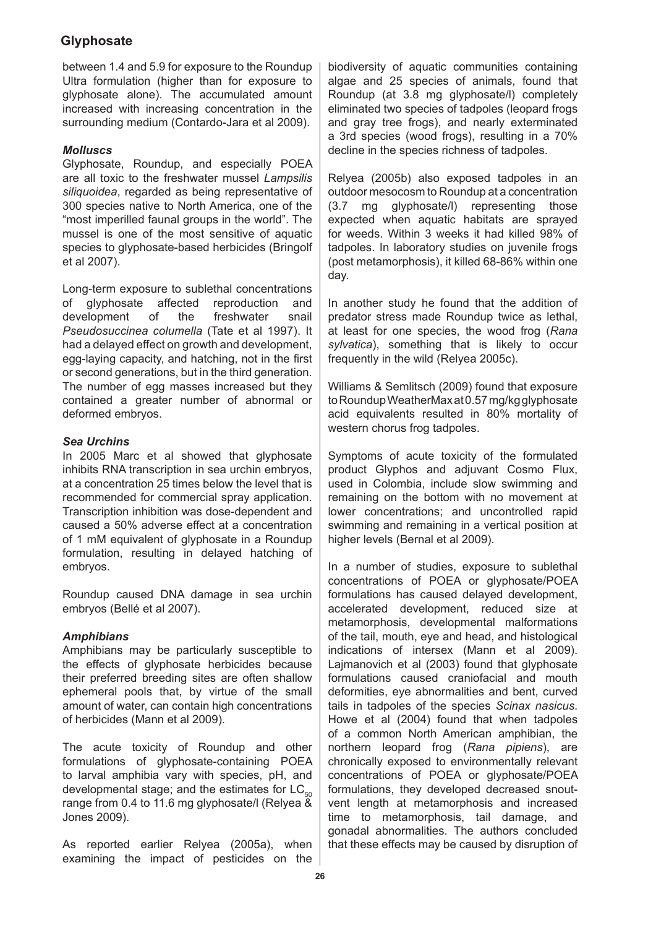between 1.4 and 5.9 for exposure to the Roundup Ultra formulation (higher than for exposure to glyphosate alone). The accumulated amount increased with increasing concentration in the surrounding medium (Contardo-Jara et al 2009).

## *Molluscs*

Glyphosate, Roundup, and especially POEA are all toxic to the freshwater mussel *Lampsilis siliquoidea*, regarded as being representative of 300 species native to North America, one of the "most imperilled faunal groups in the world". The mussel is one of the most sensitive of aquatic species to glyphosate-based herbicides (Bringolf et al 2007).

Long-term exposure to sublethal concentrations of glyphosate affected reproduction and<br>development of the freshwater snail development of the freshwater snail *Pseudosuccinea columella* (Tate et al 1997). It had a delayed effect on growth and development, egg-laying capacity, and hatching, not in the first or second generations, but in the third generation. The number of egg masses increased but they contained a greater number of abnormal or deformed embryos.

## *Sea Urchins*

In 2005 Marc et al showed that glyphosate inhibits RNA transcription in sea urchin embryos, at a concentration 25 times below the level that is recommended for commercial spray application. Transcription inhibition was dose-dependent and caused a 50% adverse effect at a concentration of 1 mM equivalent of glyphosate in a Roundup formulation, resulting in delayed hatching of embryos.

Roundup caused DNA damage in sea urchin embryos (Bellé et al 2007).

## *Amphibians*

Amphibians may be particularly susceptible to the effects of glyphosate herbicides because their preferred breeding sites are often shallow ephemeral pools that, by virtue of the small amount of water, can contain high concentrations of herbicides (Mann et al 2009).

The acute toxicity of Roundup and other formulations of glyphosate-containing POEA to larval amphibia vary with species, pH, and developmental stage; and the estimates for  $LC_{50}$ range from 0.4 to 11.6 mg glyphosate/l (Relyea & Jones 2009).

As reported earlier Relyea (2005a), when examining the impact of pesticides on the biodiversity of aquatic communities containing algae and 25 species of animals, found that Roundup (at 3.8 mg glyphosate/l) completely eliminated two species of tadpoles (leopard frogs and gray tree frogs), and nearly exterminated a 3rd species (wood frogs), resulting in a 70% decline in the species richness of tadpoles.

Relyea (2005b) also exposed tadpoles in an outdoor mesocosm to Roundup at a concentration (3.7 mg glyphosate/l) representing those expected when aquatic habitats are sprayed for weeds. Within 3 weeks it had killed 98% of tadpoles. In laboratory studies on juvenile frogs (post metamorphosis), it killed 68-86% within one day.

In another study he found that the addition of predator stress made Roundup twice as lethal, at least for one species, the wood frog (*Rana sylvatica*), something that is likely to occur frequently in the wild (Relyea 2005c).

Williams & Semlitsch (2009) found that exposure to Roundup WeatherMax at 0.57 mg/kg glyphosate acid equivalents resulted in 80% mortality of western chorus frog tadpoles.

Symptoms of acute toxicity of the formulated product Glyphos and adjuvant Cosmo Flux, used in Colombia, include slow swimming and remaining on the bottom with no movement at lower concentrations; and uncontrolled rapid swimming and remaining in a vertical position at higher levels (Bernal et al 2009).

In a number of studies, exposure to sublethal concentrations of POEA or glyphosate/POEA formulations has caused delayed development, accelerated development, reduced size at metamorphosis, developmental malformations of the tail, mouth, eye and head, and histological indications of intersex (Mann et al 2009). Lajmanovich et al (2003) found that glyphosate formulations caused craniofacial and mouth deformities, eye abnormalities and bent, curved tails in tadpoles of the species *Scinax nasicus*. Howe et al (2004) found that when tadpoles of a common North American amphibian, the northern leopard frog (*Rana pipiens*), are chronically exposed to environmentally relevant concentrations of POEA or glyphosate/POEA formulations, they developed decreased snoutvent length at metamorphosis and increased time to metamorphosis, tail damage, and gonadal abnormalities. The authors concluded that these effects may be caused by disruption of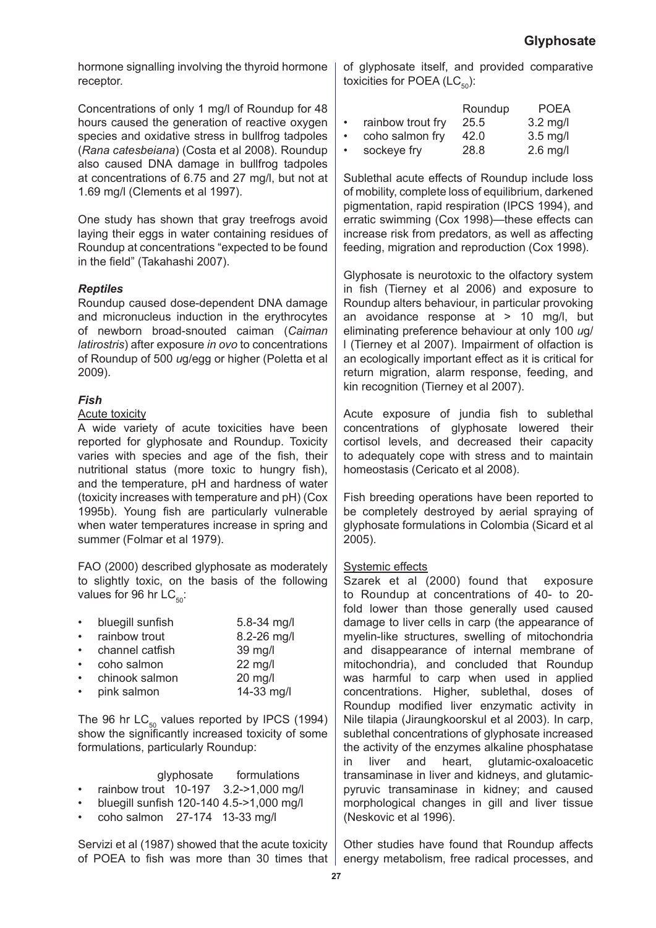hormone signalling involving the thyroid hormone receptor.

Concentrations of only 1 mg/l of Roundup for 48 hours caused the generation of reactive oxygen species and oxidative stress in bullfrog tadpoles (*Rana catesbeiana*) (Costa et al 2008). Roundup also caused DNA damage in bullfrog tadpoles at concentrations of 6.75 and 27 mg/l, but not at 1.69 mg/l (Clements et al 1997).

One study has shown that gray treefrogs avoid laying their eggs in water containing residues of Roundup at concentrations "expected to be found in the field" (Takahashi 2007).

## *Reptiles*

Roundup caused dose-dependent DNA damage and micronucleus induction in the erythrocytes of newborn broad-snouted caiman (*Caiman latirostris*) after exposure *in ovo* to concentrations of Roundup of 500 *u*g/egg or higher (Poletta et al 2009).

## *Fish*

#### Acute toxicity

A wide variety of acute toxicities have been reported for glyphosate and Roundup. Toxicity varies with species and age of the fish, their nutritional status (more toxic to hungry fish), and the temperature, pH and hardness of water (toxicity increases with temperature and pH) (Cox 1995b). Young fish are particularly vulnerable when water temperatures increase in spring and summer (Folmar et al 1979).

FAO (2000) described glyphosate as moderately to slightly toxic, on the basis of the following values for 96 hr  $LC_{50}$ :

| $\bullet$ | bluegill sunfish | 5.8-34 mg/l |
|-----------|------------------|-------------|
| $\bullet$ | rainbow trout    | 8.2-26 mg/l |
| $\bullet$ | channel catfish  | 39 mg/l     |
| $\bullet$ | coho salmon      | 22 mg/l     |
| $\bullet$ | chinook salmon   | 20 mg/l     |
| $\bullet$ | pink salmon      | 14-33 mg/l  |

The 96 hr  $LC_{50}$  values reported by IPCS (1994) show the significantly increased toxicity of some formulations, particularly Roundup:

|           |                               | glyphosate | formulations                             |
|-----------|-------------------------------|------------|------------------------------------------|
| $\bullet$ |                               |            | rainbow trout 10-197 3.2->1,000 mg/l     |
| $\bullet$ |                               |            | bluegill sunfish 120-140 4.5->1,000 mg/l |
| $\bullet$ | coho salmon 27-174 13-33 mg/l |            |                                          |

Servizi et al (1987) showed that the acute toxicity of POEA to fish was more than 30 times that of glyphosate itself, and provided comparative toxicities for POEA ( $LC_{50}$ ):

|           |                   | Roundup | <b>POEA</b> |
|-----------|-------------------|---------|-------------|
| $\bullet$ | rainbow trout fry | 25.5    | $3.2$ mg/l  |
|           | coho salmon fry   | 42.0    | $3.5$ mg/l  |
|           | sockeye fry       | 28.8    | $2.6$ mg/l  |

Sublethal acute effects of Roundup include loss of mobility, complete loss of equilibrium, darkened pigmentation, rapid respiration (IPCS 1994), and erratic swimming (Cox 1998)—these effects can increase risk from predators, as well as affecting feeding, migration and reproduction (Cox 1998).

Glyphosate is neurotoxic to the olfactory system in fish (Tierney et al 2006) and exposure to Roundup alters behaviour, in particular provoking an avoidance response at > 10 mg/l, but eliminating preference behaviour at only 100 *u*g/ l (Tierney et al 2007). Impairment of olfaction is an ecologically important effect as it is critical for return migration, alarm response, feeding, and kin recognition (Tierney et al 2007).

Acute exposure of jundia fish to sublethal concentrations of glyphosate lowered their cortisol levels, and decreased their capacity to adequately cope with stress and to maintain homeostasis (Cericato et al 2008).

Fish breeding operations have been reported to be completely destroyed by aerial spraying of glyphosate formulations in Colombia (Sicard et al 2005).

## Systemic effects

Szarek et al (2000) found that exposure to Roundup at concentrations of 40- to 20 fold lower than those generally used caused damage to liver cells in carp (the appearance of myelin-like structures, swelling of mitochondria and disappearance of internal membrane of mitochondria), and concluded that Roundup was harmful to carp when used in applied concentrations. Higher, sublethal, doses of Roundup modified liver enzymatic activity in Nile tilapia (Jiraungkoorskul et al 2003). In carp, sublethal concentrations of glyphosate increased the activity of the enzymes alkaline phosphatase in liver and heart, glutamic-oxaloacetic transaminase in liver and kidneys, and glutamicpyruvic transaminase in kidney; and caused morphological changes in gill and liver tissue (Neskovic et al 1996).

Other studies have found that Roundup affects energy metabolism, free radical processes, and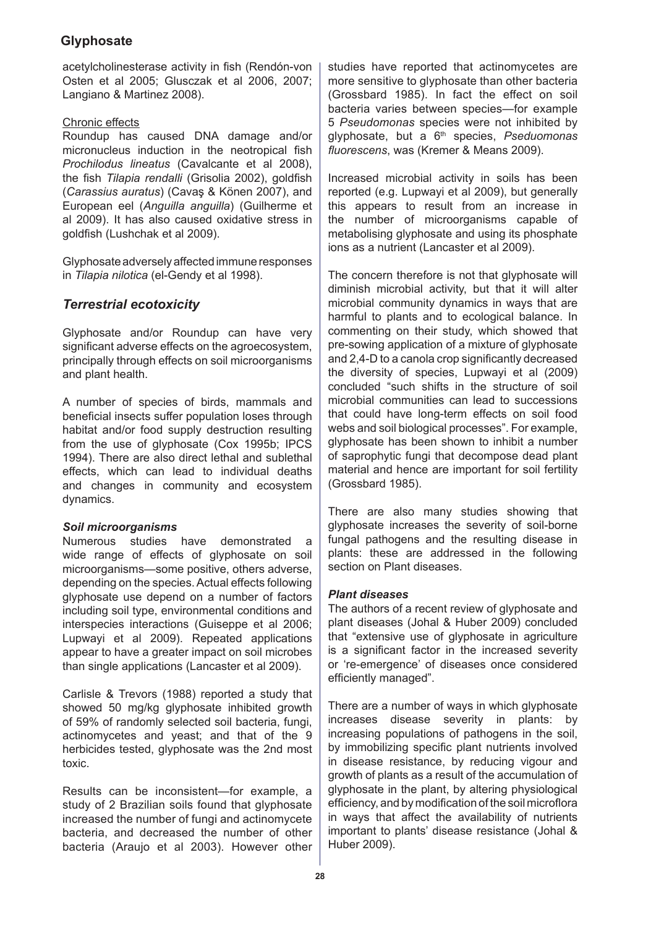acetylcholinesterase activity in fish (Rendón-von Osten et al 2005; Glusczak et al 2006, 2007; Langiano & Martinez 2008).

## Chronic effects

Roundup has caused DNA damage and/or micronucleus induction in the neotropical fish *Prochilodus lineatus* (Cavalcante et al 2008), the fish *Tilapia rendalli* (Grisolia 2002), goldfish (*Carassius auratus*) (Cavaş & Könen 2007), and European eel (*Anguilla anguilla*) (Guilherme et al 2009). It has also caused oxidative stress in goldfish (Lushchak et al 2009).

Glyphosate adversely affected immune responses in *Tilapia nilotica* (el-Gendy et al 1998).

# *Terrestrial ecotoxicity*

Glyphosate and/or Roundup can have very significant adverse effects on the agroecosystem, principally through effects on soil microorganisms and plant health.

A number of species of birds, mammals and beneficial insects suffer population loses through habitat and/or food supply destruction resulting from the use of glyphosate (Cox 1995b; IPCS 1994). There are also direct lethal and sublethal effects, which can lead to individual deaths and changes in community and ecosystem dynamics.

## *Soil microorganisms*

Numerous studies have demonstrated wide range of effects of glyphosate on soil microorganisms—some positive, others adverse, depending on the species. Actual effects following glyphosate use depend on a number of factors including soil type, environmental conditions and interspecies interactions (Guiseppe et al 2006; Lupwayi et al 2009). Repeated applications appear to have a greater impact on soil microbes than single applications (Lancaster et al 2009).

Carlisle & Trevors (1988) reported a study that showed 50 mg/kg glyphosate inhibited growth of 59% of randomly selected soil bacteria, fungi, actinomycetes and yeast; and that of the 9 herbicides tested, glyphosate was the 2nd most toxic.

Results can be inconsistent—for example, a study of 2 Brazilian soils found that glyphosate increased the number of fungi and actinomycete bacteria, and decreased the number of other bacteria (Araujo et al 2003). However other studies have reported that actinomycetes are more sensitive to glyphosate than other bacteria (Grossbard 1985). In fact the effect on soil bacteria varies between species—for example 5 *Pseudomonas* species were not inhibited by glyphosate, but a 6th species, *Pseduomonas fluorescens*, was (Kremer & Means 2009).

Increased microbial activity in soils has been reported (e.g. Lupwayi et al 2009), but generally this appears to result from an increase in the number of microorganisms capable of metabolising glyphosate and using its phosphate ions as a nutrient (Lancaster et al 2009).

The concern therefore is not that glyphosate will diminish microbial activity, but that it will alter microbial community dynamics in ways that are harmful to plants and to ecological balance. In commenting on their study, which showed that pre-sowing application of a mixture of glyphosate and 2,4-D to a canola crop significantly decreased the diversity of species, Lupwayi et al (2009) concluded "such shifts in the structure of soil microbial communities can lead to successions that could have long-term effects on soil food webs and soil biological processes". For example, glyphosate has been shown to inhibit a number of saprophytic fungi that decompose dead plant material and hence are important for soil fertility (Grossbard 1985).

There are also many studies showing that glyphosate increases the severity of soil-borne fungal pathogens and the resulting disease in plants: these are addressed in the following section on Plant diseases.

## *Plant diseases*

The authors of a recent review of glyphosate and plant diseases (Johal & Huber 2009) concluded that "extensive use of glyphosate in agriculture is a significant factor in the increased severity or 're-emergence' of diseases once considered efficiently managed".

There are a number of ways in which glyphosate increases disease severity in plants: by increasing populations of pathogens in the soil, by immobilizing specific plant nutrients involved in disease resistance, by reducing vigour and growth of plants as a result of the accumulation of glyphosate in the plant, by altering physiological efficiency, and by modification of the soil microflora in ways that affect the availability of nutrients important to plants' disease resistance (Johal & Huber 2009).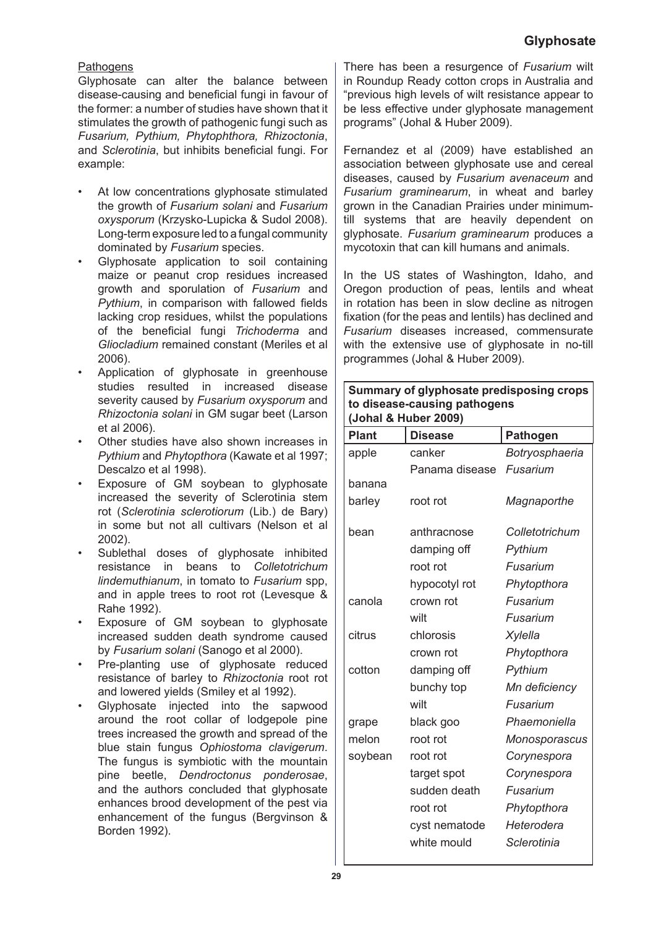## **Pathogens**

Glyphosate can alter the balance between disease-causing and beneficial fungi in favour of the former: a number of studies have shown that it stimulates the growth of pathogenic fungi such as *Fusarium, Pythium, Phytophthora, Rhizoctonia*, and *Sclerotinia*, but inhibits beneficial fungi. For example:

- At low concentrations glyphosate stimulated the growth of *Fusarium solani* and *Fusarium oxysporum* (Krzysko-Lupicka & Sudol 2008). Long-term exposure led to a fungal community dominated by *Fusarium* species. •
- Glyphosate application to soil containing maize or peanut crop residues increased growth and sporulation of *Fusarium* and *Pythium*, in comparison with fallowed fields lacking crop residues, whilst the populations of the beneficial fungi *Trichoderma* and *Gliocladium* remained constant (Meriles et al 2006). •
- Application of glyphosate in greenhouse studies resulted in increased disease severity caused by *Fusarium oxysporum* and *Rhizoctonia solani* in GM sugar beet (Larson et al 2006). •
- Other studies have also shown increases in *Pythium* and *Phytopthora* (Kawate et al 1997; Descalzo et al 1998). •
- Exposure of GM soybean to glyphosate increased the severity of Sclerotinia stem rot (*Sclerotinia sclerotiorum* (Lib.) de Bary) in some but not all cultivars (Nelson et al 2002). •
- Sublethal doses of glyphosate inhibited resistance in beans to *Colletotrichum lindemuthianum*, in tomato to *Fusarium* spp, and in apple trees to root rot (Levesque & Rahe 1992). •
- Exposure of GM soybean to glyphosate increased sudden death syndrome caused by *Fusarium solani* (Sanogo et al 2000). •
- Pre-planting use of glyphosate reduced resistance of barley to *Rhizoctonia* root rot and lowered yields (Smiley et al 1992). •
- Glyphosate injected into the sapwood around the root collar of lodgepole pine trees increased the growth and spread of the blue stain fungus *Ophiostoma clavigerum*. The fungus is symbiotic with the mountain pine beetle, *Dendroctonus ponderosae*, and the authors concluded that glyphosate enhances brood development of the pest via enhancement of the fungus (Bergvinson & Borden 1992). •

There has been a resurgence of *Fusarium* wilt in Roundup Ready cotton crops in Australia and "previous high levels of wilt resistance appear to be less effective under glyphosate management programs" (Johal & Huber 2009).

Fernandez et al (2009) have established an association between glyphosate use and cereal diseases, caused by *Fusarium avenaceum* and *Fusarium graminearum*, in wheat and barley grown in the Canadian Prairies under minimumtill systems that are heavily dependent on glyphosate. *Fusarium graminearum* produces a mycotoxin that can kill humans and animals.

In the US states of Washington, Idaho, and Oregon production of peas, lentils and wheat in rotation has been in slow decline as nitrogen fixation (for the peas and lentils) has declined and *Fusarium* diseases increased, commensurate with the extensive use of glyphosate in no-till programmes (Johal & Huber 2009).

#### **Summary of glyphosate predisposing crops to disease-causing pathogens (Johal & Huber 2009)**

| <b>Plant</b> | <b>Disease</b> | <b>Pathogen</b> |
|--------------|----------------|-----------------|
| apple        | canker         | Botryosphaeria  |
|              | Panama disease | Fusarium        |
| banana       |                |                 |
| barley       | root rot       | Magnaporthe     |
| bean         | anthracnose    | Colletotrichum  |
|              | damping off    | Pythium         |
|              | root rot       | Fusarium        |
|              | hypocotyl rot  | Phytopthora     |
| canola       | crown rot      | Fusarium        |
|              | wilt           | Fusarium        |
| citrus       | chlorosis      | <b>Xylella</b>  |
|              | crown rot      | Phytopthora     |
| cotton       | damping off    | Pythium         |
|              | bunchy top     | Mn deficiency   |
|              | wilt           | Fusarium        |
| grape        | black goo      | Phaemoniella    |
| melon        | root rot       | Monosporascus   |
| soybean      | root rot       | Corynespora     |
|              | target spot    | Corynespora     |
|              | sudden death   | Fusarium        |
|              | root rot       | Phytopthora     |
|              | cyst nematode  | Heterodera      |
|              | white mould    | Sclerotinia     |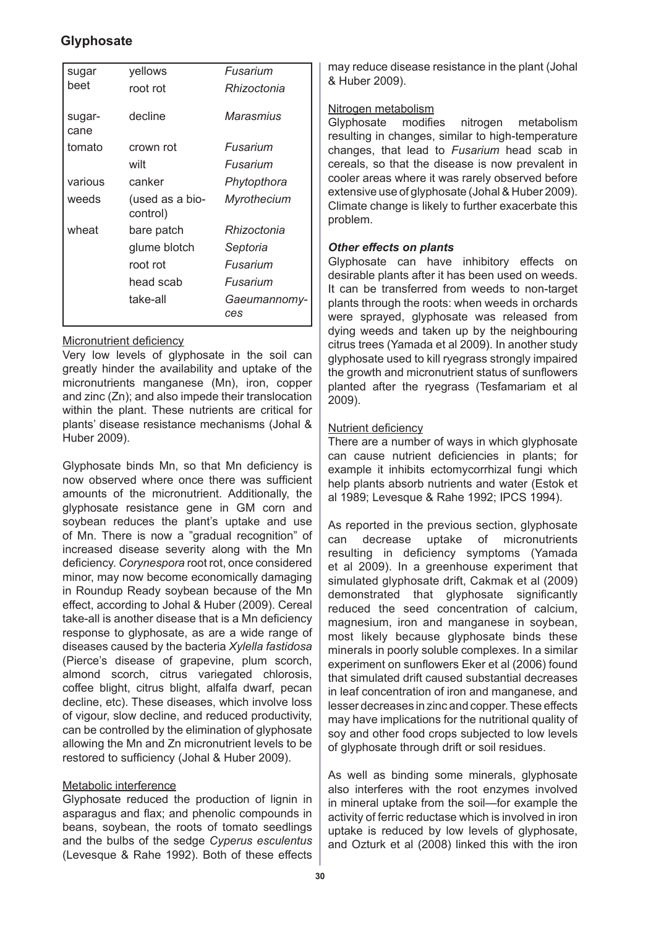| sugar          | yellows                     | Fusarium            |
|----------------|-----------------------------|---------------------|
| beet           | root rot                    | Rhizoctonia         |
| sugar-<br>cane | decline                     | Marasmius           |
| tomato         | crown rot                   | Fusarium            |
|                | wilt                        | Fusarium            |
| various        | canker                      | Phytopthora         |
| weeds          | (used as a bio-<br>control) | Myrothecium         |
| wheat          | bare patch                  | Rhizoctonia         |
|                | glume blotch                | Septoria            |
|                | root rot                    | Fusarium            |
|                | head scab                   | Fusarium            |
|                | take-all                    | Gaeumannomy-<br>ces |

## Micronutrient deficiency

Very low levels of glyphosate in the soil can greatly hinder the availability and uptake of the micronutrients manganese (Mn), iron, copper and zinc (Zn); and also impede their translocation within the plant. These nutrients are critical for plants' disease resistance mechanisms (Johal & Huber 2009).

Glyphosate binds Mn, so that Mn deficiency is now observed where once there was sufficient amounts of the micronutrient. Additionally, the glyphosate resistance gene in GM corn and soybean reduces the plant's uptake and use of Mn. There is now a "gradual recognition" of increased disease severity along with the Mn deficiency. *Corynespora* root rot, once considered minor, may now become economically damaging in Roundup Ready soybean because of the Mn effect, according to Johal & Huber (2009). Cereal take-all is another disease that is a Mn deficiency response to glyphosate, as are a wide range of diseases caused by the bacteria *Xylella fastidosa* (Pierce's disease of grapevine, plum scorch, almond scorch, citrus variegated chlorosis, coffee blight, citrus blight, alfalfa dwarf, pecan decline, etc). These diseases, which involve loss of vigour, slow decline, and reduced productivity, can be controlled by the elimination of glyphosate allowing the Mn and Zn micronutrient levels to be restored to sufficiency (Johal & Huber 2009).

## Metabolic interference

Glyphosate reduced the production of lignin in asparagus and flax; and phenolic compounds in beans, soybean, the roots of tomato seedlings and the bulbs of the sedge *Cyperus esculentus* (Levesque & Rahe 1992). Both of these effects may reduce disease resistance in the plant (Johal & Huber 2009).

#### Nitrogen metabolism

Glyphosate modifies nitrogen metabolism resulting in changes, similar to high-temperature changes, that lead to *Fusarium* head scab in cereals, so that the disease is now prevalent in cooler areas where it was rarely observed before extensive use of glyphosate (Johal & Huber 2009). Climate change is likely to further exacerbate this problem.

## *Other effects on plants*

Glyphosate can have inhibitory effects on desirable plants after it has been used on weeds. It can be transferred from weeds to non-target plants through the roots: when weeds in orchards were sprayed, glyphosate was released from dying weeds and taken up by the neighbouring citrus trees (Yamada et al 2009). In another study glyphosate used to kill ryegrass strongly impaired the growth and micronutrient status of sunflowers planted after the ryegrass (Tesfamariam et al 2009).

## Nutrient deficiency

There are a number of ways in which glyphosate can cause nutrient deficiencies in plants; for example it inhibits ectomycorrhizal fungi which help plants absorb nutrients and water (Estok et al 1989; Levesque & Rahe 1992; IPCS 1994).

As reported in the previous section, glyphosate can decrease uptake of micronutrients resulting in deficiency symptoms (Yamada et al 2009). In a greenhouse experiment that simulated glyphosate drift, Cakmak et al (2009) demonstrated that glyphosate significantly reduced the seed concentration of calcium, magnesium, iron and manganese in soybean, most likely because glyphosate binds these minerals in poorly soluble complexes. In a similar experiment on sunflowers Eker et al (2006) found that simulated drift caused substantial decreases in leaf concentration of iron and manganese, and lesser decreases in zinc and copper. These effects may have implications for the nutritional quality of soy and other food crops subjected to low levels of glyphosate through drift or soil residues.

As well as binding some minerals, glyphosate also interferes with the root enzymes involved in mineral uptake from the soil—for example the activity of ferric reductase which is involved in iron uptake is reduced by low levels of glyphosate, and Ozturk et al (2008) linked this with the iron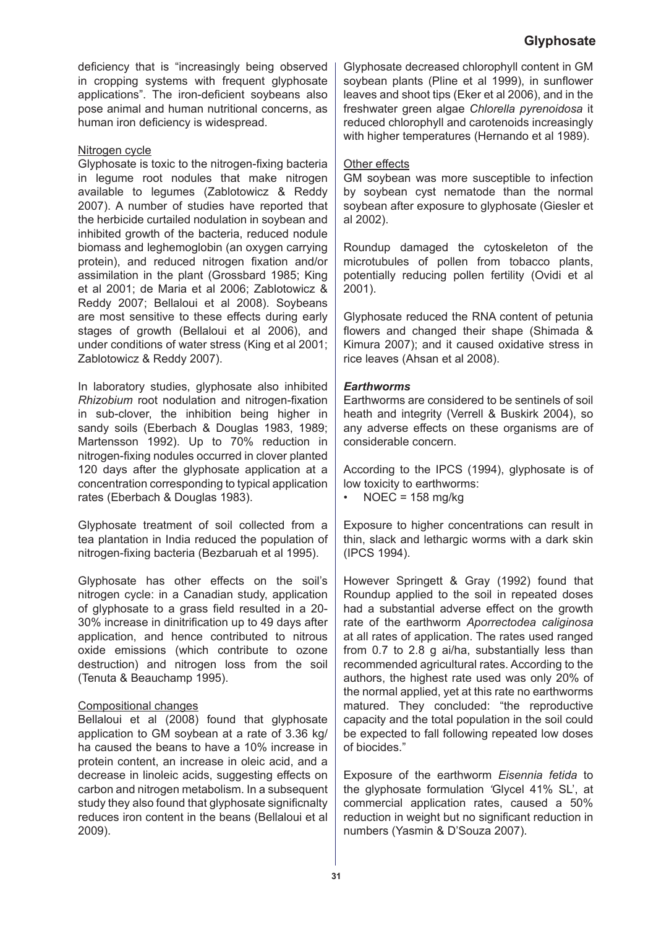deficiency that is "increasingly being observed in cropping systems with frequent glyphosate applications". The iron-deficient soybeans also pose animal and human nutritional concerns, as human iron deficiency is widespread.

#### Nitrogen cycle

Glyphosate is toxic to the nitrogen-fixing bacteria in legume root nodules that make nitrogen available to legumes (Zablotowicz & Reddy 2007). A number of studies have reported that the herbicide curtailed nodulation in soybean and inhibited growth of the bacteria, reduced nodule biomass and leghemoglobin (an oxygen carrying protein), and reduced nitrogen fixation and/or assimilation in the plant (Grossbard 1985; King et al 2001; de Maria et al 2006; Zablotowicz & Reddy 2007; Bellaloui et al 2008). Soybeans are most sensitive to these effects during early stages of growth (Bellaloui et al 2006), and under conditions of water stress (King et al 2001; Zablotowicz & Reddy 2007).

In laboratory studies, glyphosate also inhibited *Rhizobium* root nodulation and nitrogen-fixation in sub-clover, the inhibition being higher in sandy soils (Eberbach & Douglas 1983, 1989; Martensson 1992). Up to 70% reduction in nitrogen-fixing nodules occurred in clover planted 120 days after the glyphosate application at a concentration corresponding to typical application rates (Eberbach & Douglas 1983).

Glyphosate treatment of soil collected from a tea plantation in India reduced the population of nitrogen-fixing bacteria (Bezbaruah et al 1995).

Glyphosate has other effects on the soil's nitrogen cycle: in a Canadian study, application of glyphosate to a grass field resulted in a 20- 30% increase in dinitrification up to 49 days after application, and hence contributed to nitrous oxide emissions (which contribute to ozone destruction) and nitrogen loss from the soil (Tenuta & Beauchamp 1995).

#### Compositional changes

Bellaloui et al (2008) found that glyphosate application to GM soybean at a rate of 3.36 kg/ ha caused the beans to have a 10% increase in protein content, an increase in oleic acid, and a decrease in linoleic acids, suggesting effects on carbon and nitrogen metabolism. In a subsequent study they also found that glyphosate significnalty reduces iron content in the beans (Bellaloui et al 2009).

Glyphosate decreased chlorophyll content in GM soybean plants (Pline et al 1999), in sunflower leaves and shoot tips (Eker et al 2006), and in the freshwater green algae *Chlorella pyrenoidosa* it reduced chlorophyll and carotenoids increasingly with higher temperatures (Hernando et al 1989).

#### Other effects

GM soybean was more susceptible to infection by soybean cyst nematode than the normal soybean after exposure to glyphosate (Giesler et al 2002).

Roundup damaged the cytoskeleton of the microtubules of pollen from tobacco plants, potentially reducing pollen fertility (Ovidi et al 2001).

Glyphosate reduced the RNA content of petunia flowers and changed their shape (Shimada & Kimura 2007); and it caused oxidative stress in rice leaves (Ahsan et al 2008).

#### *Earthworms*

Earthworms are considered to be sentinels of soil heath and integrity (Verrell & Buskirk 2004), so any adverse effects on these organisms are of considerable concern.

According to the IPCS (1994), glyphosate is of low toxicity to earthworms:

 $NOEC = 158$  mg/kg •

Exposure to higher concentrations can result in thin, slack and lethargic worms with a dark skin (IPCS 1994).

However Springett & Gray (1992) found that Roundup applied to the soil in repeated doses had a substantial adverse effect on the growth rate of the earthworm *Aporrectodea caliginosa* at all rates of application. The rates used ranged from 0.7 to 2.8 g ai/ha, substantially less than recommended agricultural rates. According to the authors, the highest rate used was only 20% of the normal applied, yet at this rate no earthworms matured. They concluded: "the reproductive capacity and the total population in the soil could be expected to fall following repeated low doses of biocides."

Exposure of the earthworm *Eisennia fetida* to the glyphosate formulation *'*Glycel 41% SL', at commercial application rates, caused a 50% reduction in weight but no significant reduction in numbers (Yasmin & D'Souza 2007).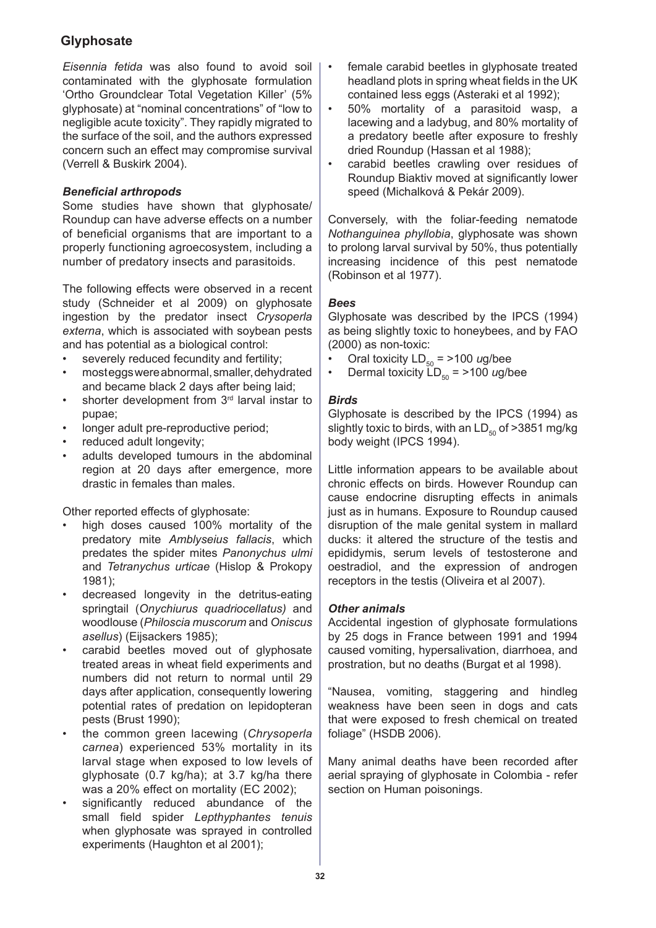*Eisennia fetida* was also found to avoid soil contaminated with the glyphosate formulation 'Ortho Groundclear Total Vegetation Killer' (5% glyphosate) at "nominal concentrations" of "low to negligible acute toxicity". They rapidly migrated to the surface of the soil, and the authors expressed concern such an effect may compromise survival (Verrell & Buskirk 2004).

## *Beneficial arthropods*

Some studies have shown that glyphosate/ Roundup can have adverse effects on a number of beneficial organisms that are important to a properly functioning agroecosystem, including a number of predatory insects and parasitoids.

The following effects were observed in a recent study (Schneider et al 2009) on glyphosate ingestion by the predator insect *Crysoperla externa*, which is associated with soybean pests and has potential as a biological control:

- severely reduced fecundity and fertility; •
- most eggs were abnormal, smaller, dehydrated and became black 2 days after being laid; •
- shorter development from 3<sup>rd</sup> larval instar to pupae; •
- longer adult pre-reproductive period; •
- reduced adult longevity; •
- adults developed tumours in the abdominal region at 20 days after emergence, more drastic in females than males. •

Other reported effects of glyphosate:

- high doses caused 100% mortality of the predatory mite *Amblyseius fallacis*, which predates the spider mites *Panonychus ulmi* and *Tetranychus urticae* (Hislop & Prokopy 1981); •
- decreased longevity in the detritus-eating springtail (*Onychiurus quadriocellatus)* and woodlouse (*Philoscia muscorum* and *Oniscus asellus*) (Eijsackers 1985); •
- carabid beetles moved out of glyphosate treated areas in wheat field experiments and numbers did not return to normal until 29 days after application, consequently lowering potential rates of predation on lepidopteran pests (Brust 1990); •
- the common green lacewing (*Chrysoperla carnea*) experienced 53% mortality in its larval stage when exposed to low levels of glyphosate (0.7 kg/ha); at 3.7 kg/ha there was a 20% effect on mortality (EC 2002); •
- significantly reduced abundance of the small field spider *Lepthyphantes tenuis* when glyphosate was sprayed in controlled experiments (Haughton et al 2001); •
- female carabid beetles in glyphosate treated headland plots in spring wheat fields in the UK contained less eggs (Asteraki et al 1992); •
- 50% mortality of a parasitoid wasp, a lacewing and a ladybug, and 80% mortality of a predatory beetle after exposure to freshly dried Roundup (Hassan et al 1988); •
- carabid beetles crawling over residues of Roundup Biaktiv moved at significantly lower speed (Michalková & Pekár 2009). •

Conversely, with the foliar-feeding nematode *Nothanguinea phyllobia*, glyphosate was shown to prolong larval survival by 50%, thus potentially increasing incidence of this pest nematode (Robinson et al 1977).

## *Bees*

Glyphosate was described by the IPCS (1994) as being slightly toxic to honeybees, and by FAO (2000) as non-toxic:

- Oral toxicity  $LD_{50} = 2100$  *ug/bee* •
- Dermal toxicity  $LD_{50} = 2100$  *ug/bee* •

## *Birds*

Glyphosate is described by the IPCS (1994) as slightly toxic to birds, with an  $LD_{50}$  of >3851 mg/kg body weight (IPCS 1994).

Little information appears to be available about chronic effects on birds. However Roundup can cause endocrine disrupting effects in animals just as in humans. Exposure to Roundup caused disruption of the male genital system in mallard ducks: it altered the structure of the testis and epididymis, serum levels of testosterone and oestradiol, and the expression of androgen receptors in the testis (Oliveira et al 2007).

## *Other animals*

Accidental ingestion of glyphosate formulations by 25 dogs in France between 1991 and 1994 caused vomiting, hypersalivation, diarrhoea, and prostration, but no deaths (Burgat et al 1998).

"Nausea, vomiting, staggering and hindleg weakness have been seen in dogs and cats that were exposed to fresh chemical on treated foliage" (HSDB 2006).

Many animal deaths have been recorded after aerial spraying of glyphosate in Colombia - refer section on Human poisonings.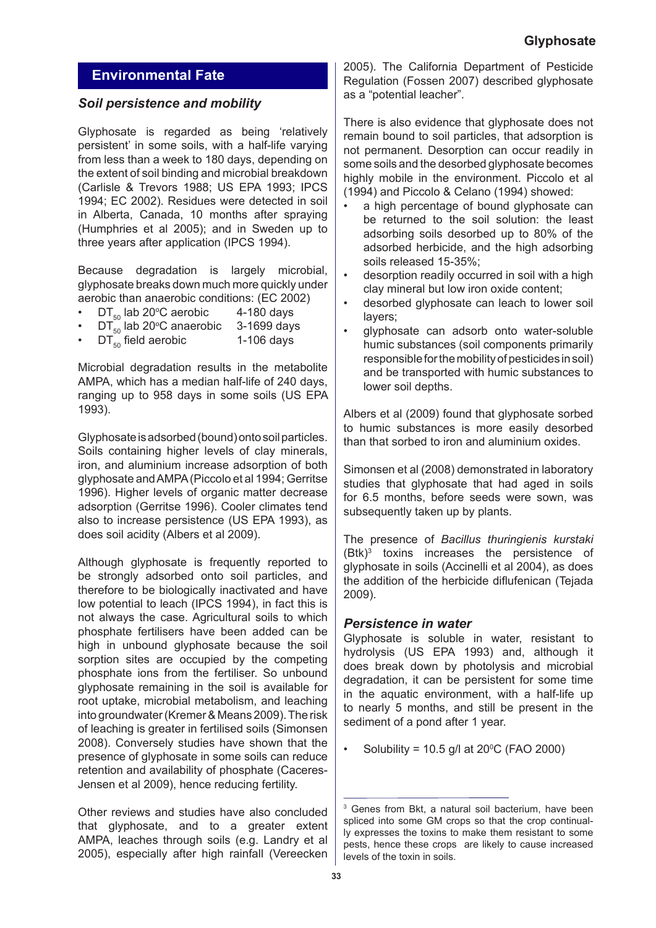# **Environmental Fate**

## *Soil persistence and mobility*

Glyphosate is regarded as being 'relatively persistent' in some soils, with a half-life varying from less than a week to 180 days, depending on the extent of soil binding and microbial breakdown (Carlisle & Trevors 1988; US EPA 1993; IPCS 1994; EC 2002). Residues were detected in soil in Alberta, Canada, 10 months after spraying (Humphries et al 2005); and in Sweden up to three years after application (IPCS 1994).

Because degradation is largely microbial, glyphosate breaks down much more quickly under aerobic than anaerobic conditions: (EC 2002)

- DT $_{50}$  lab 20°C aerobic  $\qquad$  4-180 days •
- $DT_{50}$  lab 20°C anaerobic 3-1699 days •
- $DT_{50}$  field aerobic 1-106 days •

Microbial degradation results in the metabolite AMPA, which has a median half-life of 240 days, ranging up to 958 days in some soils (US EPA 1993).

Glyphosate is adsorbed (bound) onto soil particles. Soils containing higher levels of clay minerals, iron, and aluminium increase adsorption of both glyphosate and AMPA (Piccolo et al 1994; Gerritse 1996). Higher levels of organic matter decrease adsorption (Gerritse 1996). Cooler climates tend also to increase persistence (US EPA 1993), as does soil acidity (Albers et al 2009).

Although glyphosate is frequently reported to be strongly adsorbed onto soil particles, and therefore to be biologically inactivated and have low potential to leach (IPCS 1994), in fact this is not always the case. Agricultural soils to which phosphate fertilisers have been added can be high in unbound glyphosate because the soil sorption sites are occupied by the competing phosphate ions from the fertiliser. So unbound glyphosate remaining in the soil is available for root uptake, microbial metabolism, and leaching into groundwater (Kremer & Means 2009). The risk of leaching is greater in fertilised soils (Simonsen 2008). Conversely studies have shown that the presence of glyphosate in some soils can reduce retention and availability of phosphate (Caceres-Jensen et al 2009), hence reducing fertility.

Other reviews and studies have also concluded that glyphosate, and to a greater extent AMPA, leaches through soils (e.g. Landry et al 2005), especially after high rainfall (Vereecken

2005). The California Department of Pesticide Regulation (Fossen 2007) described glyphosate as a "potential leacher".

There is also evidence that glyphosate does not remain bound to soil particles, that adsorption is not permanent. Desorption can occur readily in some soils and the desorbed glyphosate becomes highly mobile in the environment. Piccolo et al (1994) and Piccolo & Celano (1994) showed:

- a high percentage of bound glyphosate can be returned to the soil solution: the least adsorbing soils desorbed up to 80% of the adsorbed herbicide, and the high adsorbing soils released 15-35%; •
- desorption readily occurred in soil with a high clay mineral but low iron oxide content; •
- desorbed glyphosate can leach to lower soil layers; •
- glyphosate can adsorb onto water-soluble humic substances (soil components primarily responsible for the mobility of pesticides in soil) and be transported with humic substances to lower soil depths. •

Albers et al (2009) found that glyphosate sorbed to humic substances is more easily desorbed than that sorbed to iron and aluminium oxides.

Simonsen et al (2008) demonstrated in laboratory studies that glyphosate that had aged in soils for 6.5 months, before seeds were sown, was subsequently taken up by plants.

The presence of *Bacillus thuringienis kurstaki*  (Btk)3 toxins increases the persistence of glyphosate in soils (Accinelli et al 2004), as does the addition of the herbicide diflufenican (Tejada 2009).

## *Persistence in water*

Glyphosate is soluble in water, resistant to hydrolysis (US EPA 1993) and, although it does break down by photolysis and microbial degradation, it can be persistent for some time in the aquatic environment, with a half-life up to nearly 5 months, and still be present in the sediment of a pond after 1 year.

Solubility = 10.5 g/l at  $20^{\circ}$ C (FAO 2000) •

<sup>3</sup> Genes from Bkt, a natural soil bacterium, have been spliced into some GM crops so that the crop continually expresses the toxins to make them resistant to some pests, hence these crops are likely to cause increased levels of the toxin in soils.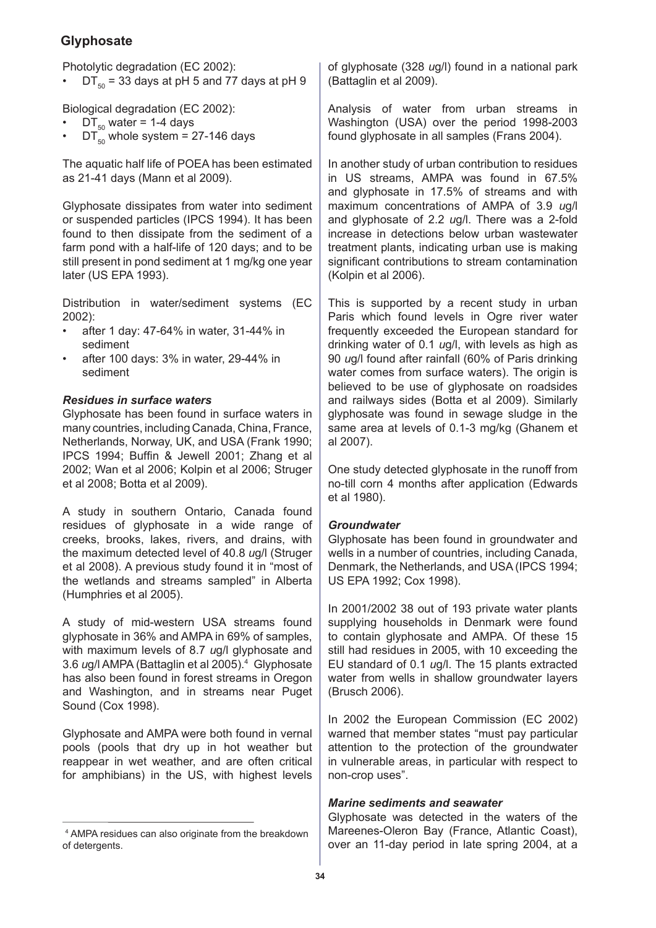Photolytic degradation (EC 2002):

 $DT_{50}$  = 33 days at pH 5 and 77 days at pH 9 •

Biological degradation (EC 2002):

- $DT_{50}$  water = 1-4 days •
- $DT_{50}^-$  whole system = 27-146 days •

The aquatic half life of POEA has been estimated as 21-41 days (Mann et al 2009).

Glyphosate dissipates from water into sediment or suspended particles (IPCS 1994). It has been found to then dissipate from the sediment of a farm pond with a half-life of 120 days; and to be still present in pond sediment at 1 mg/kg one year later (US EPA 1993).

Distribution in water/sediment systems (EC 2002):

- after 1 day: 47-64% in water, 31-44% in sediment •
- after 100 days: 3% in water, 29-44% in sediment •

#### *Residues in surface waters*

Glyphosate has been found in surface waters in many countries, including Canada, China, France, Netherlands, Norway, UK, and USA (Frank 1990; IPCS 1994; Buffin & Jewell 2001; Zhang et al 2002; Wan et al 2006; Kolpin et al 2006; Struger et al 2008; Botta et al 2009).

A study in southern Ontario, Canada found residues of glyphosate in a wide range of creeks, brooks, lakes, rivers, and drains, with the maximum detected level of 40.8 *u*g/l (Struger et al 2008). A previous study found it in "most of the wetlands and streams sampled" in Alberta (Humphries et al 2005).

A study of mid-western USA streams found glyphosate in 36% and AMPA in 69% of samples, with maximum levels of 8.7 *u*g/l glyphosate and 3.6 *u*g/l AMPA (Battaglin et al 2005).4 Glyphosate has also been found in forest streams in Oregon and Washington, and in streams near Puget Sound (Cox 1998).

Glyphosate and AMPA were both found in vernal pools (pools that dry up in hot weather but reappear in wet weather, and are often critical for amphibians) in the US, with highest levels

of glyphosate (328 *u*g/l) found in a national park (Battaglin et al 2009).

Analysis of water from urban streams in Washington (USA) over the period 1998-2003 found glyphosate in all samples (Frans 2004).

In another study of urban contribution to residues in US streams, AMPA was found in 67.5% and glyphosate in 17.5% of streams and with maximum concentrations of AMPA of 3.9 *u*g/l and glyphosate of 2.2 *u*g/l. There was a 2-fold increase in detections below urban wastewater treatment plants, indicating urban use is making significant contributions to stream contamination (Kolpin et al 2006).

This is supported by a recent study in urban Paris which found levels in Ogre river water frequently exceeded the European standard for drinking water of 0.1 *u*g/l, with levels as high as 90 *u*g/l found after rainfall (60% of Paris drinking water comes from surface waters). The origin is believed to be use of glyphosate on roadsides and railways sides (Botta et al 2009). Similarly glyphosate was found in sewage sludge in the same area at levels of 0.1-3 mg/kg (Ghanem et al 2007).

One study detected glyphosate in the runoff from no-till corn 4 months after application (Edwards et al 1980).

#### *Groundwater*

Glyphosate has been found in groundwater and wells in a number of countries, including Canada, Denmark, the Netherlands, and USA (IPCS 1994; US EPA 1992; Cox 1998).

In 2001/2002 38 out of 193 private water plants supplying households in Denmark were found to contain glyphosate and AMPA. Of these 15 still had residues in 2005, with 10 exceeding the EU standard of 0.1 *u*g/l. The 15 plants extracted water from wells in shallow groundwater layers (Brusch 2006).

In 2002 the European Commission (EC 2002) warned that member states "must pay particular attention to the protection of the groundwater in vulnerable areas, in particular with respect to non-crop uses".

#### *Marine sediments and seawater*

Glyphosate was detected in the waters of the Mareenes-Oleron Bay (France, Atlantic Coast), over an 11-day period in late spring 2004, at a

<sup>4</sup> AMPA residues can also originate from the breakdown of detergents.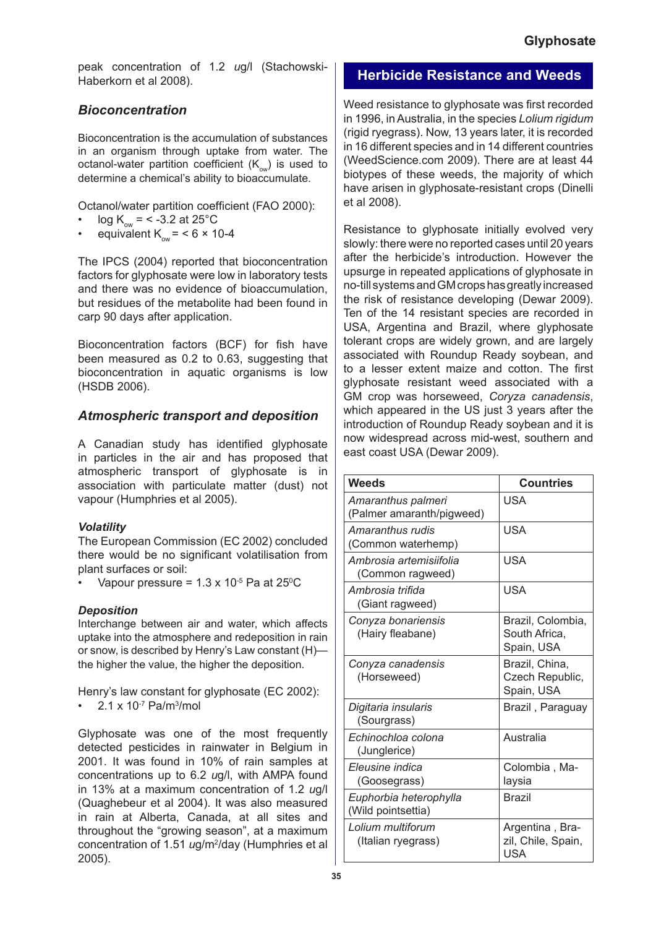peak concentration of 1.2 *u*g/l (Stachowski-Haberkorn et al 2008).

# *Bioconcentration*

Bioconcentration is the accumulation of substances in an organism through uptake from water. The octanol-water partition coefficient  $(K_{\text{out}})$  is used to determine a chemical's ability to bioaccumulate.

Octanol/water partition coefficient (FAO 2000):

- $log K_{\text{ow}} = 5.2$  at 25°C •
- equivalent  $K_{\text{ow}} = 6 \times 10-4$ •

The IPCS (2004) reported that bioconcentration factors for glyphosate were low in laboratory tests and there was no evidence of bioaccumulation, but residues of the metabolite had been found in carp 90 days after application.

Bioconcentration factors (BCF) for fish have been measured as 0.2 to 0.63, suggesting that bioconcentration in aquatic organisms is low (HSDB 2006).

## *Atmospheric transport and deposition*

A Canadian study has identified glyphosate in particles in the air and has proposed that atmospheric transport of glyphosate is in association with particulate matter (dust) not vapour (Humphries et al 2005).

## *Volatility*

The European Commission (EC 2002) concluded there would be no significant volatilisation from plant surfaces or soil:

• Vapour pressure =  $1.3 \times 10^{-5}$  Pa at 25<sup>o</sup>C

## *Deposition*

Interchange between air and water, which affects uptake into the atmosphere and redeposition in rain or snow, is described by Henry's Law constant (H) the higher the value, the higher the deposition.

Henry's law constant for glyphosate (EC 2002):

•  $2.1 \times 10^{-7}$  Pa/m<sup>3</sup>/mol

Glyphosate was one of the most frequently detected pesticides in rainwater in Belgium in 2001. It was found in 10% of rain samples at concentrations up to 6.2 *u*g/l, with AMPA found in 13% at a maximum concentration of 1.2 *u*g/l (Quaghebeur et al 2004). It was also measured in rain at Alberta, Canada, at all sites and throughout the "growing season", at a maximum concentration of 1.51 *u*g/m2 /day (Humphries et al 2005).

## **Herbicide Resistance and Weeds**

Weed resistance to glyphosate was first recorded in 1996, in Australia, in the species *Lolium rigidum*  (rigid ryegrass). Now, 13 years later, it is recorded in 16 different species and in 14 different countries (WeedScience.com 2009). There are at least 44 biotypes of these weeds, the majority of which have arisen in glyphosate-resistant crops (Dinelli et al 2008).

Resistance to glyphosate initially evolved very slowly: there were no reported cases until 20 years after the herbicide's introduction. However the upsurge in repeated applications of glyphosate in no-till systems and GM crops has greatly increased the risk of resistance developing (Dewar 2009). Ten of the 14 resistant species are recorded in USA, Argentina and Brazil, where glyphosate tolerant crops are widely grown, and are largely associated with Roundup Ready soybean, and to a lesser extent maize and cotton. The first glyphosate resistant weed associated with a GM crop was horseweed, *Coryza canadensis*, which appeared in the US just 3 years after the introduction of Roundup Ready soybean and it is now widespread across mid-west, southern and east coast USA (Dewar 2009).

| <b>Weeds</b>                                    | <b>Countries</b>                                    |
|-------------------------------------------------|-----------------------------------------------------|
| Amaranthus palmeri<br>(Palmer amaranth/pigweed) | USA                                                 |
| Amaranthus rudis<br>(Common waterhemp)          | <b>USA</b>                                          |
| Ambrosia artemisiifolia<br>(Common ragweed)     | <b>USA</b>                                          |
| Ambrosia trifida<br>(Giant ragweed)             | <b>USA</b>                                          |
| Conyza bonariensis<br>(Hairy fleabane)          | Brazil, Colombia,<br>South Africa,<br>Spain, USA    |
| Conyza canadensis<br>(Horseweed)                | Brazil, China,<br>Czech Republic,<br>Spain, USA     |
| Digitaria insularis<br>(Sourgrass)              | Brazil, Paraguay                                    |
| Echinochloa colona<br>(Junglerice)              | Australia                                           |
| Eleusine indica<br>(Goosegrass)                 | Colombia, Ma-<br>laysia                             |
| Euphorbia heterophylla<br>(Wild pointsettia)    | <b>Brazil</b>                                       |
| Lolium multiforum<br>(Italian ryegrass)         | Argentina, Bra-<br>zil, Chile, Spain,<br><b>USA</b> |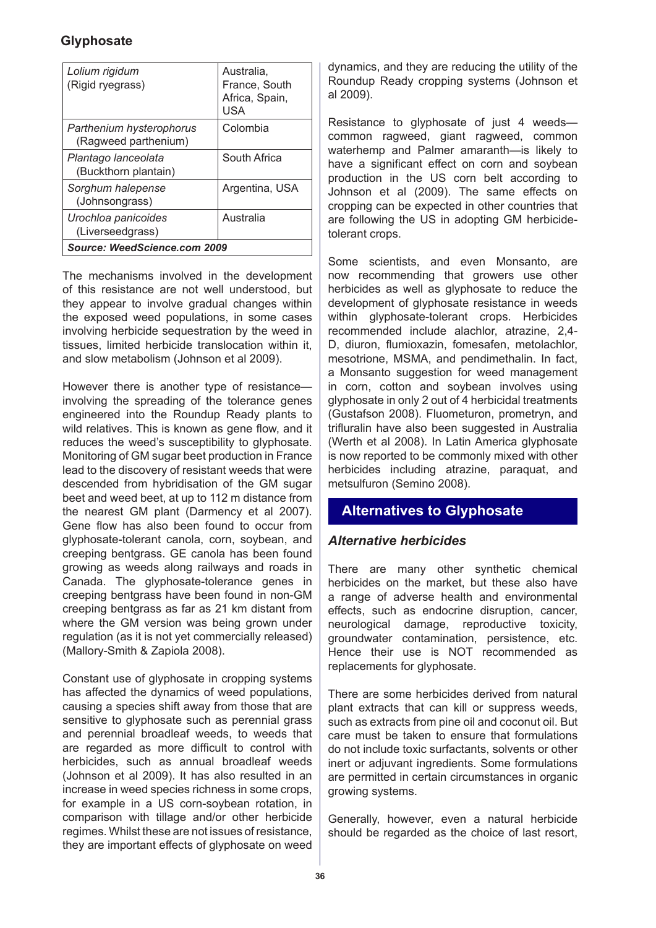| Lolium rigidum<br>(Rigid ryegrass)               | Australia.<br>France, South<br>Africa, Spain,<br>USA |
|--------------------------------------------------|------------------------------------------------------|
| Parthenium hysterophorus<br>(Ragweed parthenium) | Colombia                                             |
| Plantago lanceolata<br>(Buckthorn plantain)      | South Africa                                         |
| Sorghum halepense<br>(Johnsongrass)              | Argentina, USA                                       |
| Urochloa panicoides<br>(Liverseedgrass)          | Australia                                            |
| Source: WeedScience.com 2009                     |                                                      |

The mechanisms involved in the development of this resistance are not well understood, but they appear to involve gradual changes within the exposed weed populations, in some cases involving herbicide sequestration by the weed in tissues, limited herbicide translocation within it, and slow metabolism (Johnson et al 2009).

However there is another type of resistance involving the spreading of the tolerance genes engineered into the Roundup Ready plants to wild relatives. This is known as gene flow, and it reduces the weed's susceptibility to glyphosate. Monitoring of GM sugar beet production in France lead to the discovery of resistant weeds that were descended from hybridisation of the GM sugar beet and weed beet, at up to 112 m distance from the nearest GM plant (Darmency et al 2007). Gene flow has also been found to occur from glyphosate-tolerant canola, corn, soybean, and creeping bentgrass. GE canola has been found growing as weeds along railways and roads in Canada. The glyphosate-tolerance genes in creeping bentgrass have been found in non-GM creeping bentgrass as far as 21 km distant from where the GM version was being grown under regulation (as it is not yet commercially released) (Mallory-Smith & Zapiola 2008).

Constant use of glyphosate in cropping systems has affected the dynamics of weed populations, causing a species shift away from those that are sensitive to glyphosate such as perennial grass and perennial broadleaf weeds, to weeds that are regarded as more difficult to control with herbicides, such as annual broadleaf weeds (Johnson et al 2009). It has also resulted in an increase in weed species richness in some crops, for example in a US corn-soybean rotation, in comparison with tillage and/or other herbicide regimes. Whilst these are not issues of resistance, they are important effects of glyphosate on weed

dynamics, and they are reducing the utility of the Roundup Ready cropping systems (Johnson et al 2009).

Resistance to glyphosate of just 4 weeds common ragweed, giant ragweed, common waterhemp and Palmer amaranth—is likely to have a significant effect on corn and soybean production in the US corn belt according to Johnson et al (2009). The same effects on cropping can be expected in other countries that are following the US in adopting GM herbicidetolerant crops.

Some scientists, and even Monsanto, are now recommending that growers use other herbicides as well as glyphosate to reduce the development of glyphosate resistance in weeds within glyphosate-tolerant crops. Herbicides recommended include alachlor, atrazine, 2,4- D, diuron, flumioxazin, fomesafen, metolachlor, mesotrione, MSMA, and pendimethalin. In fact, a Monsanto suggestion for weed management in corn, cotton and soybean involves using glyphosate in only 2 out of 4 herbicidal treatments (Gustafson 2008). Fluometuron, prometryn, and trifluralin have also been suggested in Australia (Werth et al 2008). In Latin America glyphosate is now reported to be commonly mixed with other herbicides including atrazine, paraquat, and metsulfuron (Semino 2008).

# **Alternatives to Glyphosate**

## *Alternative herbicides*

There are many other synthetic chemical herbicides on the market, but these also have a range of adverse health and environmental effects, such as endocrine disruption, cancer, neurological damage, reproductive toxicity, groundwater contamination, persistence, etc. Hence their use is NOT recommended as replacements for glyphosate.

There are some herbicides derived from natural plant extracts that can kill or suppress weeds, such as extracts from pine oil and coconut oil. But care must be taken to ensure that formulations do not include toxic surfactants, solvents or other inert or adjuvant ingredients. Some formulations are permitted in certain circumstances in organic growing systems.

Generally, however, even a natural herbicide should be regarded as the choice of last resort,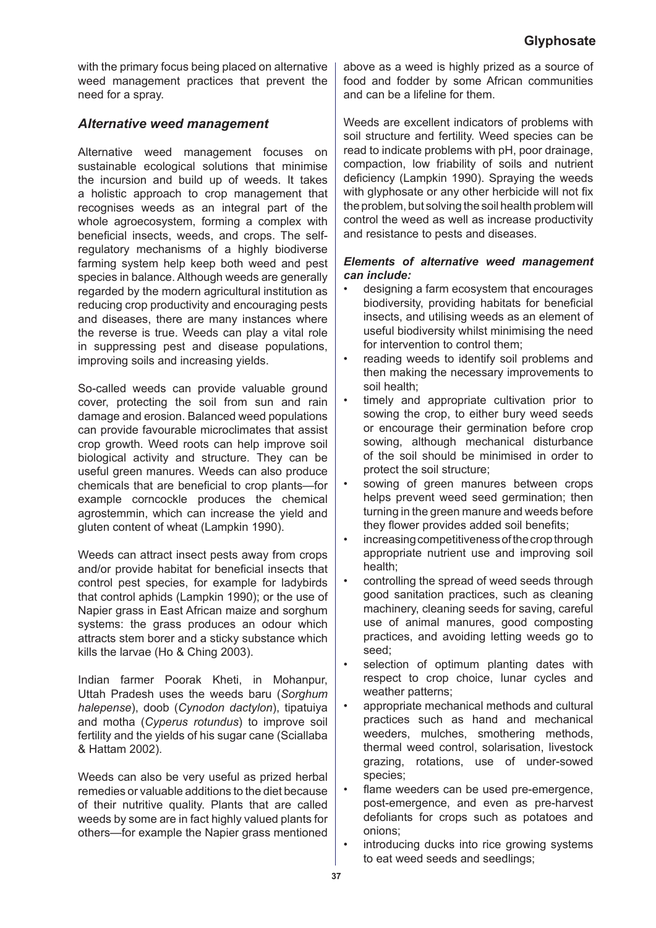with the primary focus being placed on alternative weed management practices that prevent the need for a spray.

# *Alternative weed management*

Alternative weed management focuses on sustainable ecological solutions that minimise the incursion and build up of weeds. It takes a holistic approach to crop management that recognises weeds as an integral part of the whole agroecosystem, forming a complex with beneficial insects, weeds, and crops. The selfregulatory mechanisms of a highly biodiverse farming system help keep both weed and pest species in balance. Although weeds are generally regarded by the modern agricultural institution as reducing crop productivity and encouraging pests and diseases, there are many instances where the reverse is true. Weeds can play a vital role in suppressing pest and disease populations, improving soils and increasing yields.

So-called weeds can provide valuable ground cover, protecting the soil from sun and rain damage and erosion. Balanced weed populations can provide favourable microclimates that assist crop growth. Weed roots can help improve soil biological activity and structure. They can be useful green manures. Weeds can also produce chemicals that are beneficial to crop plants—for example corncockle produces the chemical agrostemmin, which can increase the yield and gluten content of wheat (Lampkin 1990).

Weeds can attract insect pests away from crops and/or provide habitat for beneficial insects that control pest species, for example for ladybirds that control aphids (Lampkin 1990); or the use of Napier grass in East African maize and sorghum systems: the grass produces an odour which attracts stem borer and a sticky substance which kills the larvae (Ho & Ching 2003).

Indian farmer Poorak Kheti, in Mohanpur, Uttah Pradesh uses the weeds baru (*Sorghum halepense*), doob (*Cynodon dactylon*), tipatuiya and motha (*Cyperus rotundus*) to improve soil fertility and the yields of his sugar cane (Sciallaba & Hattam 2002).

Weeds can also be very useful as prized herbal remedies or valuable additions to the diet because of their nutritive quality. Plants that are called weeds by some are in fact highly valued plants for others—for example the Napier grass mentioned above as a weed is highly prized as a source of food and fodder by some African communities and can be a lifeline for them.

Weeds are excellent indicators of problems with soil structure and fertility. Weed species can be read to indicate problems with pH, poor drainage, compaction, low friability of soils and nutrient deficiency (Lampkin 1990). Spraying the weeds with glyphosate or any other herbicide will not fix the problem, but solving the soil health problem will control the weed as well as increase productivity and resistance to pests and diseases.

## *Elements of alternative weed management can include:*

- designing a farm ecosystem that encourages biodiversity, providing habitats for beneficial insects, and utilising weeds as an element of useful biodiversity whilst minimising the need for intervention to control them; •
- reading weeds to identify soil problems and then making the necessary improvements to soil health; •
- timely and appropriate cultivation prior to sowing the crop, to either bury weed seeds or encourage their germination before crop sowing, although mechanical disturbance of the soil should be minimised in order to protect the soil structure; •
- sowing of green manures between crops helps prevent weed seed germination; then turning in the green manure and weeds before they flower provides added soil benefits; •
- increasing competitiveness of the crop through appropriate nutrient use and improving soil health; •
- controlling the spread of weed seeds through good sanitation practices, such as cleaning machinery, cleaning seeds for saving, careful use of animal manures, good composting practices, and avoiding letting weeds go to seed; •
- selection of optimum planting dates with respect to crop choice, lunar cycles and weather patterns; •
- appropriate mechanical methods and cultural practices such as hand and mechanical weeders, mulches, smothering methods, thermal weed control, solarisation, livestock grazing, rotations, use of under-sowed species; •
- flame weeders can be used pre-emergence, post-emergence, and even as pre-harvest defoliants for crops such as potatoes and onions; •
- introducing ducks into rice growing systems to eat weed seeds and seedlings; •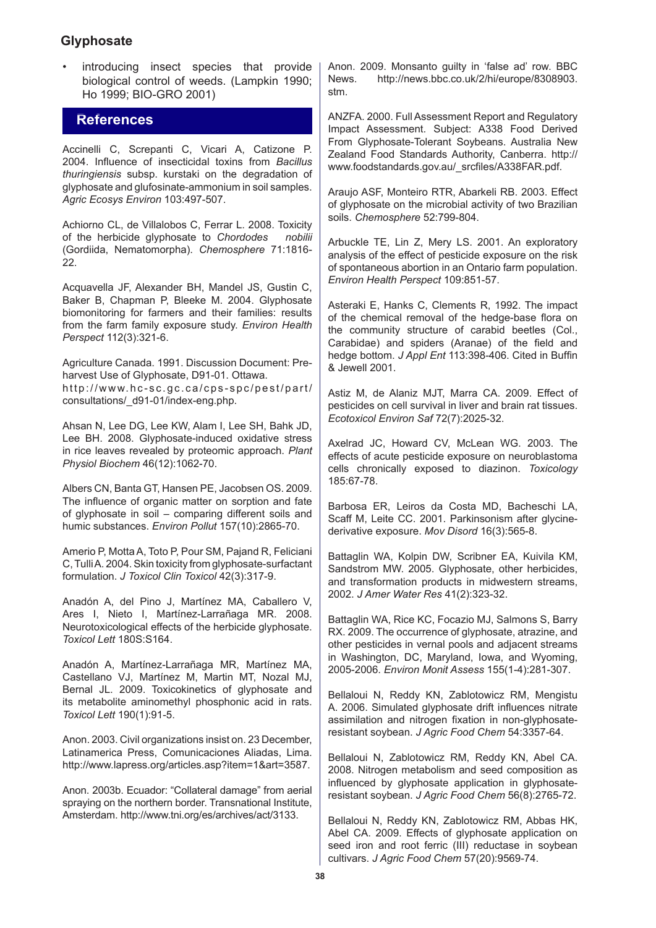introducing insect species that provide biological control of weeds. (Lampkin 1990; Ho 1999; BIO-GRO 2001)

## **References**

Accinelli C, Screpanti C, Vicari A, Catizone P. 2004. Influence of insecticidal toxins from *Bacillus thuringiensis* subsp. kurstaki on the degradation of glyphosate and glufosinate-ammonium in soil samples. *Agric Ecosys Environ* 103:497-507.

Achiorno CL, de Villalobos C, Ferrar L. 2008. Toxicity of the herbicide glyphosate to *Chordodes nobilii*  (Gordiida, Nematomorpha). *Chemosphere* 71:1816- 22.

Acquavella JF, Alexander BH, Mandel JS, Gustin C, Baker B, Chapman P, Bleeke M. 2004. Glyphosate biomonitoring for farmers and their families: results from the farm family exposure study. *Environ Health Perspect* 112(3):321-6.

Agriculture Canada. 1991. Discussion Document: Preharvest Use of Glyphosate, D91-01. Ottawa. http://www.hc-sc.gc.ca/cps-spc/pest/part/ consultations/\_d91-01/index-eng.php.

Ahsan N, Lee DG, Lee KW, Alam I, Lee SH, Bahk JD, Lee BH. 2008. Glyphosate-induced oxidative stress in rice leaves revealed by proteomic approach. *Plant Physiol Biochem* 46(12):1062-70.

Albers CN, Banta GT, Hansen PE, Jacobsen OS. 2009. The influence of organic matter on sorption and fate of glyphosate in soil – comparing different soils and humic substances. *Environ Pollut* 157(10):2865-70.

Amerio P, Motta A, Toto P, Pour SM, Pajand R, Feliciani C, Tulli A. 2004. Skin toxicity from glyphosate-surfactant formulation. *J Toxicol Clin Toxicol* 42(3):317-9.

Anadón A, del Pino J, Martínez MA, Caballero V, Ares I, Nieto I, Martínez-Larrañaga MR. 2008. Neurotoxicological effects of the herbicide glyphosate. *Toxicol Lett* 180S:S164.

Anadón A, Martínez-Larrañaga MR, Martínez MA, Castellano VJ, Martínez M, Martin MT, Nozal MJ, Bernal JL. 2009. Toxicokinetics of glyphosate and its metabolite aminomethyl phosphonic acid in rats. *Toxicol Lett* 190(1):91-5.

Anon. 2003. Civil organizations insist on. 23 December, Latinamerica Press, Comunicaciones Aliadas, Lima. http://www.lapress.org/articles.asp?item=1&art=3587.

Anon. 2003b. Ecuador: "Collateral damage" from aerial spraying on the northern border. Transnational Institute, Amsterdam. http://www.tni.org/es/archives/act/3133.

Anon. 2009. Monsanto guilty in 'false ad' row. BBC<br>News. http://news.bbc.co.uk/2/hi/europe/8308903. http://news.bbc.co.uk/2/hi/europe/8308903. stm.

ANZFA. 2000. Full Assessment Report and Regulatory Impact Assessment. Subject: A338 Food Derived From Glyphosate-Tolerant Soybeans. Australia New Zealand Food Standards Authority, Canberra. http:// www.foodstandards.gov.au/\_srcfiles/A338FAR.pdf.

Araujo ASF, Monteiro RTR, Abarkeli RB. 2003. Effect of glyphosate on the microbial activity of two Brazilian soils. *Chemosphere* 52:799-804.

Arbuckle TE, Lin Z, Mery LS. 2001. An exploratory analysis of the effect of pesticide exposure on the risk of spontaneous abortion in an Ontario farm population. *Environ Health Perspect* 109:851-57.

Asteraki E, Hanks C, Clements R, 1992. The impact of the chemical removal of the hedge-base flora on the community structure of carabid beetles (Col., Carabidae) and spiders (Aranae) of the field and hedge bottom. *J Appl Ent* 113:398-406. Cited in Buffin & Jewell 2001.

Astiz M, de Alaniz MJT, Marra CA. 2009. Effect of pesticides on cell survival in liver and brain rat tissues. *Ecotoxicol Environ Saf* 72(7):2025-32.

Axelrad JC, Howard CV, McLean WG. 2003. The effects of acute pesticide exposure on neuroblastoma cells chronically exposed to diazinon. *Toxicology* 185:67-78.

Barbosa ER, Leiros da Costa MD, Bacheschi LA, Scaff M, Leite CC. 2001. Parkinsonism after glycinederivative exposure. *Mov Disord* 16(3):565-8.

Battaglin WA, Kolpin DW, Scribner EA, Kuivila KM, Sandstrom MW. 2005. Glyphosate, other herbicides, and transformation products in midwestern streams, 2002. *J Amer Water Res* 41(2):323-32.

Battaglin WA, Rice KC, Focazio MJ, Salmons S, Barry RX. 2009. The occurrence of glyphosate, atrazine, and other pesticides in vernal pools and adjacent streams in Washington, DC, Maryland, Iowa, and Wyoming, 2005-2006. *Environ Monit Assess* 155(1-4):281-307.

Bellaloui N, Reddy KN, Zablotowicz RM, Mengistu A. 2006. Simulated glyphosate drift influences nitrate assimilation and nitrogen fixation in non-glyphosateresistant soybean. *J Agric Food Chem* 54:3357-64.

Bellaloui N, Zablotowicz RM, Reddy KN, Abel CA. 2008. Nitrogen metabolism and seed composition as influenced by glyphosate application in glyphosateresistant soybean. *J Agric Food Chem* 56(8):2765-72.

Bellaloui N, Reddy KN, Zablotowicz RM, Abbas HK, Abel CA. 2009. Effects of glyphosate application on seed iron and root ferric (III) reductase in soybean cultivars. *J Agric Food Chem* 57(20):9569-74.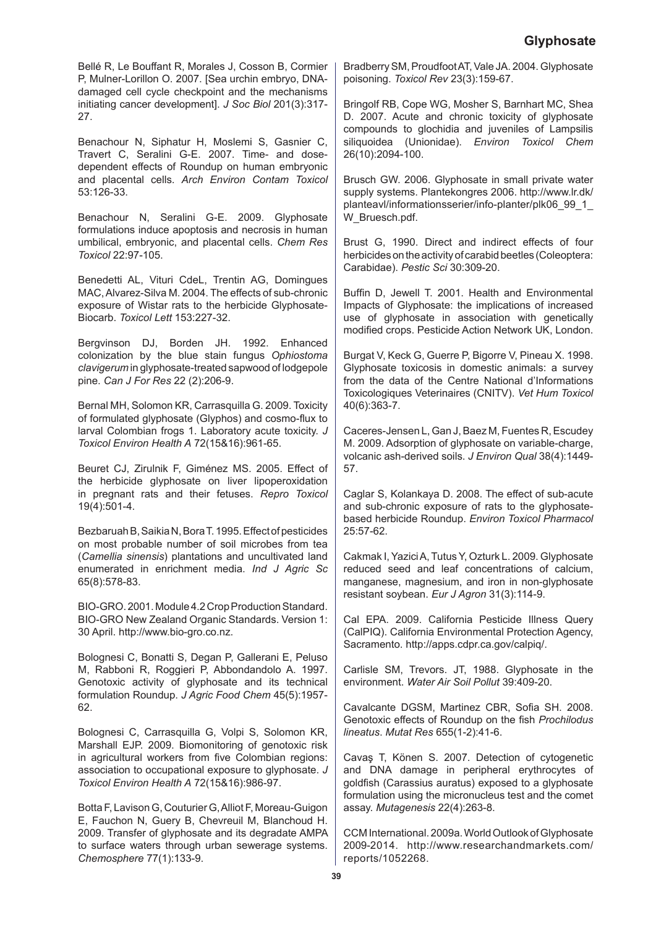Bellé R, Le Bouffant R, Morales J, Cosson B, Cormier P, Mulner-Lorillon O. 2007. [Sea urchin embryo, DNAdamaged cell cycle checkpoint and the mechanisms initiating cancer development]. *J Soc Biol* 201(3):317- 27.

Benachour N, Siphatur H, Moslemi S, Gasnier C, Travert C, Seralini G-E. 2007. Time- and dosedependent effects of Roundup on human embryonic and placental cells. *Arch Environ Contam Toxicol*  53:126-33.

Benachour N, Seralini G-E. 2009. Glyphosate formulations induce apoptosis and necrosis in human umbilical, embryonic, and placental cells. *Chem Res Toxicol* 22:97-105.

Benedetti AL, Vituri CdeL, Trentin AG, Domingues MAC, Alvarez-Silva M. 2004. The effects of sub-chronic exposure of Wistar rats to the herbicide Glyphosate-Biocarb. *Toxicol Lett* 153:227-32.

Bergvinson DJ, Borden JH. 1992. Enhanced colonization by the blue stain fungus *Ophiostoma clavigerum* in glyphosate-treated sapwood of lodgepole pine. *Can J For Res* 22 (2):206-9.

Bernal MH, Solomon KR, Carrasquilla G. 2009. Toxicity of formulated glyphosate (Glyphos) and cosmo-flux to larval Colombian frogs 1. Laboratory acute toxicity. *J Toxicol Environ Health A* 72(15&16):961-65.

Beuret CJ, Zirulnik F, Giménez MS. 2005. Effect of the herbicide glyphosate on liver lipoperoxidation in pregnant rats and their fetuses. *Repro Toxicol* 19(4):501-4.

Bezbaruah B, Saikia N, Bora T. 1995. Effect of pesticides on most probable number of soil microbes from tea (*Camellia sinensis*) plantations and uncultivated land enumerated in enrichment media. *Ind J Agric Sc* 65(8):578-83.

BIO-GRO. 2001. Module 4.2 Crop Production Standard. BIO-GRO New Zealand Organic Standards. Version 1: 30 April. http://www.bio-gro.co.nz.

Bolognesi C, Bonatti S, Degan P, Gallerani E, Peluso M, Rabboni R, Roggieri P, Abbondandolo A. 1997. Genotoxic activity of glyphosate and its technical formulation Roundup. *J Agric Food Chem* 45(5):1957- 62.

Bolognesi C, Carrasquilla G, Volpi S, Solomon KR, Marshall EJP. 2009. Biomonitoring of genotoxic risk in agricultural workers from five Colombian regions: association to occupational exposure to glyphosate. *J Toxicol Environ Health A* 72(15&16):986-97.

Botta F, Lavison G, Couturier G, Alliot F, Moreau-Guigon E, Fauchon N, Guery B, Chevreuil M, Blanchoud H. 2009. Transfer of glyphosate and its degradate AMPA to surface waters through urban sewerage systems. *Chemosphere* 77(1):133-9.

Bradberry SM, Proudfoot AT, Vale JA. 2004. Glyphosate poisoning. *Toxicol Rev* 23(3):159-67.

Bringolf RB, Cope WG, Mosher S, Barnhart MC, Shea D. 2007. Acute and chronic toxicity of glyphosate compounds to glochidia and juveniles of Lampsilis siliquoidea (Unionidae). *Environ Toxicol Chem*  26(10):2094-100.

Brusch GW. 2006. Glyphosate in small private water supply systems. Plantekongres 2006. http://www.lr.dk/ planteavl/informationsserier/info-planter/plk06\_99\_1\_ W\_Bruesch.pdf.

Brust G, 1990. Direct and indirect effects of four herbicides on the activity of carabid beetles (Coleoptera: Carabidae). *Pestic Sci* 30:309-20.

Buffin D, Jewell T. 2001. Health and Environmental Impacts of Glyphosate: the implications of increased use of glyphosate in association with genetically modified crops. Pesticide Action Network UK, London.

Burgat V, Keck G, Guerre P, Bigorre V, Pineau X. 1998. Glyphosate toxicosis in domestic animals: a survey from the data of the Centre National d'Informations Toxicologiques Veterinaires (CNITV). *Vet Hum Toxicol*  40(6):363-7.

Caceres-Jensen L, Gan J, Baez M, Fuentes R, Escudey M. 2009. Adsorption of glyphosate on variable-charge, volcanic ash-derived soils. *J Environ Qual* 38(4):1449- 57.

Caglar S, Kolankaya D. 2008. The effect of sub-acute and sub-chronic exposure of rats to the glyphosatebased herbicide Roundup. *Environ Toxicol Pharmacol*  25:57-62.

Cakmak I, Yazici A, Tutus Y, Ozturk L. 2009. Glyphosate reduced seed and leaf concentrations of calcium, manganese, magnesium, and iron in non-glyphosate resistant soybean. *Eur J Agron* 31(3):114-9.

Cal EPA. 2009. California Pesticide Illness Query (CalPIQ). California Environmental Protection Agency, Sacramento. http://apps.cdpr.ca.gov/calpiq/.

Carlisle SM, Trevors. JT, 1988. Glyphosate in the environment. *Water Air Soil Pollut* 39:409-20.

Cavalcante DGSM, Martinez CBR, Sofia SH. 2008. Genotoxic effects of Roundup on the fish *Prochilodus lineatus*. *Mutat Res* 655(1-2):41-6.

Cavaş T, Könen S. 2007. Detection of cytogenetic and DNA damage in peripheral erythrocytes of goldfish (Carassius auratus) exposed to a glyphosate formulation using the micronucleus test and the comet assay. *Mutagenesis* 22(4):263-8.

CCM International. 2009a. World Outlook of Glyphosate 2009-2014. http://www.researchandmarkets.com/ reports/1052268.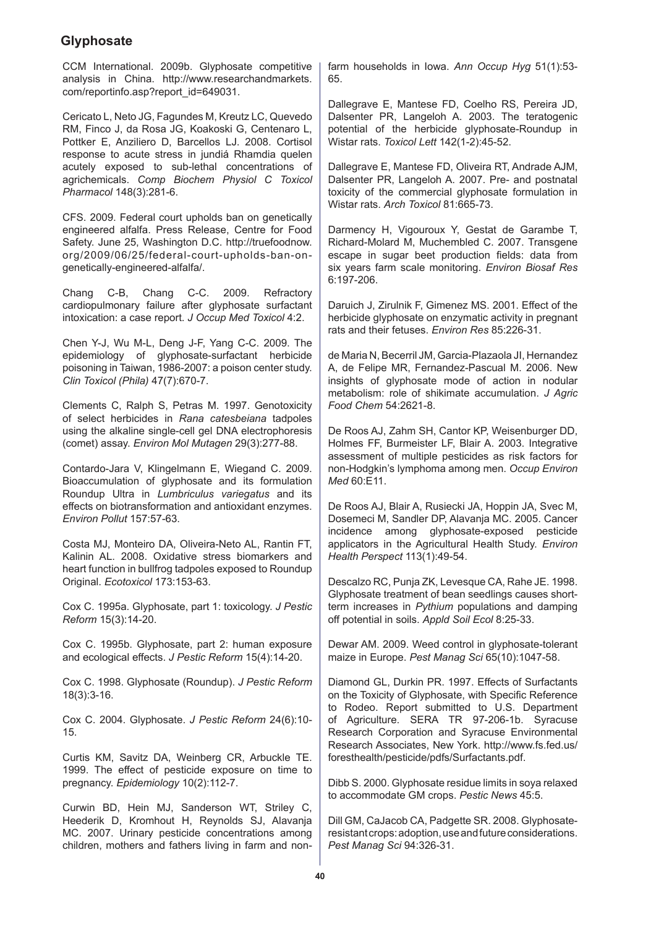CCM International. 2009b. Glyphosate competitive analysis in China. http://www.researchandmarkets. com/reportinfo.asp?report\_id=649031.

Cericato L, Neto JG, Fagundes M, Kreutz LC, Quevedo RM, Finco J, da Rosa JG, Koakoski G, Centenaro L, Pottker E, Anziliero D, Barcellos LJ. 2008. Cortisol response to acute stress in jundiá Rhamdia quelen acutely exposed to sub-lethal concentrations of agrichemicals. *Comp Biochem Physiol C Toxicol Pharmacol* 148(3):281-6.

CFS. 2009. Federal court upholds ban on genetically engineered alfalfa. Press Release, Centre for Food Safety. June 25, Washington D.C. http://truefoodnow. org/2009/06/25/federal-court-upholds-ban-ongenetically-engineered-alfalfa/.

Chang C-B, Chang C-C. 2009. Refractory cardiopulmonary failure after glyphosate surfactant intoxication: a case report. *J Occup Med Toxicol* 4:2.

Chen Y-J, Wu M-L, Deng J-F, Yang C-C. 2009. The epidemiology of glyphosate-surfactant herbicide poisoning in Taiwan, 1986-2007: a poison center study. *Clin Toxicol (Phila)* 47(7):670-7.

Clements C, Ralph S, Petras M. 1997. Genotoxicity of select herbicides in *Rana catesbeiana* tadpoles using the alkaline single-cell gel DNA electrophoresis (comet) assay. *Environ Mol Mutagen* 29(3):277-88.

Contardo-Jara V, Klingelmann E, Wiegand C. 2009. Bioaccumulation of glyphosate and its formulation Roundup Ultra in *Lumbriculus variegatus* and its effects on biotransformation and antioxidant enzymes. *Environ Pollut* 157:57-63.

Costa MJ, Monteiro DA, Oliveira-Neto AL, Rantin FT, Kalinin AL. 2008. Oxidative stress biomarkers and heart function in bullfrog tadpoles exposed to Roundup Original. *Ecotoxicol* 173:153-63.

Cox C. 1995a. Glyphosate, part 1: toxicology. *J Pestic Reform* 15(3):14-20.

Cox C. 1995b. Glyphosate, part 2: human exposure and ecological effects. *J Pestic Reform* 15(4):14-20.

Cox C. 1998. Glyphosate (Roundup). *J Pestic Reform*  18(3):3-16.

Cox C. 2004. Glyphosate. *J Pestic Reform* 24(6):10- 15.

Curtis KM, Savitz DA, Weinberg CR, Arbuckle TE. 1999. The effect of pesticide exposure on time to pregnancy. *Epidemiology* 10(2):112-7.

Curwin BD, Hein MJ, Sanderson WT, Striley C, Heederik D, Kromhout H, Reynolds SJ, Alavanja MC. 2007. Urinary pesticide concentrations among children, mothers and fathers living in farm and nonfarm households in Iowa. *Ann Occup Hyg* 51(1):53- 65.

Dallegrave E, Mantese FD, Coelho RS, Pereira JD, Dalsenter PR, Langeloh A. 2003. The teratogenic potential of the herbicide glyphosate-Roundup in Wistar rats. *Toxicol Lett* 142(1-2):45-52.

Dallegrave E, Mantese FD, Oliveira RT, Andrade AJM, Dalsenter PR, Langeloh A. 2007. Pre- and postnatal toxicity of the commercial glyphosate formulation in Wistar rats. *Arch Toxicol* 81:665-73.

Darmency H, Vigouroux Y, Gestat de Garambe T, Richard-Molard M, Muchembled C. 2007. Transgene escape in sugar beet production fields: data from six years farm scale monitoring. *Environ Biosaf Res* 6:197-206.

Daruich J, Zirulnik F, Gimenez MS. 2001. Effect of the herbicide glyphosate on enzymatic activity in pregnant rats and their fetuses. *Environ Res* 85:226-31.

de Maria N, Becerril JM, Garcia-Plazaola JI, Hernandez A, de Felipe MR, Fernandez-Pascual M. 2006. New insights of glyphosate mode of action in nodular metabolism: role of shikimate accumulation. *J Agric Food Chem* 54:2621-8.

De Roos AJ, Zahm SH, Cantor KP, Weisenburger DD, Holmes FF, Burmeister LF, Blair A. 2003. Integrative assessment of multiple pesticides as risk factors for non-Hodgkin's lymphoma among men. *Occup Environ Med* 60:E11.

De Roos AJ, Blair A, Rusiecki JA, Hoppin JA, Svec M, Dosemeci M, Sandler DP, Alavanja MC. 2005. Cancer incidence among glyphosate-exposed pesticide applicators in the Agricultural Health Study. *Environ Health Perspect* 113(1):49-54.

Descalzo RC, Punja ZK, Levesque CA, Rahe JE. 1998. Glyphosate treatment of bean seedlings causes shortterm increases in *Pythium* populations and damping off potential in soils. *Appld Soil Ecol* 8:25-33.

Dewar AM. 2009. Weed control in glyphosate-tolerant maize in Europe. *Pest Manag Sci* 65(10):1047-58.

Diamond GL, Durkin PR. 1997. Effects of Surfactants on the Toxicity of Glyphosate, with Specific Reference to Rodeo. Report submitted to U.S. Department of Agriculture. SERA TR 97-206-1b. Syracuse Research Corporation and Syracuse Environmental Research Associates, New York. http://www.fs.fed.us/ foresthealth/pesticide/pdfs/Surfactants.pdf.

Dibb S. 2000. Glyphosate residue limits in soya relaxed to accommodate GM crops. *Pestic News* 45:5.

Dill GM, CaJacob CA, Padgette SR. 2008. Glyphosateresistant crops: adoption, use and future considerations. *Pest Manag Sci* 94:326-31.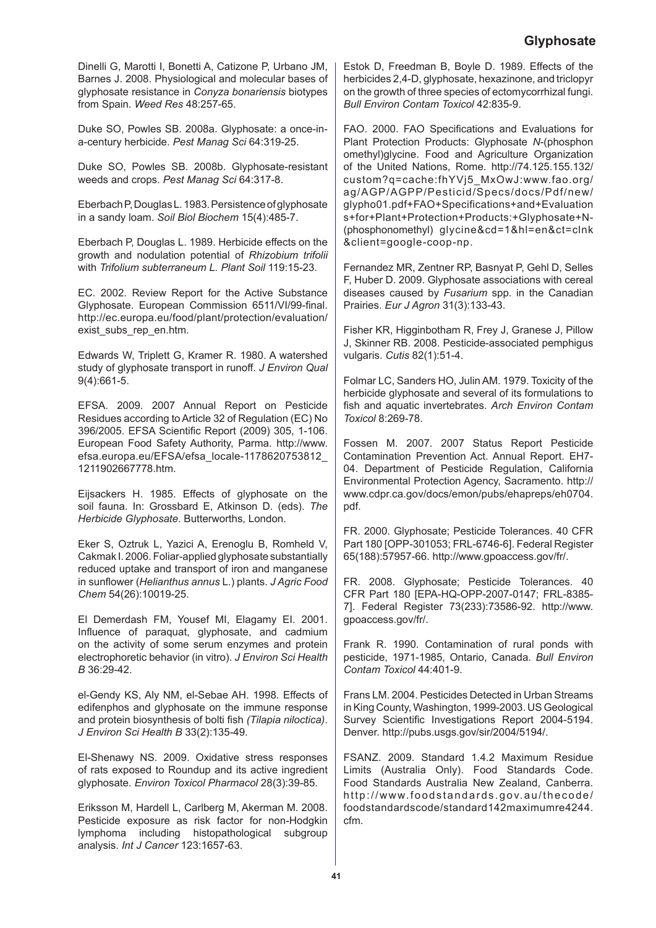Dinelli G, Marotti I, Bonetti A, Catizone P, Urbano JM, Barnes J. 2008. Physiological and molecular bases of glyphosate resistance in *Conyza bonariensis* biotypes from Spain*. Weed Res* 48:257-65.

Duke SO, Powles SB. 2008a. Glyphosate: a once-ina-century herbicide. *Pest Manag Sci* 64:319-25.

Duke SO, Powles SB. 2008b. Glyphosate-resistant weeds and crops. *Pest Manag Sci* 64:317-8.

Eberbach P, Douglas L. 1983. Persistence of glyphosate in a sandy loam. *Soil Biol Biochem* 15(4):485-7.

Eberbach P, Douglas L. 1989. Herbicide effects on the growth and nodulation potential of *Rhizobium trifolii*  with *Trifolium subterraneum L. Plant Soil* 119:15-23.

EC. 2002. Review Report for the Active Substance Glyphosate. European Commission 6511/VI/99-final. http://ec.europa.eu/food/plant/protection/evaluation/ exist\_subs\_rep\_en.htm.

Edwards W, Triplett G, Kramer R. 1980. A watershed study of glyphosate transport in runoff. *J Environ Qual* 9(4):661-5.

EFSA. 2009. 2007 Annual Report on Pesticide Residues according to Article 32 of Regulation (EC) No 396/2005. EFSA Scientific Report (2009) 305, 1-106. European Food Safety Authority, Parma. http://www. efsa.europa.eu/EFSA/efsa\_locale-1178620753812\_ 1211902667778.htm.

Eijsackers H. 1985. Effects of glyphosate on the soil fauna. In: Grossbard E, Atkinson D. (eds). *The Herbicide Glyphosate*. Butterworths, London.

Eker S, Oztruk L, Yazici A, Erenoglu B, Romheld V, Cakmak I. 2006. Foliar-applied glyphosate substantially reduced uptake and transport of iron and manganese in sunflower (*Helianthus annus* L.) plants. *J Agric Food Chem* 54(26):10019-25.

El Demerdash FM, Yousef MI, Elagamy EI. 2001. Influence of paraquat, glyphosate, and cadmium on the activity of some serum enzymes and protein electrophoretic behavior (in vitro). *J Environ Sci Health B* 36:29-42.

el-Gendy KS, Aly NM, el-Sebae AH. 1998. Effects of edifenphos and glyphosate on the immune response and protein biosynthesis of bolti fish *(Tilapia niloctica)*. *J Environ Sci Health B* 33(2):135-49.

El-Shenawy NS. 2009. Oxidative stress responses of rats exposed to Roundup and its active ingredient glyphosate. *Environ Toxicol Pharmacol* 28(3):39-85.

Eriksson M, Hardell L, Carlberg M, Akerman M. 2008. Pesticide exposure as risk factor for non-Hodgkin lymphoma including histopathological subgroup analysis. *Int J Cancer* 123:1657-63.

Estok D, Freedman B, Boyle D. 1989. Effects of the herbicides 2,4-D, glyphosate, hexazinone, and triclopyr on the growth of three species of ectomycorrhizal fungi. *Bull Environ Contam Toxicol* 42:835-9.

FAO. 2000. FAO Specifications and Evaluations for Plant Protection Products: Glyphosate *N*-(phosphon omethyl)glycine. Food and Agriculture Organization of the United Nations, Rome. http://74.125.155.132/ custom?q=cache:fhYVj5\_MxOwJ:www.fao.org/ ag/AGP/AGPP/Pesticid/Specs/docs/Pdf/new/ glypho01.pdf+FAO+Specifications+and+Evaluation s+for+Plant+Protection+Products:+Glyphosate+N- (phosphonomethyl) glycine&cd=1&hl=en&ct=clnk &client=google-coop-np.

Fernandez MR, Zentner RP, Basnyat P, Gehl D, Selles F, Huber D. 2009. Glyphosate associations with cereal diseases caused by *Fusarium* spp. in the Canadian Prairies. *Eur J Agron* 31(3):133-43.

Fisher KR, Higginbotham R, Frey J, Granese J, Pillow J, Skinner RB. 2008. Pesticide-associated pemphigus vulgaris. *Cutis* 82(1):51-4.

Folmar LC, Sanders HO, Julin AM. 1979. Toxicity of the herbicide glyphosate and several of its formulations to fish and aquatic invertebrates. *Arch Environ Contam Toxicol* 8:269-78.

Fossen M. 2007. 2007 Status Report Pesticide Contamination Prevention Act. Annual Report. EH7- 04. Department of Pesticide Regulation, California Environmental Protection Agency, Sacramento. http:// www.cdpr.ca.gov/docs/emon/pubs/ehapreps/eh0704. pdf.

FR. 2000. Glyphosate; Pesticide Tolerances. 40 CFR Part 180 [OPP-301053; FRL-6746-6]. Federal Register 65(188):57957-66. http://www.gpoaccess.gov/fr/.

FR. 2008. Glyphosate; Pesticide Tolerances. 40 CFR Part 180 [EPA-HQ-OPP-2007-0147; FRL-8385- 7]. Federal Register 73(233):73586-92. http://www. gpoaccess.gov/fr/.

Frank R. 1990. Contamination of rural ponds with pesticide, 1971-1985, Ontario, Canada. *Bull Environ Contam Toxicol* 44:401-9.

Frans LM. 2004. Pesticides Detected in Urban Streams in King County, Washington, 1999-2003. US Geological Survey Scientific Investigations Report 2004-5194. Denver. http://pubs.usgs.gov/sir/2004/5194/.

FSANZ. 2009. Standard 1.4.2 Maximum Residue Limits (Australia Only). Food Standards Code. Food Standards Australia New Zealand, Canberra. http://www.foodstandards.gov.au/thecode/ foodstandardscode/standard142maximumre4244. cfm.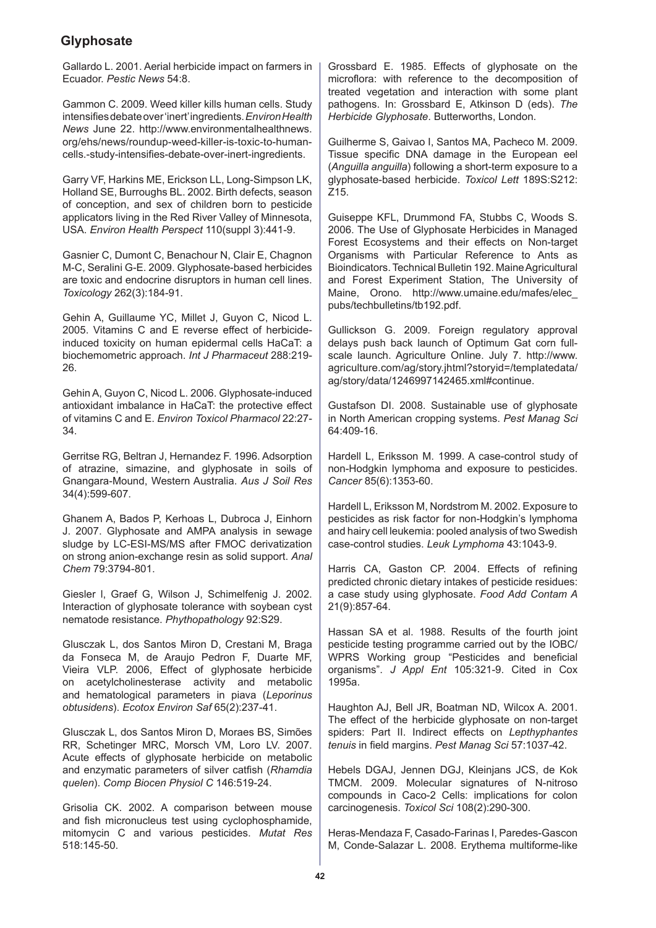Gallardo L. 2001. Aerial herbicide impact on farmers in Ecuador. *Pestic News* 54:8.

Gammon C. 2009. Weed killer kills human cells. Study intensifies debate over 'inert' ingredients. *Environ Health News* June 22. http://www.environmentalhealthnews. org/ehs/news/roundup-weed-killer-is-toxic-to-humancells.-study-intensifies-debate-over-inert-ingredients.

Garry VF, Harkins ME, Erickson LL, Long-Simpson LK, Holland SE, Burroughs BL. 2002. Birth defects, season of conception, and sex of children born to pesticide applicators living in the Red River Valley of Minnesota, USA. *Environ Health Perspect* 110(suppl 3):441-9.

Gasnier C, Dumont C, Benachour N, Clair E, Chagnon M-C, Seralini G-E. 2009. Glyphosate-based herbicides are toxic and endocrine disruptors in human cell lines. *Toxicology* 262(3):184-91.

Gehin A, Guillaume YC, Millet J, Guyon C, Nicod L. 2005. Vitamins C and E reverse effect of herbicideinduced toxicity on human epidermal cells HaCaT: a biochemometric approach. *Int J Pharmaceut* 288:219- 26.

Gehin A, Guyon C, Nicod L. 2006. Glyphosate-induced antioxidant imbalance in HaCaT: the protective effect of vitamins C and E. *Environ Toxicol Pharmacol* 22:27- 34.

Gerritse RG, Beltran J, Hernandez F. 1996. Adsorption of atrazine, simazine, and glyphosate in soils of Gnangara-Mound, Western Australia. *Aus J Soil Res* 34(4):599-607.

Ghanem A, Bados P, Kerhoas L, Dubroca J, Einhorn J. 2007. Glyphosate and AMPA analysis in sewage sludge by LC-ESI-MS/MS after FMOC derivatization on strong anion-exchange resin as solid support. *Anal Chem* 79:3794-801.

Giesler l, Graef G, Wilson J, Schimelfenig J. 2002. Interaction of glyphosate tolerance with soybean cyst nematode resistance. *Phythopathology* 92:S29.

Glusczak L, dos Santos Miron D, Crestani M, Braga da Fonseca M, de Araujo Pedron F, Duarte MF, Vieira VLP. 2006, Effect of glyphosate herbicide on acetylcholinesterase activity and metabolic and hematological parameters in piava (*Leporinus obtusidens*). *Ecotox Environ Saf* 65(2):237-41.

Glusczak L, dos Santos Miron D, Moraes BS, Simões RR, Schetinger MRC, Morsch VM, Loro LV. 2007. Acute effects of glyphosate herbicide on metabolic and enzymatic parameters of silver catfish (*Rhamdia quelen*). *Comp Biocen Physiol C* 146:519-24.

Grisolia CK. 2002. A comparison between mouse and fish micronucleus test using cyclophosphamide, mitomycin C and various pesticides. *Mutat Res* 518:145-50.

Grossbard E. 1985. Effects of glyphosate on the microflora: with reference to the decomposition of treated vegetation and interaction with some plant pathogens. In: Grossbard E, Atkinson D (eds). *The Herbicide Glyphosate*. Butterworths, London.

Guilherme S, Gaivao I, Santos MA, Pacheco M. 2009. Tissue specific DNA damage in the European eel (*Anguilla anguilla*) following a short-term exposure to a glyphosate-based herbicide. *Toxicol Lett* 189S:S212: Z15.

Guiseppe KFL, Drummond FA, Stubbs C, Woods S. 2006. The Use of Glyphosate Herbicides in Managed Forest Ecosystems and their effects on Non-target Organisms with Particular Reference to Ants as Bioindicators. Technical Bulletin 192. Maine Agricultural and Forest Experiment Station, The University of Maine, Orono. http://www.umaine.edu/mafes/elec\_ pubs/techbulletins/tb192.pdf.

Gullickson G. 2009. Foreign regulatory approval delays push back launch of Optimum Gat corn fullscale launch. Agriculture Online. July 7. http://www. agriculture.com/ag/story.jhtml?storyid=/templatedata/ ag/story/data/1246997142465.xml#continue.

Gustafson DI. 2008. Sustainable use of glyphosate in North American cropping systems. *Pest Manag Sci*  64:409-16.

Hardell L, Eriksson M. 1999. A case-control study of non-Hodgkin lymphoma and exposure to pesticides. *Cancer* 85(6):1353-60.

Hardell L, Eriksson M, Nordstrom M. 2002. Exposure to pesticides as risk factor for non-Hodgkin's lymphoma and hairy cell leukemia: pooled analysis of two Swedish case-control studies. *Leuk Lymphoma* 43:1043-9.

Harris CA, Gaston CP. 2004. Effects of refining predicted chronic dietary intakes of pesticide residues: a case study using glyphosate. *Food Add Contam A* 21(9):857-64.

Hassan SA et al. 1988. Results of the fourth joint pesticide testing programme carried out by the IOBC/ WPRS Working group "Pesticides and beneficial organisms". *J Appl Ent* 105:321-9. Cited in Cox 1995a.

Haughton AJ, Bell JR, Boatman ND, Wilcox A. 2001. The effect of the herbicide glyphosate on non-target spiders: Part II. Indirect effects on *Lepthyphantes tenuis* in field margins. *Pest Manag Sci* 57:1037-42.

Hebels DGAJ, Jennen DGJ, Kleinjans JCS, de Kok TMCM. 2009. Molecular signatures of N-nitroso compounds in Caco-2 Cells: implications for colon carcinogenesis. *Toxicol Sci* 108(2):290-300.

Heras-Mendaza F, Casado-Farinas I, Paredes-Gascon M, Conde-Salazar L. 2008. Erythema multiforme-like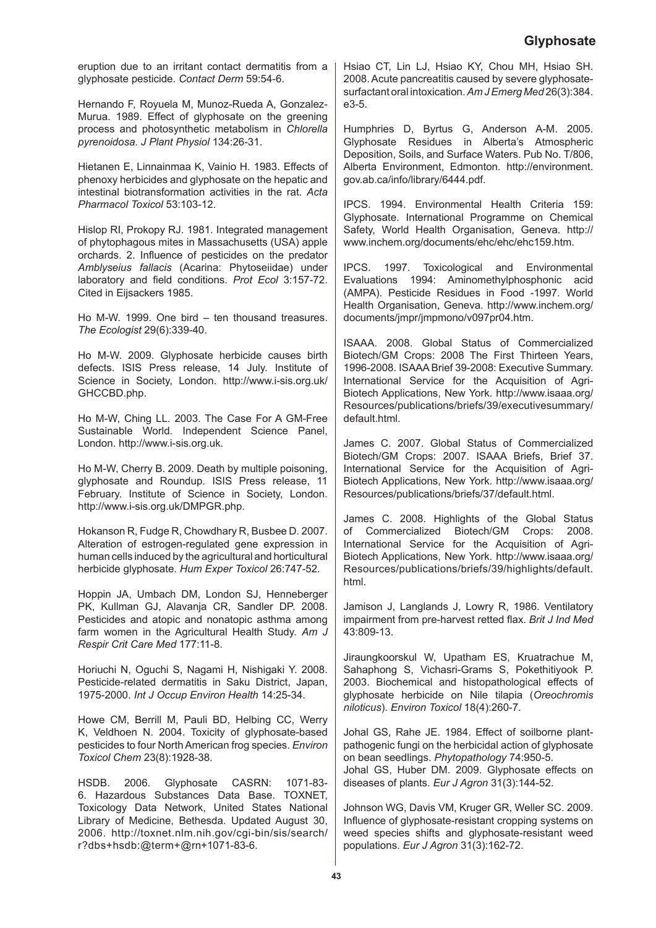eruption due to an irritant contact dermatitis from a glyphosate pesticide. *Contact Derm* 59:54-6.

Hernando F, Royuela M, Munoz-Rueda A, Gonzalez-Murua. 1989. Effect of glyphosate on the greening process and photosynthetic metabolism in *Chlorella pyrenoidosa*. *J Plant Physiol* 134:26-31.

Hietanen E, Linnainmaa K, Vainio H. 1983. Effects of phenoxy herbicides and glyphosate on the hepatic and intestinal biotransformation activities in the rat. *Acta Pharmacol Toxicol* 53:103-12.

Hislop RI, Prokopy RJ. 1981. Integrated management of phytophagous mites in Massachusetts (USA) apple orchards. 2. Influence of pesticides on the predator *Amblyseius fallacis* (Acarina: Phytoseiidae) under laboratory and field conditions. *Prot Ecol* 3:157-72. Cited in Eijsackers 1985.

Ho M-W. 1999. One bird – ten thousand treasures. *The Ecologist* 29(6):339-40.

Ho M-W. 2009. Glyphosate herbicide causes birth defects. ISIS Press release, 14 July. Institute of Science in Society, London. http://www.i-sis.org.uk/ GHCCBD.php.

Ho M-W, Ching LL. 2003. The Case For A GM-Free Sustainable World. Independent Science Panel, London. http://www.i-sis.org.uk.

Ho M-W, Cherry B. 2009. Death by multiple poisoning, glyphosate and Roundup. ISIS Press release, 11 February. Institute of Science in Society, London. http://www.i-sis.org.uk/DMPGR.php.

Hokanson R, Fudge R, Chowdhary R, Busbee D. 2007. Alteration of estrogen-regulated gene expression in human cells induced by the agricultural and horticultural herbicide glyphosate. *Hum Exper Toxicol* 26:747-52.

Hoppin JA, Umbach DM, London SJ, Henneberger PK, Kullman GJ, Alavanja CR, Sandler DP. 2008. Pesticides and atopic and nonatopic asthma among farm women in the Agricultural Health Study. *Am J Respir Crit Care Med* 177:11-8.

Horiuchi N, Oguchi S, Nagami H, Nishigaki Y. 2008. Pesticide-related dermatitis in Saku District, Japan, 1975-2000. *Int J Occup Environ Health* 14:25-34.

Howe CM, Berrill M, Pauli BD, Helbing CC, Werry K, Veldhoen N. 2004. Toxicity of glyphosate-based pesticides to four North American frog species. *Environ Toxicol Chem* 23(8):1928-38.

HSDB. 2006. Glyphosate CASRN: 1071-83- 6. Hazardous Substances Data Base. TOXNET, Toxicology Data Network, United States National Library of Medicine, Bethesda. Updated August 30, 2006. http://toxnet.nlm.nih.gov/cgi-bin/sis/search/ r?dbs+hsdb:@term+@rn+1071-83-6.

Hsiao CT, Lin LJ, Hsiao KY, Chou MH, Hsiao SH. 2008. Acute pancreatitis caused by severe glyphosatesurfactant oral intoxication. *Am J Emerg Med* 26(3):384. e3-5.

Humphries D, Byrtus G, Anderson A-M. 2005. Glyphosate Residues in Alberta's Atmospheric Deposition, Soils, and Surface Waters. Pub No. T/806, Alberta Environment, Edmonton. http://environment. gov.ab.ca/info/library/6444.pdf.

IPCS. 1994. Environmental Health Criteria 159: Glyphosate. International Programme on Chemical Safety, World Health Organisation, Geneva. http:// www.inchem.org/documents/ehc/ehc/ehc159.htm.

IPCS. 1997. Toxicological and Environmental Evaluations 1994: Aminomethylphosphonic acid (AMPA). Pesticide Residues in Food -1997. World Health Organisation, Geneva. http://www.inchem.org/ documents/jmpr/jmpmono/v097pr04.htm.

ISAAA. 2008. Global Status of Commercialized Biotech/GM Crops: 2008 The First Thirteen Years, 1996-2008. ISAAA Brief 39-2008: Executive Summary. International Service for the Acquisition of Agri-Biotech Applications, New York. http://www.isaaa.org/ Resources/publications/briefs/39/executivesummary/ default.html.

James C. 2007. Global Status of Commercialized Biotech/GM Crops: 2007. ISAAA Briefs, Brief 37. International Service for the Acquisition of Agri-Biotech Applications, New York. http://www.isaaa.org/ Resources/publications/briefs/37/default.html.

James C. 2008. Highlights of the Global Status of Commercialized Biotech/GM Crops: 2008. International Service for the Acquisition of Agri-Biotech Applications, New York. http://www.isaaa.org/ Resources/publications/briefs/39/highlights/default. html.

Jamison J, Langlands J, Lowry R, 1986. Ventilatory impairment from pre-harvest retted flax. *Brit J Ind Med* 43:809-13.

Jiraungkoorskul W, Upatham ES, Kruatrachue M, Sahaphong S, Vichasri-Grams S, Pokethitiyook P. 2003. Biochemical and histopathological effects of glyphosate herbicide on Nile tilapia (*Oreochromis niloticus*). *Environ Toxicol* 18(4):260-7.

Johal GS, Rahe JE. 1984. Effect of soilborne plantpathogenic fungi on the herbicidal action of glyphosate on bean seedlings. *Phytopathology* 74:950-5. Johal GS, Huber DM. 2009. Glyphosate effects on diseases of plants. *Eur J Agron* 31(3):144-52.

Johnson WG, Davis VM, Kruger GR, Weller SC. 2009. Influence of glyphosate-resistant cropping systems on weed species shifts and glyphosate-resistant weed populations. *Eur J Agron* 31(3):162-72.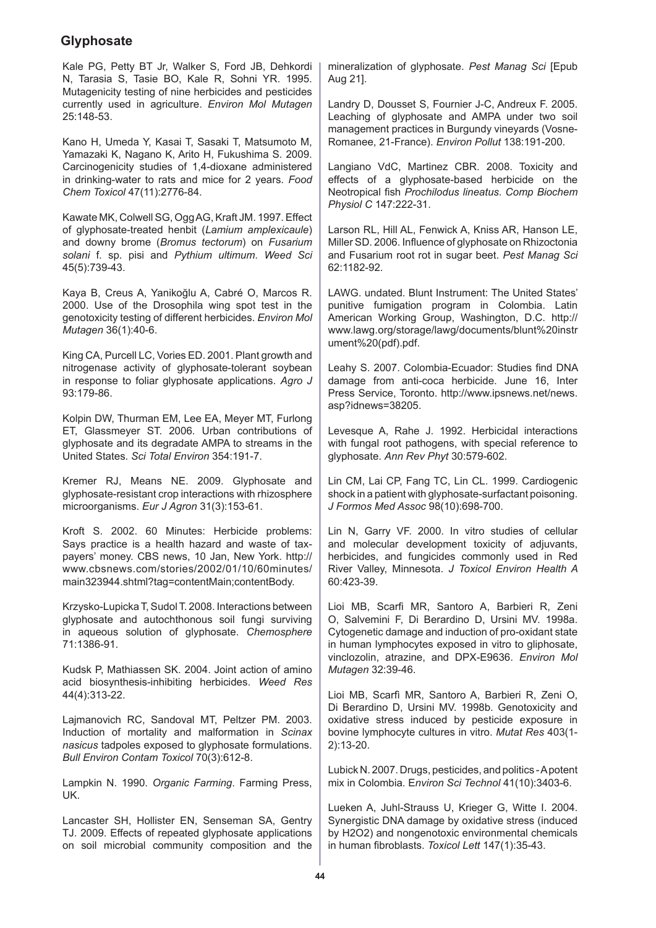Kale PG, Petty BT Jr, Walker S, Ford JB, Dehkordi N, Tarasia S, Tasie BO, Kale R, Sohni YR. 1995. Mutagenicity testing of nine herbicides and pesticides currently used in agriculture. *Environ Mol Mutagen* 25:148-53.

Kano H, Umeda Y, Kasai T, Sasaki T, Matsumoto M, Yamazaki K, Nagano K, Arito H, Fukushima S. 2009. Carcinogenicity studies of 1,4-dioxane administered in drinking-water to rats and mice for 2 years. *Food Chem Toxicol* 47(11):2776-84.

Kawate MK, Colwell SG, Ogg AG, Kraft JM. 1997. Effect of glyphosate-treated henbit (*Lamium amplexicaule*) and downy brome (*Bromus tectorum*) on *Fusarium solani* f. sp. pisi and *Pythium ultimum*. *Weed Sci*  45(5):739-43.

Kaya B, Creus A, Yanikoğlu A, Cabré O, Marcos R. 2000. Use of the Drosophila wing spot test in the genotoxicity testing of different herbicides. *Environ Mol Mutagen* 36(1):40-6.

King CA, Purcell LC, Vories ED. 2001. Plant growth and nitrogenase activity of glyphosate-tolerant soybean in response to foliar glyphosate applications. *Agro J* 93:179-86.

Kolpin DW, Thurman EM, Lee EA, Meyer MT, Furlong ET, Glassmeyer ST. 2006. Urban contributions of glyphosate and its degradate AMPA to streams in the United States. *Sci Total Environ* 354:191-7.

Kremer RJ, Means NE. 2009. Glyphosate and glyphosate-resistant crop interactions with rhizosphere microorganisms. *Eur J Agron* 31(3):153-61.

Kroft S. 2002. 60 Minutes: Herbicide problems: Says practice is a health hazard and waste of taxpayers' money. CBS news, 10 Jan, New York. http:// www.cbsnews.com/stories/2002/01/10/60minutes/ main323944.shtml?tag=contentMain;contentBody.

Krzysko-Lupicka T, Sudol T. 2008. Interactions between glyphosate and autochthonous soil fungi surviving in aqueous solution of glyphosate. *Chemosphere* 71:1386-91.

Kudsk P, Mathiassen SK. 2004. Joint action of amino acid biosynthesis-inhibiting herbicides. *Weed Res* 44(4):313-22.

Lajmanovich RC, Sandoval MT, Peltzer PM. 2003. Induction of mortality and malformation in *Scinax nasicus* tadpoles exposed to glyphosate formulations. *Bull Environ Contam Toxicol* 70(3):612-8.

Lampkin N. 1990. *Organic Farming*. Farming Press, UK.

Lancaster SH, Hollister EN, Senseman SA, Gentry TJ. 2009. Effects of repeated glyphosate applications on soil microbial community composition and the

mineralization of glyphosate. *Pest Manag Sci* [Epub Aug 21].

Landry D, Dousset S, Fournier J-C, Andreux F. 2005. Leaching of glyphosate and AMPA under two soil management practices in Burgundy vineyards (Vosne-Romanee, 21-France). *Environ Pollut* 138:191-200.

Langiano VdC, Martinez CBR. 2008. Toxicity and effects of a glyphosate-based herbicide on the Neotropical fish *Prochilodus lineatus*. *Comp Biochem Physiol C* 147:222-31.

Larson RL, Hill AL, Fenwick A, Kniss AR, Hanson LE, Miller SD. 2006. Influence of glyphosate on Rhizoctonia and Fusarium root rot in sugar beet. *Pest Manag Sci* 62:1182-92.

LAWG. undated. Blunt Instrument: The United States' punitive fumigation program in Colombia. Latin American Working Group, Washington, D.C. http:// www.lawg.org/storage/lawg/documents/blunt%20instr ument%20(pdf).pdf.

Leahy S. 2007. Colombia-Ecuador: Studies find DNA damage from anti-coca herbicide. June 16, Inter Press Service, Toronto. http://www.ipsnews.net/news. asp?idnews=38205.

Levesque A, Rahe J. 1992. Herbicidal interactions with fungal root pathogens, with special reference to glyphosate. *Ann Rev Phyt* 30:579-602.

Lin CM, Lai CP, Fang TC, Lin CL. 1999. Cardiogenic shock in a patient with glyphosate-surfactant poisoning. *J Formos Med Assoc* 98(10):698-700.

Lin N, Garry VF. 2000. In vitro studies of cellular and molecular development toxicity of adjuvants, herbicides, and fungicides commonly used in Red River Valley, Minnesota. *J Toxicol Environ Health A*  60:423-39.

Lioi MB, Scarfi MR, Santoro A, Barbieri R, Zeni O, Salvemini F, Di Berardino D, Ursini MV. 1998a. Cytogenetic damage and induction of pro-oxidant state in human lymphocytes exposed in vitro to gliphosate, vinclozolin, atrazine, and DPX-E9636. *Environ Mol Mutagen* 32:39-46.

Lioi MB, Scarfì MR, Santoro A, Barbieri R, Zeni O, Di Berardino D, Ursini MV. 1998b. Genotoxicity and oxidative stress induced by pesticide exposure in bovine lymphocyte cultures in vitro. *Mutat Res* 403(1- 2):13-20.

Lubick N. 2007. Drugs, pesticides, and politics - A potent mix in Colombia. E*nviron Sci Technol* 41(10):3403-6.

Lueken A, Juhl-Strauss U, Krieger G, Witte I. 2004. Synergistic DNA damage by oxidative stress (induced by H2O2) and nongenotoxic environmental chemicals in human fibroblasts. *Toxicol Lett* 147(1):35-43.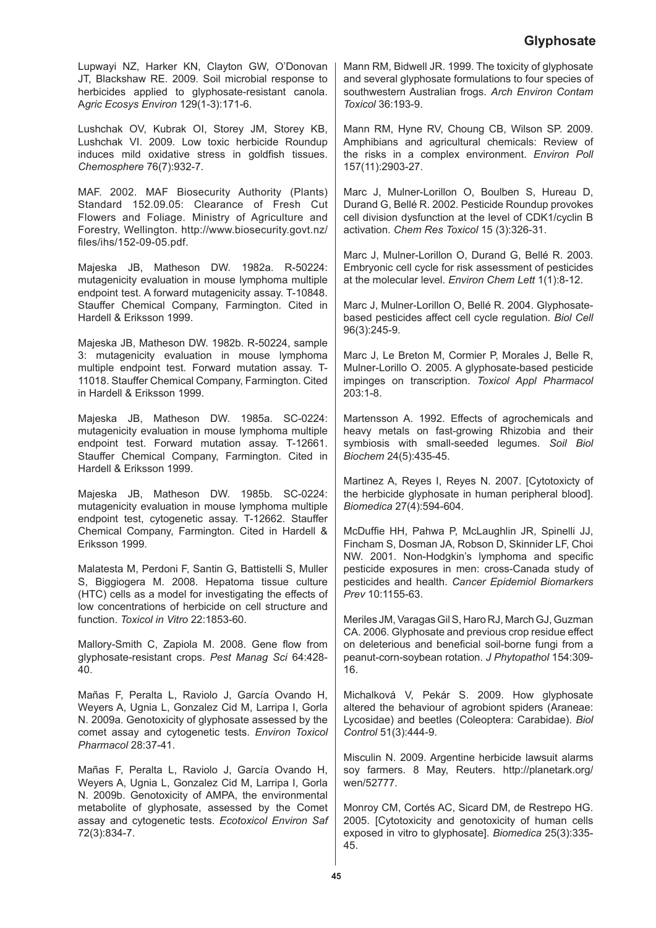Lupwayi NZ, Harker KN, Clayton GW, O'Donovan JT, Blackshaw RE. 2009. Soil microbial response to herbicides applied to glyphosate-resistant canola. A*gric Ecosys Environ* 129(1-3):171-6.

Lushchak OV, Kubrak OI, Storey JM, Storey KB, Lushchak VI. 2009. Low toxic herbicide Roundup induces mild oxidative stress in goldfish tissues. *Chemosphere* 76(7):932-7.

MAF. 2002. MAF Biosecurity Authority (Plants) Standard 152.09.05: Clearance of Fresh Cut Flowers and Foliage. Ministry of Agriculture and Forestry, Wellington. http://www.biosecurity.govt.nz/ files/ihs/152-09-05.pdf.

Majeska JB, Matheson DW. 1982a. R-50224: mutagenicity evaluation in mouse lymphoma multiple endpoint test. A forward mutagenicity assay. T-10848. Stauffer Chemical Company, Farmington. Cited in Hardell & Eriksson 1999.

Majeska JB, Matheson DW. 1982b. R-50224, sample 3: mutagenicity evaluation in mouse lymphoma multiple endpoint test. Forward mutation assay. T-11018. Stauffer Chemical Company, Farmington. Cited in Hardell & Eriksson 1999.

Majeska JB, Matheson DW. 1985a. SC-0224: mutagenicity evaluation in mouse lymphoma multiple endpoint test. Forward mutation assay. T-12661. Stauffer Chemical Company, Farmington. Cited in Hardell & Eriksson 1999.

Majeska JB, Matheson DW. 1985b. SC-0224: mutagenicity evaluation in mouse lymphoma multiple endpoint test, cytogenetic assay. T-12662. Stauffer Chemical Company, Farmington. Cited in Hardell & Eriksson 1999.

Malatesta M, Perdoni F, Santin G, Battistelli S, Muller S, Biggiogera M. 2008. Hepatoma tissue culture (HTC) cells as a model for investigating the effects of low concentrations of herbicide on cell structure and function. *Toxicol in Vitro* 22:1853-60.

Mallory-Smith C, Zapiola M. 2008. Gene flow from glyphosate-resistant crops. *Pest Manag Sci* 64:428- 40.

Mañas F, Peralta L, Raviolo J, García Ovando H, Weyers A, Ugnia L, Gonzalez Cid M, Larripa I, Gorla N. 2009a. Genotoxicity of glyphosate assessed by the comet assay and cytogenetic tests. *Environ Toxicol Pharmacol* 28:37-41.

Mañas F, Peralta L, Raviolo J, García Ovando H, Weyers A, Ugnia L, Gonzalez Cid M, Larripa I, Gorla N. 2009b. Genotoxicity of AMPA, the environmental metabolite of glyphosate, assessed by the Comet assay and cytogenetic tests. *Ecotoxicol Environ Saf* 72(3):834-7.

Mann RM, Bidwell JR. 1999. The toxicity of glyphosate and several glyphosate formulations to four species of southwestern Australian frogs. *Arch Environ Contam Toxicol* 36:193-9.

Mann RM, Hyne RV, Choung CB, Wilson SP. 2009. Amphibians and agricultural chemicals: Review of the risks in a complex environment. *Environ Poll* 157(11):2903-27.

Marc J. Mulner-Lorillon O, Boulben S, Hureau D, Durand G, Bellé R. 2002. Pesticide Roundup provokes cell division dysfunction at the level of CDK1/cyclin B activation. *Chem Res Toxicol* 15 (3):326-31.

Marc J, Mulner-Lorillon O, Durand G, Bellé R. 2003. Embryonic cell cycle for risk assessment of pesticides at the molecular level. *Environ Chem Lett* 1(1):8-12.

Marc J, Mulner-Lorillon O, Bellé R. 2004. Glyphosatebased pesticides affect cell cycle regulation. *Biol Cell* 96(3):245-9.

Marc J, Le Breton M, Cormier P, Morales J, Belle R, Mulner-Lorillo O. 2005. A glyphosate-based pesticide impinges on transcription. *Toxicol Appl Pharmacol* 203:1-8.

Martensson A. 1992. Effects of agrochemicals and heavy metals on fast-growing Rhizobia and their symbiosis with small-seeded legumes. *Soil Biol Biochem* 24(5):435-45.

Martinez A, Reyes I, Reyes N. 2007. [Cytotoxicty of the herbicide glyphosate in human peripheral blood]. *Biomedica* 27(4):594-604.

McDuffie HH, Pahwa P, McLaughlin JR, Spinelli JJ, Fincham S, Dosman JA, Robson D, Skinnider LF, Choi NW. 2001. Non-Hodgkin's lymphoma and specific pesticide exposures in men: cross-Canada study of pesticides and health. *Cancer Epidemiol Biomarkers Prev* 10:1155-63.

Meriles JM, Varagas Gil S, Haro RJ, March GJ, Guzman CA. 2006. Glyphosate and previous crop residue effect on deleterious and beneficial soil-borne fungi from a peanut-corn-soybean rotation. *J Phytopathol* 154:309- 16.

Michalková V, Pekár S. 2009. How glyphosate altered the behaviour of agrobiont spiders (Araneae: Lycosidae) and beetles (Coleoptera: Carabidae). *Biol Control* 51(3):444-9.

Misculin N. 2009. Argentine herbicide lawsuit alarms soy farmers. 8 May, Reuters. http://planetark.org/ wen/52777.

Monroy CM, Cortés AC, Sicard DM, de Restrepo HG. 2005. [Cytotoxicity and genotoxicity of human cells exposed in vitro to glyphosate]. *Biomedica* 25(3):335- 45.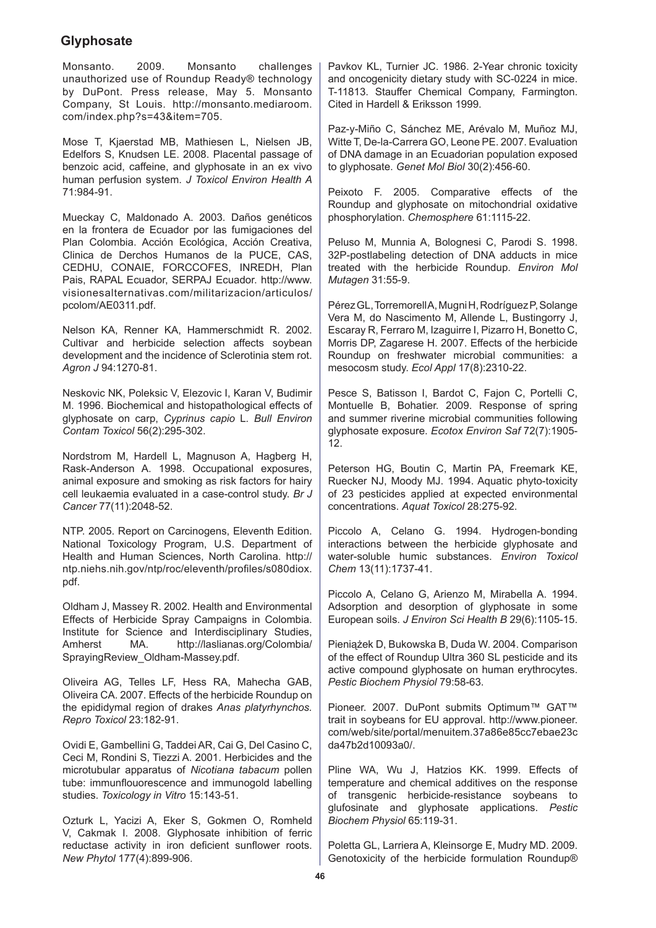Monsanto. 2009. Monsanto challenges unauthorized use of Roundup Ready® technology by DuPont. Press release, May 5. Monsanto Company, St Louis. http://monsanto.mediaroom. com/index.php?s=43&item=705.

Mose T, Kjaerstad MB, Mathiesen L, Nielsen JB, Edelfors S, Knudsen LE. 2008. Placental passage of benzoic acid, caffeine, and glyphosate in an ex vivo human perfusion system. *J Toxicol Environ Health A* 71:984-91.

Mueckay C, Maldonado A. 2003. Daños genéticos en la frontera de Ecuador por las fumigaciones del Plan Colombia. Acción Ecológica, Acción Creativa, Clinica de Derchos Humanos de la PUCE, CAS, CEDHU, CONAIE, FORCCOFES, INREDH, Plan Pais, RAPAL Ecuador, SERPAJ Ecuador. http://www. visionesalternativas.com/militarizacion/articulos/ pcolom/AE0311.pdf.

Nelson KA, Renner KA, Hammerschmidt R. 2002. Cultivar and herbicide selection affects soybean development and the incidence of Sclerotinia stem rot. *Agron J* 94:1270-81.

Neskovic NK, Poleksic V, Elezovic I, Karan V, Budimir M. 1996. Biochemical and histopathological effects of glyphosate on carp, *Cyprinus capio* L*. Bull Environ Contam Toxicol* 56(2):295-302.

Nordstrom M, Hardell L, Magnuson A, Hagberg H, Rask-Anderson A. 1998. Occupational exposures, animal exposure and smoking as risk factors for hairy cell leukaemia evaluated in a case-control study. *Br J Cancer* 77(11):2048-52.

NTP. 2005. Report on Carcinogens, Eleventh Edition. National Toxicology Program, U.S. Department of Health and Human Sciences, North Carolina. http:// ntp.niehs.nih.gov/ntp/roc/eleventh/profiles/s080diox. pdf.

Oldham J, Massey R. 2002. Health and Environmental Effects of Herbicide Spray Campaigns in Colombia. Institute for Science and Interdisciplinary Studies,<br>Amherst MA. http://laslianas.org/Colombia/ http://laslianas.org/Colombia/ SprayingReview\_Oldham-Massey.pdf.

Oliveira AG, Telles LF, Hess RA, Mahecha GAB, Oliveira CA. 2007. Effects of the herbicide Roundup on the epididymal region of drakes *Anas platyrhynchos. Repro Toxicol* 23:182-91.

Ovidi E, Gambellini G, Taddei AR, Cai G, Del Casino C, Ceci M, Rondini S, Tiezzi A. 2001. Herbicides and the microtubular apparatus of *Nicotiana tabacum* pollen tube: immunflouorescence and immunogold labelling studies. *Toxicology in Vitro* 15:143-51.

Ozturk L, Yacizi A, Eker S, Gokmen O, Romheld V, Cakmak I. 2008. Glyphosate inhibition of ferric reductase activity in iron deficient sunflower roots. *New Phytol* 177(4):899-906.

Pavkov KL, Turnier JC. 1986. 2-Year chronic toxicity and oncogenicity dietary study with SC-0224 in mice. T-11813. Stauffer Chemical Company, Farmington. Cited in Hardell & Eriksson 1999.

Paz-y-Miño C, Sánchez ME, Arévalo M, Muñoz MJ, Witte T, De-la-Carrera GO, Leone PE. 2007. Evaluation of DNA damage in an Ecuadorian population exposed to glyphosate. *Genet Mol Biol* 30(2):456-60.

Peixoto F. 2005. Comparative effects of the Roundup and glyphosate on mitochondrial oxidative phosphorylation. *Chemosphere* 61:1115-22.

Peluso M, Munnia A, Bolognesi C, Parodi S. 1998. 32P-postlabeling detection of DNA adducts in mice treated with the herbicide Roundup. *Environ Mol Mutagen* 31:55-9.

Pérez GL, TorremorellA, Mugni H, Rodríguez P, Solange Vera M, do Nascimento M, Allende L, Bustingorry J, Escaray R, Ferraro M, Izaguirre I, Pizarro H, Bonetto C, Morris DP, Zagarese H. 2007. Effects of the herbicide Roundup on freshwater microbial communities: a mesocosm study. *Ecol Appl* 17(8):2310-22.

Pesce S, Batisson I, Bardot C, Faion C, Portelli C, Montuelle B, Bohatier. 2009. Response of spring and summer riverine microbial communities following glyphosate exposure. *Ecotox Environ Saf* 72(7):1905- 12.

Peterson HG, Boutin C, Martin PA, Freemark KE, Ruecker NJ, Moody MJ. 1994. Aquatic phyto-toxicity of 23 pesticides applied at expected environmental concentrations. *Aquat Toxicol* 28:275-92.

Piccolo A, Celano G. 1994. Hydrogen-bonding interactions between the herbicide glyphosate and water-soluble humic substances. *Environ Toxicol Chem* 13(11):1737-41.

Piccolo A, Celano G, Arienzo M, Mirabella A. 1994. Adsorption and desorption of glyphosate in some European soils. *J Environ Sci Health B* 29(6):1105-15.

Pieniążek D, Bukowska B, Duda W. 2004. Comparison of the effect of Roundup Ultra 360 SL pesticide and its active compound glyphosate on human erythrocytes. *Pestic Biochem Physiol* 79:58-63.

Pioneer. 2007. DuPont submits Optimum™ GAT™ trait in soybeans for EU approval. http://www.pioneer. com/web/site/portal/menuitem.37a86e85cc7ebae23c da47b2d10093a0/.

Pline WA, Wu J, Hatzios KK. 1999. Effects of temperature and chemical additives on the response of transgenic herbicide-resistance soybeans to glufosinate and glyphosate applications. *Pestic Biochem Physiol* 65:119-31.

Poletta GL, Larriera A, Kleinsorge E, Mudry MD. 2009. Genotoxicity of the herbicide formulation Roundup®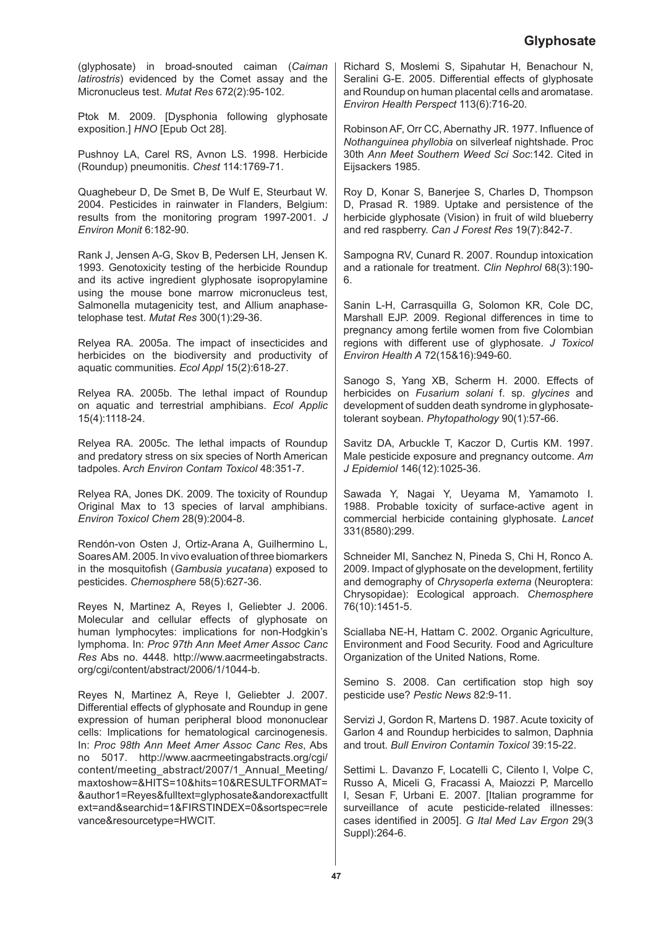(glyphosate) in broad-snouted caiman (*Caiman latirostris*) evidenced by the Comet assay and the Micronucleus test. *Mutat Res* 672(2):95-102.

Ptok M. 2009. [Dysphonia following glyphosate exposition.] *HNO* [Epub Oct 28].

Pushnoy LA, Carel RS, Avnon LS. 1998. Herbicide (Roundup) pneumonitis. *Chest* 114:1769-71.

Quaghebeur D, De Smet B, De Wulf E, Steurbaut W. 2004. Pesticides in rainwater in Flanders, Belgium: results from the monitoring program 1997-2001. *J Environ Monit* 6:182-90.

Rank J, Jensen A-G, Skov B, Pedersen LH, Jensen K. 1993. Genotoxicity testing of the herbicide Roundup and its active ingredient glyphosate isopropylamine using the mouse bone marrow micronucleus test, Salmonella mutagenicity test, and Allium anaphasetelophase test. *Mutat Res* 300(1):29-36.

Relyea RA. 2005a. The impact of insecticides and herbicides on the biodiversity and productivity of aquatic communities. *Ecol Appl* 15(2):618-27.

Relyea RA. 2005b. The lethal impact of Roundup on aquatic and terrestrial amphibians. *Ecol Applic* 15(4):1118-24.

Relyea RA. 2005c. The lethal impacts of Roundup and predatory stress on six species of North American tadpoles. A*rch Environ Contam Toxicol* 48:351-7.

Relyea RA, Jones DK. 2009. The toxicity of Roundup Original Max to 13 species of larval amphibians. *Environ Toxicol Chem* 28(9):2004-8.

Rendón-von Osten J, Ortiz-Arana A, Guilhermino L, Soares AM. 2005. In vivo evaluation of three biomarkers in the mosquitofish (*Gambusia yucatana*) exposed to pesticides. *Chemosphere* 58(5):627-36.

Reyes N, Martinez A, Reyes I, Geliebter J. 2006. Molecular and cellular effects of glyphosate on human lymphocytes: implications for non-Hodgkin's lymphoma. In: *Proc 97th Ann Meet Amer Assoc Canc Res* Abs no. 4448. http://www.aacrmeetingabstracts. org/cgi/content/abstract/2006/1/1044-b.

Reyes N, Martinez A, Reye I, Geliebter J. 2007. Differential effects of glyphosate and Roundup in gene expression of human peripheral blood mononuclear cells: Implications for hematological carcinogenesis. In: *Proc 98th Ann Meet Amer Assoc Canc Res*, Abs no 5017. http://www.aacrmeetingabstracts.org/cgi/ content/meeting\_abstract/2007/1\_Annual\_Meeting/ maxtoshow=&HITS=10&hits=10&RESULTFORMAT= &author1=Reyes&fulltext=glyphosate&andorexactfullt ext=and&searchid=1&FIRSTINDEX=0&sortspec=rele vance&resourcetype=HWCIT.

Richard S, Moslemi S, Sipahutar H, Benachour N, Seralini G-E. 2005. Differential effects of glyphosate and Roundup on human placental cells and aromatase. *Environ Health Perspect* 113(6):716-20.

Robinson AF, Orr CC, Abernathy JR. 1977. Influence of *Nothanguinea phyllobia* on silverleaf nightshade. Proc 30th *Ann Meet Southern Weed Sci Soc*:142. Cited in Eijsackers 1985.

Roy D, Konar S, Banerjee S, Charles D, Thompson D, Prasad R. 1989. Uptake and persistence of the herbicide glyphosate (Vision) in fruit of wild blueberry and red raspberry. *Can J Forest Res* 19(7):842-7.

Sampogna RV, Cunard R. 2007. Roundup intoxication and a rationale for treatment. *Clin Nephrol* 68(3):190- 6.

Sanin L-H, Carrasquilla G, Solomon KR, Cole DC, Marshall EJP. 2009. Regional differences in time to pregnancy among fertile women from five Colombian regions with different use of glyphosate. *J Toxicol Environ Health A* 72(15&16):949-60.

Sanogo S, Yang XB, Scherm H. 2000. Effects of herbicides on *Fusarium solani* f. sp. *glycines* and development of sudden death syndrome in glyphosatetolerant soybean. *Phytopathology* 90(1):57-66.

Savitz DA, Arbuckle T, Kaczor D, Curtis KM. 1997. Male pesticide exposure and pregnancy outcome. *Am J Epidemiol* 146(12):1025-36.

Sawada Y, Nagai Y, Ueyama M, Yamamoto I. 1988. Probable toxicity of surface-active agent in commercial herbicide containing glyphosate. *Lancet*  331(8580):299.

Schneider MI, Sanchez N, Pineda S, Chi H, Ronco A. 2009. Impact of glyphosate on the development, fertility and demography of *Chrysoperla externa* (Neuroptera: Chrysopidae): Ecological approach. *Chemosphere* 76(10):1451-5.

Sciallaba NE-H, Hattam C. 2002. Organic Agriculture, Environment and Food Security. Food and Agriculture Organization of the United Nations, Rome.

Semino S. 2008. Can certification stop high soy pesticide use? *Pestic News* 82:9-11.

Servizi J, Gordon R, Martens D. 1987. Acute toxicity of Garlon 4 and Roundup herbicides to salmon, Daphnia and trout. *Bull Environ Contamin Toxicol* 39:15-22.

Settimi L. Davanzo F, Locatelli C, Cilento I, Volpe C, Russo A, Miceli G, Fracassi A, Maiozzi P, Marcello I, Sesan F, Urbani E. 2007. [Italian programme for surveillance of acute pesticide-related illnesses: cases identified in 2005]. *G Ital Med Lav Ergon* 29(3 Suppl):264-6.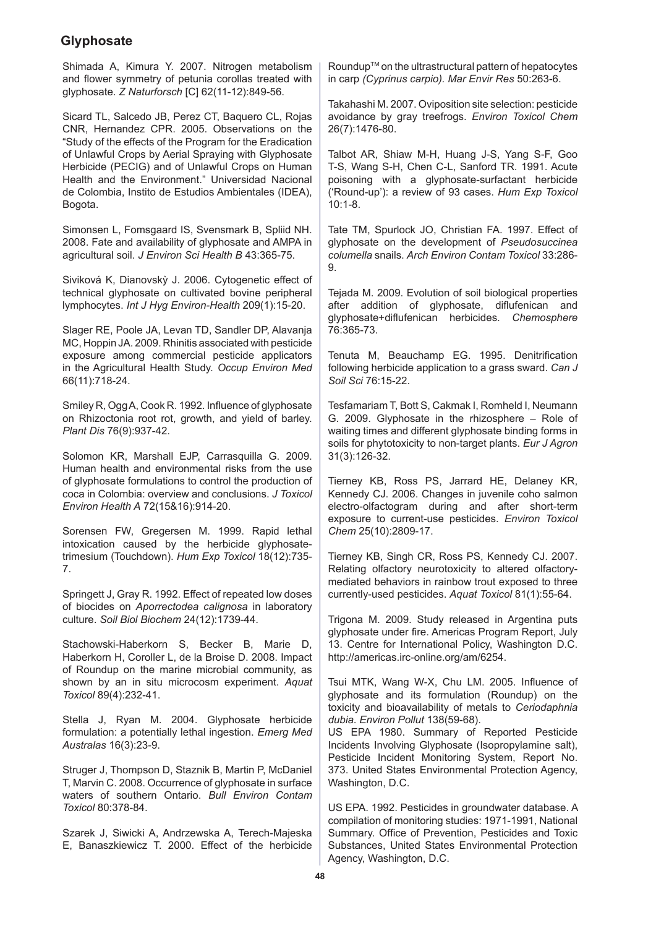Shimada A, Kimura Y. 2007. Nitrogen metabolism and flower symmetry of petunia corollas treated with glyphosate. *Z Naturforsch* [C] 62(11-12):849-56.

Sicard TL, Salcedo JB, Perez CT, Baquero CL, Rojas CNR, Hernandez CPR. 2005. Observations on the "Study of the effects of the Program for the Eradication of Unlawful Crops by Aerial Spraying with Glyphosate Herbicide (PECIG) and of Unlawful Crops on Human Health and the Environment." Universidad Nacional de Colombia, Instito de Estudios Ambientales (IDEA), Bogota.

Simonsen L, Fomsgaard IS, Svensmark B, Spliid NH. 2008. Fate and availability of glyphosate and AMPA in agricultural soil. *J Environ Sci Health B* 43:365-75.

Siviková K, Dianovskỳ J. 2006. Cytogenetic effect of technical glyphosate on cultivated bovine peripheral lymphocytes. *Int J Hyg Environ-Health* 209(1):15-20.

Slager RE, Poole JA, Levan TD, Sandler DP, Alavanja MC, Hoppin JA. 2009. Rhinitis associated with pesticide exposure among commercial pesticide applicators in the Agricultural Health Study. *Occup Environ Med* 66(11):718-24.

Smiley R, Ogg A, Cook R. 1992. Influence of glyphosate on Rhizoctonia root rot, growth, and yield of barley. *Plant Dis* 76(9):937-42.

Solomon KR, Marshall EJP, Carrasquilla G. 2009. Human health and environmental risks from the use of glyphosate formulations to control the production of coca in Colombia: overview and conclusions. *J Toxicol Environ Health A* 72(15&16):914-20.

Sorensen FW, Gregersen M. 1999. Rapid lethal intoxication caused by the herbicide glyphosatetrimesium (Touchdown). *Hum Exp Toxicol* 18(12):735- 7.

Springett J, Gray R. 1992. Effect of repeated low doses of biocides on *Aporrectodea calignosa* in laboratory culture. *Soil Biol Biochem* 24(12):1739-44.

Stachowski-Haberkorn S, Becker B, Marie D, Haberkorn H, Coroller L, de la Broise D. 2008. Impact of Roundup on the marine microbial community, as shown by an in situ microcosm experiment. *Aquat Toxicol* 89(4):232-41.

Stella J, Ryan M. 2004. Glyphosate herbicide formulation: a potentially lethal ingestion. *Emerg Med Australas* 16(3):23-9.

Struger J, Thompson D, Staznik B, Martin P, McDaniel T, Marvin C. 2008. Occurrence of glyphosate in surface waters of southern Ontario. *Bull Environ Contam Toxicol* 80:378-84.

Szarek J, Siwicki A, Andrzewska A, Terech-Majeska E, Banaszkiewicz T. 2000. Effect of the herbicide

Roundup™ on the ultrastructural pattern of hepatocytes in carp *(Cyprinus carpio). Mar Envir Res* 50:263-6.

Takahashi M. 2007. Oviposition site selection: pesticide avoidance by gray treefrogs. *Environ Toxicol Chem* 26(7):1476-80.

Talbot AR, Shiaw M-H, Huang J-S, Yang S-F, Goo T-S, Wang S-H, Chen C-L, Sanford TR. 1991. Acute poisoning with a glyphosate-surfactant herbicide ('Round-up'): a review of 93 cases. *Hum Exp Toxicol* 10:1-8.

Tate TM, Spurlock JO, Christian FA. 1997. Effect of glyphosate on the development of *Pseudosuccinea columella* snails. *Arch Environ Contam Toxicol* 33:286- 9.

Tejada M. 2009. Evolution of soil biological properties after addition of glyphosate, diflufenican and glyphosate+diflufenican herbicides. *Chemosphere* 76:365-73.

Tenuta M, Beauchamp EG. 1995. Denitrification following herbicide application to a grass sward. *Can J Soil Sci* 76:15-22.

Tesfamariam T, Bott S, Cakmak I, Romheld I, Neumann G. 2009. Glyphosate in the rhizosphere – Role of waiting times and different glyphosate binding forms in soils for phytotoxicity to non-target plants. *Eur J Agron* 31(3):126-32.

Tierney KB, Ross PS, Jarrard HE, Delaney KR, Kennedy CJ. 2006. Changes in juvenile coho salmon electro-olfactogram during and after short-term exposure to current-use pesticides. *Environ Toxicol Chem* 25(10):2809-17.

Tierney KB, Singh CR, Ross PS, Kennedy CJ. 2007. Relating olfactory neurotoxicity to altered olfactorymediated behaviors in rainbow trout exposed to three currently-used pesticides. *Aquat Toxicol* 81(1):55-64.

Trigona M. 2009. Study released in Argentina puts glyphosate under fire. Americas Program Report, July 13. Centre for International Policy, Washington D.C. http://americas.irc-online.org/am/6254.

Tsui MTK, Wang W-X, Chu LM. 2005. Influence of glyphosate and its formulation (Roundup) on the toxicity and bioavailability of metals to *Ceriodaphnia dubia*. *Environ Pollut* 138(59-68).

US EPA 1980. Summary of Reported Pesticide Incidents Involving Glyphosate (Isopropylamine salt), Pesticide Incident Monitoring System, Report No. 373. United States Environmental Protection Agency, Washington, D.C.

US EPA. 1992. Pesticides in groundwater database. A compilation of monitoring studies: 1971-1991, National Summary. Office of Prevention, Pesticides and Toxic Substances, United States Environmental Protection Agency, Washington, D.C.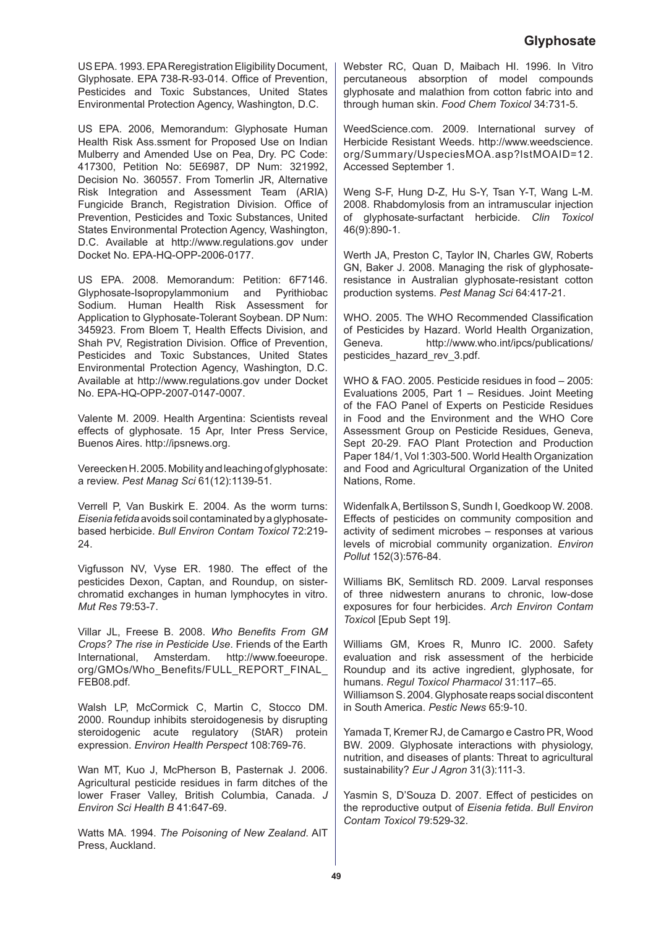US EPA. 1993. EPA Reregistration Eligibility Document, Glyphosate. EPA 738-R-93-014. Office of Prevention, Pesticides and Toxic Substances, United States Environmental Protection Agency, Washington, D.C.

US EPA. 2006, Memorandum: Glyphosate Human Health Risk Ass.ssment for Proposed Use on Indian Mulberry and Amended Use on Pea, Dry. PC Code: 417300, Petition No: 5E6987, DP Num: 321992, Decision No. 360557. From Tomerlin JR, Alternative Risk Integration and Assessment Team (ARIA) Fungicide Branch, Registration Division. Office of Prevention, Pesticides and Toxic Substances, United States Environmental Protection Agency, Washington, D.C. Available at http://www.regulations.gov under Docket No. EPA-HQ-OPP-2006-0177.

US EPA. 2008. Memorandum: Petition: 6F7146. Glyphosate-Isopropylammonium and Pyrithiobac Sodium. Human Health Risk Assessment for Application to Glyphosate-Tolerant Soybean. DP Num: 345923. From Bloem T, Health Effects Division, and Shah PV, Registration Division. Office of Prevention, Pesticides and Toxic Substances, United States Environmental Protection Agency, Washington, D.C. Available at http://www.regulations.gov under Docket No. EPA-HQ-OPP-2007-0147-0007.

Valente M. 2009. Health Argentina: Scientists reveal effects of glyphosate. 15 Apr, Inter Press Service, Buenos Aires. http://ipsnews.org.

Vereecken H. 2005. Mobility and leaching of glyphosate: a review. *Pest Manag Sci* 61(12):1139-51.

Verrell P, Van Buskirk E. 2004. As the worm turns: *Eisenia fetida* avoids soil contaminated by a glyphosatebased herbicide. *Bull Environ Contam Toxicol* 72:219- 24.

Vigfusson NV, Vyse ER. 1980. The effect of the pesticides Dexon, Captan, and Roundup, on sisterchromatid exchanges in human lymphocytes in vitro. *Mut Res* 79:53-7.

Villar JL, Freese B. 2008. *Who Benefits From GM Crops? The rise in Pesticide Use*. Friends of the Earth International, Amsterdam. http://www.foeeurope. org/GMOs/Who\_Benefits/FULL\_REPORT\_FINAL FEB08.pdf.

Walsh LP, McCormick C, Martin C, Stocco DM. 2000. Roundup inhibits steroidogenesis by disrupting steroidogenic acute regulatory (StAR) protein expression. *Environ Health Perspect* 108:769-76.

Wan MT, Kuo J, McPherson B, Pasternak J. 2006. Agricultural pesticide residues in farm ditches of the lower Fraser Valley, British Columbia, Canada. *J Environ Sci Health B* 41:647-69.

Watts MA. 1994. *The Poisoning of New Zealand*. AIT Press, Auckland.

Webster RC, Quan D, Maibach HI. 1996. In Vitro percutaneous absorption of model compounds glyphosate and malathion from cotton fabric into and through human skin. *Food Chem Toxicol* 34:731-5.

WeedScience.com. 2009. International survey of Herbicide Resistant Weeds. http://www.weedscience. org/Summary/UspeciesMOA.asp?lstMOAID=12. Accessed September 1.

Weng S-F, Hung D-Z, Hu S-Y, Tsan Y-T, Wang L-M. 2008. Rhabdomylosis from an intramuscular injection of glyphosate-surfactant herbicide. *Clin Toxicol* 46(9):890-1.

Werth JA, Preston C, Taylor IN, Charles GW, Roberts GN, Baker J. 2008. Managing the risk of glyphosateresistance in Australian glyphosate-resistant cotton production systems. *Pest Manag Sci* 64:417-21.

WHO. 2005. The WHO Recommended Classification of Pesticides by Hazard. World Health Organization, Geneva. http://www.who.int/ipcs/publications/ pesticides\_hazard\_rev\_3.pdf.

WHO & FAO. 2005. Pesticide residues in food – 2005: Evaluations 2005, Part 1 – Residues. Joint Meeting of the FAO Panel of Experts on Pesticide Residues in Food and the Environment and the WHO Core Assessment Group on Pesticide Residues, Geneva, Sept 20-29. FAO Plant Protection and Production Paper 184/1, Vol 1:303-500. World Health Organization and Food and Agricultural Organization of the United Nations, Rome.

Widenfalk A, Bertilsson S, Sundh I, Goedkoop W. 2008. Effects of pesticides on community composition and activity of sediment microbes – responses at various levels of microbial community organization. *Environ Pollut* 152(3):576-84.

Williams BK, Semlitsch RD. 2009. Larval responses of three nidwestern anurans to chronic, low-dose exposures for four herbicides. *Arch Environ Contam Toxico*l [Epub Sept 19].

Williams GM, Kroes R, Munro IC. 2000. Safety evaluation and risk assessment of the herbicide Roundup and its active ingredient, glyphosate, for humans. *Regul Toxicol Pharmacol* 31:117–65. Williamson S. 2004. Glyphosate reaps social discontent in South America. *Pestic News* 65:9-10.

Yamada T, Kremer RJ, de Camargo e Castro PR, Wood BW. 2009. Glyphosate interactions with physiology, nutrition, and diseases of plants: Threat to agricultural sustainability? *Eur J Agron* 31(3):111-3.

Yasmin S, D'Souza D. 2007. Effect of pesticides on the reproductive output of *Eisenia fetida*. *Bull Environ Contam Toxicol* 79:529-32.